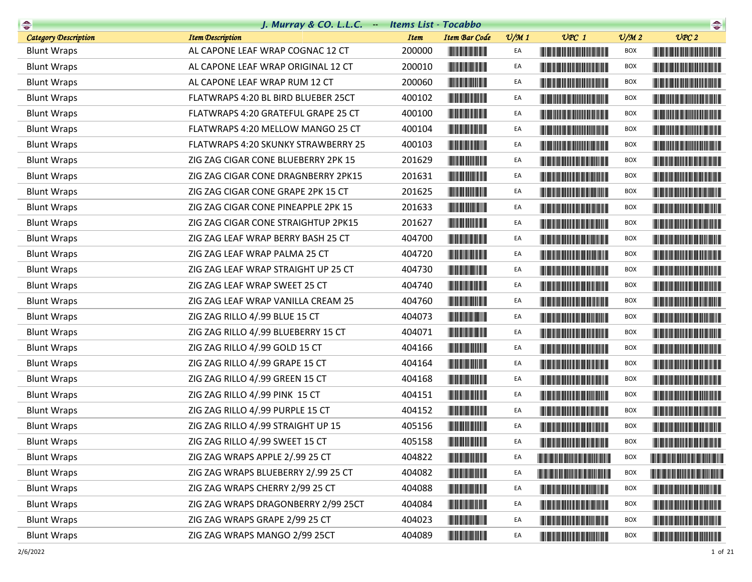|                             | J. Murray & CO. L.L.C. Items List - Tocabbo |             |                                                                                                                                                                                                                                      |                 |                                                                                                                                                                                                                                      |                             | $\begin{picture}(20,10) \put(0,0){\line(1,0){10}} \put(10,0){\line(1,0){10}} \put(10,0){\line(1,0){10}} \put(10,0){\line(1,0){10}} \put(10,0){\line(1,0){10}} \put(10,0){\line(1,0){10}} \put(10,0){\line(1,0){10}} \put(10,0){\line(1,0){10}} \put(10,0){\line(1,0){10}} \put(10,0){\line(1,0){10}} \put(10,0){\line(1,0){10}} \put(10,0){\line(1$ |
|-----------------------------|---------------------------------------------|-------------|--------------------------------------------------------------------------------------------------------------------------------------------------------------------------------------------------------------------------------------|-----------------|--------------------------------------------------------------------------------------------------------------------------------------------------------------------------------------------------------------------------------------|-----------------------------|-----------------------------------------------------------------------------------------------------------------------------------------------------------------------------------------------------------------------------------------------------------------------------------------------------------------------------------------------------|
| <b>Category Description</b> | <b>Item Description</b>                     | <b>Item</b> | <b>Item Bar Code</b>                                                                                                                                                                                                                 | $\frac{v}{M}$ 1 | $UPC$ 1                                                                                                                                                                                                                              | $\mathcal{O}/\mathcal{M}$ 2 | UPC2                                                                                                                                                                                                                                                                                                                                                |
| <b>Blunt Wraps</b>          | AL CAPONE LEAF WRAP COGNAC 12 CT            | 200000      |                                                                                                                                                                                                                                      | EA              |                                                                                                                                                                                                                                      | BOX                         |                                                                                                                                                                                                                                                                                                                                                     |
| <b>Blunt Wraps</b>          | AL CAPONE LEAF WRAP ORIGINAL 12 CT          | 200010      | <b>CONTRACTOR</b>                                                                                                                                                                                                                    | EA              |                                                                                                                                                                                                                                      | <b>BOX</b>                  |                                                                                                                                                                                                                                                                                                                                                     |
| <b>Blunt Wraps</b>          | AL CAPONE LEAF WRAP RUM 12 CT               | 200060      | <u> Liberal Maria San Ba</u>                                                                                                                                                                                                         | EA              | <b>The Community of the Community</b>                                                                                                                                                                                                | <b>BOX</b>                  |                                                                                                                                                                                                                                                                                                                                                     |
| <b>Blunt Wraps</b>          | FLATWRAPS 4:20 BL BIRD BLUEBER 25CT         | 400102      | <b>The Committee of the Committee</b>                                                                                                                                                                                                | EA              |                                                                                                                                                                                                                                      | BOX                         |                                                                                                                                                                                                                                                                                                                                                     |
| <b>Blunt Wraps</b>          | FLATWRAPS 4:20 GRATEFUL GRAPE 25 CT         | 400100      | <b>The Committee of the Committee</b>                                                                                                                                                                                                | EA              |                                                                                                                                                                                                                                      | <b>BOX</b>                  |                                                                                                                                                                                                                                                                                                                                                     |
| <b>Blunt Wraps</b>          | FLATWRAPS 4:20 MELLOW MANGO 25 CT           | 400104      | <u> Lithagan ann an 1970 ann an 1970 ann an 1971 ann an 1971 ann an 1971 ann an 1971 ann an 1971 ann an 1971 ann a</u>                                                                                                               | EA              | <u> Harris Harris Harris Harris Harris Harris Harris Harris Harris Harris Harris Harris Harris Harris Harris Harris Harris Harris Harris Harris Harris Harris Harris Harris Harris Harris Harris Harris Harris Harris Harris Har</u> | <b>BOX</b>                  | <b>The Committee of the Committee of the Committee of the Committee</b>                                                                                                                                                                                                                                                                             |
| <b>Blunt Wraps</b>          | FLATWRAPS 4:20 SKUNKY STRAWBERRY 25         | 400103      |                                                                                                                                                                                                                                      | EA              |                                                                                                                                                                                                                                      | <b>BOX</b>                  |                                                                                                                                                                                                                                                                                                                                                     |
| <b>Blunt Wraps</b>          | ZIG ZAG CIGAR CONE BLUEBERRY 2PK 15         | 201629      |                                                                                                                                                                                                                                      | EA              |                                                                                                                                                                                                                                      | <b>BOX</b>                  |                                                                                                                                                                                                                                                                                                                                                     |
| <b>Blunt Wraps</b>          | ZIG ZAG CIGAR CONE DRAGNBERRY 2PK15         | 201631      |                                                                                                                                                                                                                                      | EA              | <u> Harry Harry Harry Harry Harry Harry Harry Harry Harry Harry Harry Harry Harry Harry Harry Harry Harry Harry Harry Harry Harry Harry Harry Harry Harry Harry Harry Harry Harry Harry Harry Harry Harry Harry Harry Harry Harr</u> | <b>BOX</b>                  | <u> Harrison (Barbara) eta pro</u>                                                                                                                                                                                                                                                                                                                  |
| <b>Blunt Wraps</b>          | ZIG ZAG CIGAR CONE GRAPE 2PK 15 CT          | 201625      |                                                                                                                                                                                                                                      | EA              | <u> Harry Harry Harry Harry Harry Harry Harry Harry Harry Harry Harry Harry Harry Harry Harry Harry Harry Harry Harry Harry Harry Harry Harry Harry Harry Harry Harry Harry Harry Harry Harry Harry Harry Harry Harry Harry Harr</u> | <b>BOX</b>                  |                                                                                                                                                                                                                                                                                                                                                     |
| <b>Blunt Wraps</b>          | ZIG ZAG CIGAR CONE PINEAPPLE 2PK 15         | 201633      |                                                                                                                                                                                                                                      | EA              |                                                                                                                                                                                                                                      | <b>BOX</b>                  |                                                                                                                                                                                                                                                                                                                                                     |
| <b>Blunt Wraps</b>          | ZIG ZAG CIGAR CONE STRAIGHTUP 2PK15         | 201627      |                                                                                                                                                                                                                                      | EA              | <u> Liberal Maria Maria Maria Maria Maria Maria Maria Maria Maria Maria Maria Maria Maria Maria Maria Maria Maria </u>                                                                                                               | BOX                         |                                                                                                                                                                                                                                                                                                                                                     |
| <b>Blunt Wraps</b>          | ZIG ZAG LEAF WRAP BERRY BASH 25 CT          | 404700      |                                                                                                                                                                                                                                      | EA              |                                                                                                                                                                                                                                      | <b>BOX</b>                  |                                                                                                                                                                                                                                                                                                                                                     |
| <b>Blunt Wraps</b>          | ZIG ZAG LEAF WRAP PALMA 25 CT               | 404720      |                                                                                                                                                                                                                                      | EA              | <u> Harry Harry Harry Harry Harry Harry Harry Harry Harry Harry Harry Harry Harry Harry Harry Harry Harry Harry Harry Harry Harry Harry Harry Harry Harry Harry Harry Harry Harry Harry Harry Harry Harry Harry Harry Harry Harr</u> | <b>BOX</b>                  |                                                                                                                                                                                                                                                                                                                                                     |
| <b>Blunt Wraps</b>          | ZIG ZAG LEAF WRAP STRAIGHT UP 25 CT         | 404730      | <b>The Community</b>                                                                                                                                                                                                                 | EA              |                                                                                                                                                                                                                                      | <b>BOX</b>                  |                                                                                                                                                                                                                                                                                                                                                     |
| <b>Blunt Wraps</b>          | ZIG ZAG LEAF WRAP SWEET 25 CT               | 404740      |                                                                                                                                                                                                                                      | EA              |                                                                                                                                                                                                                                      | BOX                         |                                                                                                                                                                                                                                                                                                                                                     |
| <b>Blunt Wraps</b>          | ZIG ZAG LEAF WRAP VANILLA CREAM 25          | 404760      |                                                                                                                                                                                                                                      | EA              |                                                                                                                                                                                                                                      | <b>BOX</b>                  |                                                                                                                                                                                                                                                                                                                                                     |
| <b>Blunt Wraps</b>          | ZIG ZAG RILLO 4/.99 BLUE 15 CT              | 404073      | <u> Lithagan ann an 1970 ann an 1970 ann an 1971 ann an 1971 ann an 1971 ann an 1971 ann an 1971 ann an 1971 ann a</u>                                                                                                               | EA              | <u> Harry Harry Harry Harry Harry Harry Harry Harry Harry Harry Harry Harry Harry Harry Harry Harry Harry Harry H</u>                                                                                                                | <b>BOX</b>                  |                                                                                                                                                                                                                                                                                                                                                     |
| <b>Blunt Wraps</b>          | ZIG ZAG RILLO 4/.99 BLUEBERRY 15 CT         | 404071      |                                                                                                                                                                                                                                      | EA              |                                                                                                                                                                                                                                      | <b>BOX</b>                  |                                                                                                                                                                                                                                                                                                                                                     |
| <b>Blunt Wraps</b>          | ZIG ZAG RILLO 4/.99 GOLD 15 CT              | 404166      |                                                                                                                                                                                                                                      | EA              |                                                                                                                                                                                                                                      | BOX                         |                                                                                                                                                                                                                                                                                                                                                     |
| <b>Blunt Wraps</b>          | ZIG ZAG RILLO 4/.99 GRAPE 15 CT             | 404164      |                                                                                                                                                                                                                                      | EA              |                                                                                                                                                                                                                                      | BOX                         |                                                                                                                                                                                                                                                                                                                                                     |
| <b>Blunt Wraps</b>          | ZIG ZAG RILLO 4/.99 GREEN 15 CT             | 404168      | <u> Liberal Maria San Ba</u>                                                                                                                                                                                                         | EA              | <u> Liberal Maria Maria San Barat III a Shekara ta 1989 da kasas na san A</u>                                                                                                                                                        | <b>BOX</b>                  |                                                                                                                                                                                                                                                                                                                                                     |
| <b>Blunt Wraps</b>          | ZIG ZAG RILLO 4/.99 PINK 15 CT              | 404151      |                                                                                                                                                                                                                                      | EA              | <u> Timba ka matsayin ka matsayin ka matsayin ka matsayin ka matsayin ka matsayin ka matsayin ka matsayin ka matsayin ka matsayin ka matsayin ka matsayin ka matsayin ka matsayin ka matsayin ka matsayin ka matsayin ka matsayi</u> | BOX                         |                                                                                                                                                                                                                                                                                                                                                     |
| <b>Blunt Wraps</b>          | ZIG ZAG RILLO 4/.99 PURPLE 15 CT            | 404152      |                                                                                                                                                                                                                                      | EA              | <b>The Committee of the Committee of the Committee</b>                                                                                                                                                                               | BOX                         | <u> Handi ka masa sa mga katalog ng mga katalog ng mga katalog ng mga katalog ng mga katalog ng mga katalog ng mga katalog ng mga katalog ng mga katalog ng mga katalog ng mga katalog ng mga katalog ng mga katalog ng mga kata</u>                                                                                                                |
| <b>Blunt Wraps</b>          | ZIG ZAG RILLO 4/.99 STRAIGHT UP 15          | 405156      |                                                                                                                                                                                                                                      | EA              | <u> Harat Barat Barat Barat Barat Barat Barat Barat Barat Barat Barat Barat Barat Barat Barat Barat Barat Barat Barat Barat Barat Barat Barat Barat Barat Barat Barat Barat Barat Barat Barat Barat Barat Barat Barat Barat Bara</u> | <b>BOX</b>                  |                                                                                                                                                                                                                                                                                                                                                     |
| <b>Blunt Wraps</b>          | ZIG ZAG RILLO 4/.99 SWEET 15 CT             | 405158      |                                                                                                                                                                                                                                      |                 |                                                                                                                                                                                                                                      | <b>BOX</b>                  |                                                                                                                                                                                                                                                                                                                                                     |
| <b>Blunt Wraps</b>          | ZIG ZAG WRAPS APPLE 2/.99 25 CT             | 404822      |                                                                                                                                                                                                                                      | EA              | <u> III di kacamatan ing Kabupatèn III di kacamatan III di kacamatan III di kacamatan III di kacamatan III di kacamatan III di kacamatan III di kacamatan III di kacamatan III di kacamatan III di kacamatan III di kacamatan II</u> | BOX                         |                                                                                                                                                                                                                                                                                                                                                     |
| <b>Blunt Wraps</b>          | ZIG ZAG WRAPS BLUEBERRY 2/.99 25 CT         | 404082      |                                                                                                                                                                                                                                      | EA              |                                                                                                                                                                                                                                      | BOX                         | <b>The Community of the Community</b>                                                                                                                                                                                                                                                                                                               |
| <b>Blunt Wraps</b>          | ZIG ZAG WRAPS CHERRY 2/99 25 CT             | 404088      | <u> Lithagan ann an 1970 ann an 1970 ann an 1971 ann an 1971 ann an 1971 ann an 1971 ann an 1971 ann an 1971 ann a</u>                                                                                                               | EA              |                                                                                                                                                                                                                                      | <b>BOX</b>                  |                                                                                                                                                                                                                                                                                                                                                     |
| <b>Blunt Wraps</b>          | ZIG ZAG WRAPS DRAGONBERRY 2/99 25CT         | 404084      | <u> Lithagan ang Pangangan ang Pangangan ang Pangangan ang Pangangangan ang pangganggan ang pangganggan ang pangganggan ang pangganggan ang pangganggan ang pangganggan ang pangganggan ang pangganggan ang pangganggang panggan</u> | EA              |                                                                                                                                                                                                                                      | <b>BOX</b>                  | <u> Harry Harry Harry Harry Harry Harry Harry Harry Harry Harry Harry Harry Harry Harry Harry Harry Harry Harry Harry Harry Harry Harry Harry Harry Harry Harry Harry Harry Harry Harry Harry Harry Harry Harry Harry Harry Harr</u>                                                                                                                |
| <b>Blunt Wraps</b>          | ZIG ZAG WRAPS GRAPE 2/99 25 CT              | 404023      |                                                                                                                                                                                                                                      | EA              |                                                                                                                                                                                                                                      | BOX                         |                                                                                                                                                                                                                                                                                                                                                     |
| <b>Blunt Wraps</b>          | ZIG ZAG WRAPS MANGO 2/99 25CT               | 404089      |                                                                                                                                                                                                                                      | EA              |                                                                                                                                                                                                                                      | <b>BOX</b>                  |                                                                                                                                                                                                                                                                                                                                                     |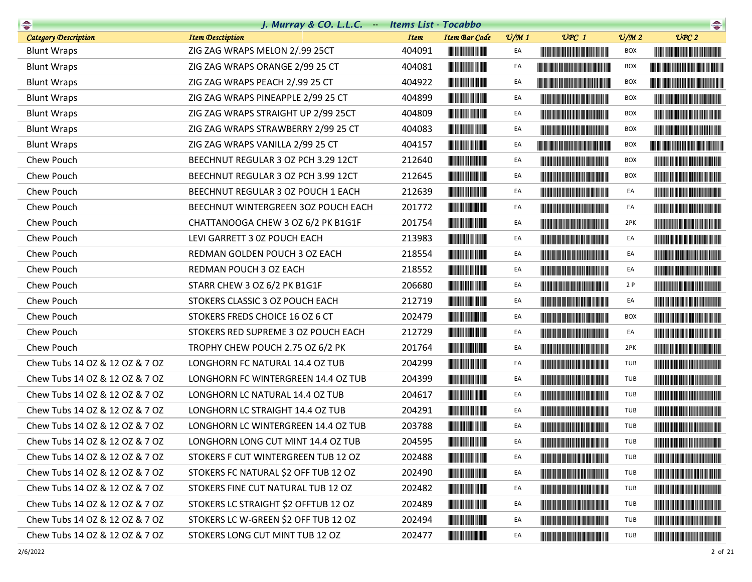| $\bullet$                      | J. Murray & CO. L.L.C. - Items List - Tocabbo |             |                                                                                                                       |                 |                                                                                                                                                                                                                                      |                 |                                                                                                                                                                                                                                      |
|--------------------------------|-----------------------------------------------|-------------|-----------------------------------------------------------------------------------------------------------------------|-----------------|--------------------------------------------------------------------------------------------------------------------------------------------------------------------------------------------------------------------------------------|-----------------|--------------------------------------------------------------------------------------------------------------------------------------------------------------------------------------------------------------------------------------|
| <b>Category Description</b>    | <b>Item Desctiption</b>                       | <b>Item</b> | <b>Item Bar Code</b>                                                                                                  | $\frac{v}{M}$ 1 | $UPC$ 1                                                                                                                                                                                                                              | $\frac{v}{M}$ 2 | UPC2                                                                                                                                                                                                                                 |
| <b>Blunt Wraps</b>             | ZIG ZAG WRAPS MELON 2/.99 25CT                | 404091      |                                                                                                                       | EA              | <u> Liberal Maria Maria Maria Maria Maria Maria Maria Maria Maria Maria Maria Maria Maria Maria Maria Maria Maria </u>                                                                                                               | BOX             |                                                                                                                                                                                                                                      |
| <b>Blunt Wraps</b>             | ZIG ZAG WRAPS ORANGE 2/99 25 CT               | 404081      |                                                                                                                       | EA              |                                                                                                                                                                                                                                      | <b>BOX</b>      |                                                                                                                                                                                                                                      |
| <b>Blunt Wraps</b>             | ZIG ZAG WRAPS PEACH 2/.99 25 CT               | 404922      |                                                                                                                       | EA              | <u> Literatura de la contrada de la contrada de la con</u>                                                                                                                                                                           | <b>BOX</b>      |                                                                                                                                                                                                                                      |
| <b>Blunt Wraps</b>             | ZIG ZAG WRAPS PINEAPPLE 2/99 25 CT            | 404899      |                                                                                                                       | EA              |                                                                                                                                                                                                                                      | <b>BOX</b>      | <u> Liberal Maria Maria Maria Maria Maria Maria Maria Maria Maria Maria Maria Maria Maria Maria Maria Maria Maria </u>                                                                                                               |
| <b>Blunt Wraps</b>             | ZIG ZAG WRAPS STRAIGHT UP 2/99 25CT           | 404809      |                                                                                                                       | EA              |                                                                                                                                                                                                                                      | <b>BOX</b>      |                                                                                                                                                                                                                                      |
| <b>Blunt Wraps</b>             | ZIG ZAG WRAPS STRAWBERRY 2/99 25 CT           | 404083      | <u> Herbert Herbert in der Erste der Erste </u>                                                                       | EA              |                                                                                                                                                                                                                                      | <b>BOX</b>      | <u> III de la provincia del control del control de la provincia del control de la provincia del control de la pro</u>                                                                                                                |
| <b>Blunt Wraps</b>             | ZIG ZAG WRAPS VANILLA 2/99 25 CT              | 404157      |                                                                                                                       | EA              | <u> Harry Harry Harry Harry Harry Harry Harry Harry Harry Harry Harry Harry Harry Harry Harry Harry Harry Harry Harry Harry Harry Harry Harry Harry Harry Harry Harry Harry Harry Harry Harry Harry Harry Harry Harry Harry Harr</u> | <b>BOX</b>      | <u> Liberal Maria Maria Maria Maria Maria Maria Maria Maria Maria Maria Maria Maria Maria Maria Maria Maria Maria </u>                                                                                                               |
| Chew Pouch                     | BEECHNUT REGULAR 3 OZ PCH 3.29 12CT           | 212640      |                                                                                                                       | EA              | <u> Indian American State and The Books and The Books and The Books and The Books and The Books and The Books and The Books and The Books and The Books and The Books and The Books and The Books and The Books and The Books an</u> | BOX             |                                                                                                                                                                                                                                      |
| Chew Pouch                     | BEECHNUT REGULAR 3 OZ PCH 3.99 12CT           | 212645      |                                                                                                                       | EA              | <u> Liberaldo de la contrada de la con</u>                                                                                                                                                                                           | <b>BOX</b>      |                                                                                                                                                                                                                                      |
| Chew Pouch                     | BEECHNUT REGULAR 3 OZ POUCH 1 EACH            | 212639      |                                                                                                                       | EA              | <b>The Committee of the Committee of the Committee</b>                                                                                                                                                                               | EA              | <u> III de la contrada de la con</u>                                                                                                                                                                                                 |
| Chew Pouch                     | BEECHNUT WINTERGREEN 3OZ POUCH EACH           | 201772      |                                                                                                                       | EA              |                                                                                                                                                                                                                                      | EA              |                                                                                                                                                                                                                                      |
| Chew Pouch                     | CHATTANOOGA CHEW 3 OZ 6/2 PK B1G1F            | 201754      |                                                                                                                       | EA              | <b>The Committee of the Committee of the Committee</b>                                                                                                                                                                               | 2PK             |                                                                                                                                                                                                                                      |
| Chew Pouch                     | LEVI GARRETT 3 0Z POUCH EACH                  | 213983      |                                                                                                                       | EA              |                                                                                                                                                                                                                                      | EA              |                                                                                                                                                                                                                                      |
| Chew Pouch                     | REDMAN GOLDEN POUCH 3 OZ EACH                 | 218554      |                                                                                                                       | EA              | <b>The Common Section</b>                                                                                                                                                                                                            | EA              | <u> Liberal Maria de la contrada de la con</u>                                                                                                                                                                                       |
| Chew Pouch                     | REDMAN POUCH 3 OZ EACH                        | 218552      |                                                                                                                       | EA              | <b>The Common Section And Section</b>                                                                                                                                                                                                | EA              |                                                                                                                                                                                                                                      |
| Chew Pouch                     | STARR CHEW 3 OZ 6/2 PK B1G1F                  | 206680      |                                                                                                                       | EA              | <u> Liberal Maria Maria Maria Maria Maria Maria Maria Maria Maria Maria Maria Maria Maria Maria Maria Maria Maria </u>                                                                                                               | 2P              | <b>The Community of the Community</b>                                                                                                                                                                                                |
| Chew Pouch                     | STOKERS CLASSIC 3 OZ POUCH EACH               | 212719      |                                                                                                                       | EA              |                                                                                                                                                                                                                                      | EA              | <u> Harris Harris Harris Harris Harris Harris Harris Harris Harris Harris Harris Harris Harris Harris Harris Harris Harris Harris Harris Harris Harris Harris Harris Harris Harris Harris Harris Harris Harris Harris Harris Har</u> |
| Chew Pouch                     | STOKERS FREDS CHOICE 16 OZ 6 CT               | 202479      | <b>CONTRACTOR</b>                                                                                                     | EA              |                                                                                                                                                                                                                                      | <b>BOX</b>      |                                                                                                                                                                                                                                      |
| Chew Pouch                     | STOKERS RED SUPREME 3 OZ POUCH EACH           | 212729      |                                                                                                                       | EA              |                                                                                                                                                                                                                                      | EA              |                                                                                                                                                                                                                                      |
| Chew Pouch                     | TROPHY CHEW POUCH 2.75 OZ 6/2 PK              | 201764      |                                                                                                                       | EA              | <b>The Community of the Community</b>                                                                                                                                                                                                | 2PK             |                                                                                                                                                                                                                                      |
| Chew Tubs 14 OZ & 12 OZ & 7 OZ | LONGHORN FC NATURAL 14.4 OZ TUB               | 204299      | <b>CONTRACTOR</b>                                                                                                     | EA              |                                                                                                                                                                                                                                      | TUB             | <b>The Community of the Community</b>                                                                                                                                                                                                |
| Chew Tubs 14 OZ & 12 OZ & 7 OZ | LONGHORN FC WINTERGREEN 14.4 OZ TUB           | 204399      |                                                                                                                       | EA              |                                                                                                                                                                                                                                      | TUB             | <b>The Community of the Community</b>                                                                                                                                                                                                |
| Chew Tubs 14 OZ & 12 OZ & 7 OZ | LONGHORN LC NATURAL 14.4 OZ TUB               | 204617      |                                                                                                                       | EA              |                                                                                                                                                                                                                                      | <b>TUB</b>      |                                                                                                                                                                                                                                      |
| Chew Tubs 14 OZ & 12 OZ & 7 OZ | LONGHORN LC STRAIGHT 14.4 OZ TUB              | 204291      |                                                                                                                       | EA              |                                                                                                                                                                                                                                      | TUB             |                                                                                                                                                                                                                                      |
| Chew Tubs 14 OZ & 12 OZ & 7 OZ | LONGHORN LC WINTERGREEN 14.4 OZ TUB           | 203788      | <u> III de la provincia de la provincia de la provincia de la provincia de la provincia de la provincia de la pro</u> | EA              |                                                                                                                                                                                                                                      | TUB             |                                                                                                                                                                                                                                      |
| Chew Tubs 14 OZ & 12 OZ & 7 OZ | LONGHORN LONG CUT MINT 14.4 OZ TUB            | 204595      |                                                                                                                       | EA              |                                                                                                                                                                                                                                      | TUB             |                                                                                                                                                                                                                                      |
| Chew Tubs 14 OZ & 12 OZ & 7 OZ | STOKERS F CUT WINTERGREEN TUB 12 OZ           | 202488      |                                                                                                                       | EA              |                                                                                                                                                                                                                                      | TUB             | <b>The Community of the Community</b>                                                                                                                                                                                                |
| Chew Tubs 14 OZ & 12 OZ & 7 OZ | STOKERS FC NATURAL \$2 OFF TUB 12 OZ          | 202490      |                                                                                                                       | EA              | <u> Die Berger von Die Berger von Die Berger von Die Berger von Die Berger von Die Berger von Die Berger von Die B</u>                                                                                                               | TUB             |                                                                                                                                                                                                                                      |
| Chew Tubs 14 OZ & 12 OZ & 7 OZ | STOKERS FINE CUT NATURAL TUB 12 OZ            | 202482      |                                                                                                                       | EA              | <u> Harris Albert III al III al III al III al III al III al III al III al III al III al III al III al III al III </u>                                                                                                                | TUB             |                                                                                                                                                                                                                                      |
| Chew Tubs 14 OZ & 12 OZ & 7 OZ | STOKERS LC STRAIGHT \$2 OFFTUB 12 OZ          | 202489      |                                                                                                                       | EA              | <u> Harry Harry Harry Harry Harry Harry Harry Harry Harry Harry Harry Harry Harry Harry Harry Harry Harry Harry Harry Harry Harry Harry Harry Harry Harry Harry Harry Harry Harry Harry Harry Harry Harry Harry Harry Harry Harr</u> | TUB             |                                                                                                                                                                                                                                      |
| Chew Tubs 14 OZ & 12 OZ & 7 OZ | STOKERS LC W-GREEN \$2 OFF TUB 12 OZ          | 202494      |                                                                                                                       | EA              |                                                                                                                                                                                                                                      | TUB             |                                                                                                                                                                                                                                      |
| Chew Tubs 14 OZ & 12 OZ & 7 OZ | STOKERS LONG CUT MINT TUB 12 OZ               | 202477      |                                                                                                                       | EA              | <u> Liberal Maria San Barat da San Barat da San Barat da San Barat da San Barat da San Barat da San Barat da San B</u>                                                                                                               | TUB             | <b>The Committee of the Committee of the Committee</b>                                                                                                                                                                               |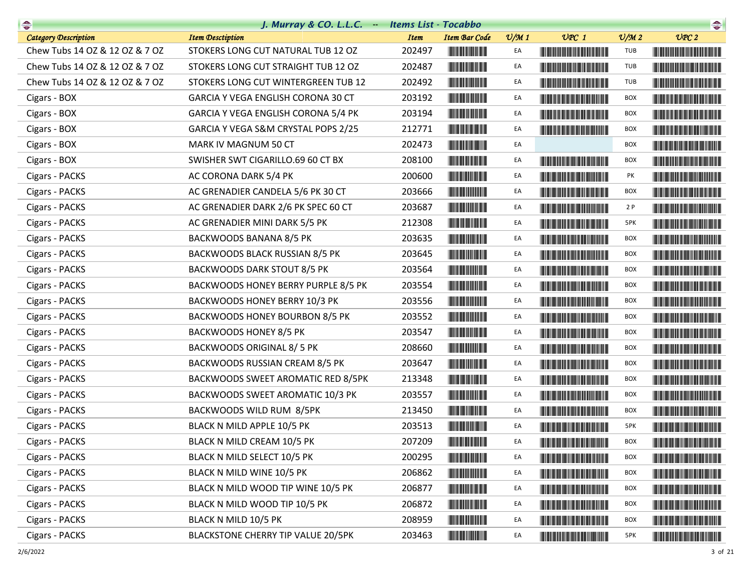|                                | J. Murray & CO. L.L.C. - Items List - Tocabbo |             |                                                                                                                       |                 |                                                                                                                                                                                                                                      |                 | $\begin{picture}(20,10) \put(0,0){\line(1,0){10}} \put(15,0){\line(1,0){10}} \put(15,0){\line(1,0){10}} \put(15,0){\line(1,0){10}} \put(15,0){\line(1,0){10}} \put(15,0){\line(1,0){10}} \put(15,0){\line(1,0){10}} \put(15,0){\line(1,0){10}} \put(15,0){\line(1,0){10}} \put(15,0){\line(1,0){10}} \put(15,0){\line(1,0){10}} \put(15,0){\line(1$ |
|--------------------------------|-----------------------------------------------|-------------|-----------------------------------------------------------------------------------------------------------------------|-----------------|--------------------------------------------------------------------------------------------------------------------------------------------------------------------------------------------------------------------------------------|-----------------|-----------------------------------------------------------------------------------------------------------------------------------------------------------------------------------------------------------------------------------------------------------------------------------------------------------------------------------------------------|
| <b>Category Description</b>    | <b>Item Desctiption</b>                       | <b>Item</b> | <b>Item Bar Code</b>                                                                                                  | $\frac{v}{M}$ 1 | $UPC$ 1                                                                                                                                                                                                                              | $\frac{v}{M}$ 2 | UPC2                                                                                                                                                                                                                                                                                                                                                |
| Chew Tubs 14 OZ & 12 OZ & 7 OZ | STOKERS LONG CUT NATURAL TUB 12 OZ            | 202497      |                                                                                                                       | EA              |                                                                                                                                                                                                                                      | TUB             | <u> Handi Handi Handi Handi Handi Ha</u>                                                                                                                                                                                                                                                                                                            |
| Chew Tubs 14 OZ & 12 OZ & 7 OZ | STOKERS LONG CUT STRAIGHT TUB 12 OZ           | 202487      | <u> Herbert Herbert in der Erste </u>                                                                                 | EA              |                                                                                                                                                                                                                                      | TUB             |                                                                                                                                                                                                                                                                                                                                                     |
| Chew Tubs 14 OZ & 12 OZ & 7 OZ | STOKERS LONG CUT WINTERGREEN TUB 12           | 202492      |                                                                                                                       | EA              | <b>The Common Service Common</b>                                                                                                                                                                                                     | <b>TUB</b>      |                                                                                                                                                                                                                                                                                                                                                     |
| Cigars - BOX                   | GARCIA Y VEGA ENGLISH CORONA 30 CT            | 203192      |                                                                                                                       | EA              | <u> Harry Harry Harry Harry Harry Harry Harry Harry Harry Harry Harry Harry Harry Harry Harry Harry Harry Harry Harry Harry Harry Harry Harry Harry Harry Harry Harry Harry Harry Harry Harry Harry Harry Harry Harry Harry Harr</u> | BOX             |                                                                                                                                                                                                                                                                                                                                                     |
| Cigars - BOX                   | GARCIA Y VEGA ENGLISH CORONA 5/4 PK           | 203194      |                                                                                                                       | EA              |                                                                                                                                                                                                                                      | BOX             |                                                                                                                                                                                                                                                                                                                                                     |
| Cigars - BOX                   | GARCIA Y VEGA S&M CRYSTAL POPS 2/25           | 212771      |                                                                                                                       | EA              |                                                                                                                                                                                                                                      | <b>BOX</b>      |                                                                                                                                                                                                                                                                                                                                                     |
| Cigars - BOX                   | MARK IV MAGNUM 50 CT                          | 202473      |                                                                                                                       | EA              |                                                                                                                                                                                                                                      | <b>BOX</b>      |                                                                                                                                                                                                                                                                                                                                                     |
| Cigars - BOX                   | SWISHER SWT CIGARILLO.69 60 CT BX             | 208100      |                                                                                                                       | EA              |                                                                                                                                                                                                                                      | BOX             |                                                                                                                                                                                                                                                                                                                                                     |
| Cigars - PACKS                 | AC CORONA DARK 5/4 PK                         | 200600      |                                                                                                                       | EA              | <u> The Community of the Community of the Community of the Community of the Community of the Community of the Community of the Community of the Community of the Community of the Community of the Community of the Community of</u> | PK              |                                                                                                                                                                                                                                                                                                                                                     |
| Cigars - PACKS                 | AC GRENADIER CANDELA 5/6 PK 30 CT             | 203666      |                                                                                                                       | EA              |                                                                                                                                                                                                                                      | <b>BOX</b>      |                                                                                                                                                                                                                                                                                                                                                     |
| Cigars - PACKS                 | AC GRENADIER DARK 2/6 PK SPEC 60 CT           | 203687      |                                                                                                                       | EA              |                                                                                                                                                                                                                                      | 2P              | <u> The Community of the Community of the Community of the Community of the Community of the Community of the Community of the Community of the Community of the Community of the Community of the Community of the Community of</u>                                                                                                                |
| Cigars - PACKS                 | AC GRENADIER MINI DARK 5/5 PK                 | 212308      | <u> Herbert Herbert in der Erste </u>                                                                                 | EA              | <u> Timba ka matsayin ka matsayin ka matsayin ka matsayin ka matsayin ka matsayin ka matsayin ka matsayin ka matsayin ka matsayin ka matsayin ka matsayin ka matsayin ka matsayin ka matsayin ka matsayin ka matsayin ka matsayi</u> | 5PK             | <u> Harajan kalendari ya Kat</u>                                                                                                                                                                                                                                                                                                                    |
| Cigars - PACKS                 | BACKWOODS BANANA 8/5 PK                       | 203635      |                                                                                                                       | EA              |                                                                                                                                                                                                                                      | BOX             |                                                                                                                                                                                                                                                                                                                                                     |
| Cigars - PACKS                 | BACKWOODS BLACK RUSSIAN 8/5 PK                | 203645      | <u> Indian American Indian Indian Indian Indian Indian Indian Indian Indian Indian Indian Indian Indian Indian In</u> | EA              | <u> Harry Harry Harry Harry Harry Harry Harry Harry Harry Harry Harry Harry Harry Harry Harry Harry Harry Harry H</u>                                                                                                                | <b>BOX</b>      |                                                                                                                                                                                                                                                                                                                                                     |
| Cigars - PACKS                 | BACKWOODS DARK STOUT 8/5 PK                   | 203564      |                                                                                                                       | EA              |                                                                                                                                                                                                                                      | BOX             | <b>The Community of the Community</b>                                                                                                                                                                                                                                                                                                               |
| Cigars - PACKS                 | BACKWOODS HONEY BERRY PURPLE 8/5 PK           | 203554      |                                                                                                                       | EA              | <u> Harry Harry Harry Harry Harry Harry Harry Harry Harry Harry Harry Harry Harry Harry Harry Harry Harry Harry Harry Harry Harry Harry Harry Harry Harry Harry Harry Harry Harry Harry Harry Harry Harry Harry Harry Harry Harr</u> | BOX             |                                                                                                                                                                                                                                                                                                                                                     |
| Cigars - PACKS                 | BACKWOODS HONEY BERRY 10/3 PK                 | 203556      |                                                                                                                       | EA              | <b>The Committee of the Committee of the Committee</b>                                                                                                                                                                               | BOX             |                                                                                                                                                                                                                                                                                                                                                     |
| Cigars - PACKS                 | BACKWOODS HONEY BOURBON 8/5 PK                | 203552      |                                                                                                                       | EA              | <b>The Community of the Community</b>                                                                                                                                                                                                | <b>BOX</b>      |                                                                                                                                                                                                                                                                                                                                                     |
| Cigars - PACKS                 | BACKWOODS HONEY 8/5 PK                        | 203547      |                                                                                                                       | EA              |                                                                                                                                                                                                                                      | <b>BOX</b>      |                                                                                                                                                                                                                                                                                                                                                     |
| Cigars - PACKS                 | BACKWOODS ORIGINAL 8/5 PK                     | 208660      | <u> Herbert Herbert in der Entschaft</u>                                                                              | EA              | <b>The Common Section</b>                                                                                                                                                                                                            | BOX             | <u> Harry Harry Harry Harry Harry Harry Harry Harry Harry Harry Harry Harry Harry Harry Harry Harry Harry Harry Harry Harry Harry Harry Harry Harry Harry Harry Harry Harry Harry Harry Harry Harry Harry Harry Harry Harry Harr</u>                                                                                                                |
| Cigars - PACKS                 | BACKWOODS RUSSIAN CREAM 8/5 PK                | 203647      | <u> Herbert Herbert in der Entschaft</u>                                                                              | EA              | <b>The Community of Second Second</b>                                                                                                                                                                                                | BOX             |                                                                                                                                                                                                                                                                                                                                                     |
| Cigars - PACKS                 | BACKWOODS SWEET AROMATIC RED 8/5PK            | 213348      |                                                                                                                       | EA              |                                                                                                                                                                                                                                      | <b>BOX</b>      |                                                                                                                                                                                                                                                                                                                                                     |
| Cigars - PACKS                 | BACKWOODS SWEET AROMATIC 10/3 PK              | 203557      |                                                                                                                       | EA              | <b>The Community of the Community</b>                                                                                                                                                                                                | BOX             |                                                                                                                                                                                                                                                                                                                                                     |
| Cigars - PACKS                 | BACKWOODS WILD RUM 8/5PK                      | 213450      | <u> Herman Maria San Barat </u>                                                                                       | EA              |                                                                                                                                                                                                                                      | BOX             | <u> Harry Harry Harry Harry Harry Harry Harry Harry Harry Harry Harry Harry Harry Harry Harry Harry Harry Harry Harry Harry Harry Harry Harry Harry Harry Harry Harry Harry Harry Harry Harry Harry Harry Harry Harry Harry Harr</u>                                                                                                                |
| Cigars - PACKS                 | BLACK N MILD APPLE 10/5 PK                    | 203513      |                                                                                                                       | EA              | <u> Harat Barat Barat Barat Barat Barat Barat Barat Barat Barat Barat Barat Barat Barat Barat Barat Barat Barat Barat Barat Barat Barat Barat Barat Barat Barat Barat Barat Barat Barat Barat Barat Barat Barat Barat Barat Bara</u> | 5PK             |                                                                                                                                                                                                                                                                                                                                                     |
| Cigars - PACKS                 | BLACK N MILD CREAM 10/5 PK                    | 207209      | <b>THE REAL PROPERTY</b>                                                                                              |                 |                                                                                                                                                                                                                                      | <b>BOX</b>      |                                                                                                                                                                                                                                                                                                                                                     |
| Cigars - PACKS                 | BLACK N MILD SELECT 10/5 PK                   | 200295      |                                                                                                                       | EA              | <b>The Community of the Community</b>                                                                                                                                                                                                | BOX             |                                                                                                                                                                                                                                                                                                                                                     |
| Cigars - PACKS                 | BLACK N MILD WINE 10/5 PK                     | 206862      | <u> III de la contrada de la con</u>                                                                                  | EA              |                                                                                                                                                                                                                                      | <b>BOX</b>      |                                                                                                                                                                                                                                                                                                                                                     |
| Cigars - PACKS                 | BLACK N MILD WOOD TIP WINE 10/5 PK            | 206877      | <u> Herbert Herbert in der Entschaft</u>                                                                              | EA              | <u> Tanzania (Barat III) et al. In provincia de la provincia de la provincia de la provincia de la provincia de l</u>                                                                                                                | <b>BOX</b>      |                                                                                                                                                                                                                                                                                                                                                     |
| Cigars - PACKS                 | BLACK N MILD WOOD TIP 10/5 PK                 | 206872      | <u> III de la contrada de la con</u>                                                                                  | EA              |                                                                                                                                                                                                                                      | <b>BOX</b>      |                                                                                                                                                                                                                                                                                                                                                     |
| Cigars - PACKS                 | BLACK N MILD 10/5 PK                          | 208959      |                                                                                                                       | EA              | <u> Harry Harry Harry Harry Harry Harry Harry Harry Harry Harry Harry Harry Harry Harry Harry Harry Harry Harry Harry Harry Harry Harry Harry Harry Harry Harry Harry Harry Harry Harry Harry Harry Harry Harry Harry Harry Harr</u> | BOX             |                                                                                                                                                                                                                                                                                                                                                     |
| Cigars - PACKS                 | BLACKSTONE CHERRY TIP VALUE 20/5PK            | 203463      |                                                                                                                       | EA              |                                                                                                                                                                                                                                      | 5PK             |                                                                                                                                                                                                                                                                                                                                                     |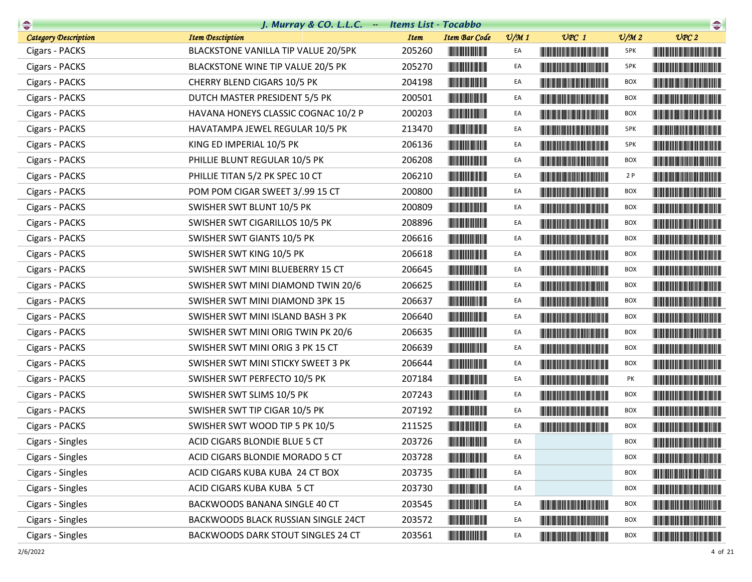|                             | J. Murray & CO. L.L.C. - Items List - Tocabbo |             |                                                        |                 |                                                                                                                                                                                                                                      |                             | $\begin{picture}(20,10) \put(0,0){\line(1,0){10}} \put(0,0){\line(1,0){10}} \put(0,0){\line(1,0){10}} \put(0,0){\line(1,0){10}} \put(0,0){\line(1,0){10}} \put(0,0){\line(1,0){10}} \put(0,0){\line(1,0){10}} \put(0,0){\line(1,0){10}} \put(0,0){\line(1,0){10}} \put(0,0){\line(1,0){10}} \put(0,0){\line(1,0){10}} \put(0,0){\line(1,0){10}} \put(0,$ |
|-----------------------------|-----------------------------------------------|-------------|--------------------------------------------------------|-----------------|--------------------------------------------------------------------------------------------------------------------------------------------------------------------------------------------------------------------------------------|-----------------------------|----------------------------------------------------------------------------------------------------------------------------------------------------------------------------------------------------------------------------------------------------------------------------------------------------------------------------------------------------------|
| <b>Category Description</b> | <b>Item Desctiption</b>                       | <b>Item</b> | <b>Item Bar Code</b>                                   | $\frac{v}{M}$ 1 | $UPC$ 1                                                                                                                                                                                                                              | $\mathcal{O}/\mathcal{M}$ 2 | UPC2                                                                                                                                                                                                                                                                                                                                                     |
| Cigars - PACKS              | BLACKSTONE VANILLA TIP VALUE 20/5PK           | 205260      |                                                        | EA              |                                                                                                                                                                                                                                      | 5PK                         |                                                                                                                                                                                                                                                                                                                                                          |
| Cigars - PACKS              | BLACKSTONE WINE TIP VALUE 20/5 PK             | 205270      | <u> Herbert Herbert in der Entschaft</u>               | EA              |                                                                                                                                                                                                                                      | 5PK                         |                                                                                                                                                                                                                                                                                                                                                          |
| Cigars - PACKS              | CHERRY BLEND CIGARS 10/5 PK                   | 204198      |                                                        | EA              |                                                                                                                                                                                                                                      | <b>BOX</b>                  |                                                                                                                                                                                                                                                                                                                                                          |
| Cigars - PACKS              | DUTCH MASTER PRESIDENT 5/5 PK                 | 200501      |                                                        | EA              |                                                                                                                                                                                                                                      | <b>BOX</b>                  |                                                                                                                                                                                                                                                                                                                                                          |
| Cigars - PACKS              | HAVANA HONEYS CLASSIC COGNAC 10/2 P           | 200203      |                                                        | EA              |                                                                                                                                                                                                                                      | BOX                         |                                                                                                                                                                                                                                                                                                                                                          |
| Cigars - PACKS              | HAVATAMPA JEWEL REGULAR 10/5 PK               | 213470      |                                                        | EA              |                                                                                                                                                                                                                                      | 5PK                         |                                                                                                                                                                                                                                                                                                                                                          |
| Cigars - PACKS              | KING ED IMPERIAL 10/5 PK                      | 206136      |                                                        | EA              |                                                                                                                                                                                                                                      | 5PK                         |                                                                                                                                                                                                                                                                                                                                                          |
| Cigars - PACKS              | PHILLIE BLUNT REGULAR 10/5 PK                 | 206208      |                                                        | EA              |                                                                                                                                                                                                                                      | <b>BOX</b>                  |                                                                                                                                                                                                                                                                                                                                                          |
| Cigars - PACKS              | PHILLIE TITAN 5/2 PK SPEC 10 CT               | 206210      |                                                        | EA              | <u> The Community of the Community of the Community of the Community of the Community of the Community of the Community of the Community of the Community of the Community of the Community of the Community of the Community of</u> | 2P                          |                                                                                                                                                                                                                                                                                                                                                          |
| Cigars - PACKS              | POM POM CIGAR SWEET 3/.99 15 CT               | 200800      | <u> Herbert Herbert in der Entschaft</u>               | EA              |                                                                                                                                                                                                                                      | BOX                         |                                                                                                                                                                                                                                                                                                                                                          |
| Cigars - PACKS              | SWISHER SWT BLUNT 10/5 PK                     | 200809      |                                                        | EA              |                                                                                                                                                                                                                                      | BOX                         |                                                                                                                                                                                                                                                                                                                                                          |
| Cigars - PACKS              | SWISHER SWT CIGARILLOS 10/5 PK                | 208896      |                                                        | EA              | <u> Harry Harry Harry Harry Harry Harry Harry Harry Harry Harry Harry Harry Harry Harry Harry Harry Harry Harry Harry Harry Harry Harry Harry Harry Harry Harry Harry Harry Harry Harry Harry Harry Harry Harry Harry Harry Harr</u> | BOX                         |                                                                                                                                                                                                                                                                                                                                                          |
| Cigars - PACKS              | SWISHER SWT GIANTS 10/5 PK                    | 206616      |                                                        | EA              |                                                                                                                                                                                                                                      | <b>BOX</b>                  |                                                                                                                                                                                                                                                                                                                                                          |
| Cigars - PACKS              | SWISHER SWT KING 10/5 PK                      | 206618      |                                                        | EA              | <u> Liberal Maria de la contrada de la con</u>                                                                                                                                                                                       | <b>BOX</b>                  |                                                                                                                                                                                                                                                                                                                                                          |
| Cigars - PACKS              | SWISHER SWT MINI BLUEBERRY 15 CT              | 206645      |                                                        | EA              |                                                                                                                                                                                                                                      | <b>BOX</b>                  |                                                                                                                                                                                                                                                                                                                                                          |
| Cigars - PACKS              | SWISHER SWT MINI DIAMOND TWIN 20/6            | 206625      |                                                        | EA              | <u> Liberal Maria de la contrada de la con</u>                                                                                                                                                                                       | BOX                         |                                                                                                                                                                                                                                                                                                                                                          |
| Cigars - PACKS              | SWISHER SWT MINI DIAMOND 3PK 15               | 206637      |                                                        | EA              | <u> Harry Harry Harry Harry Harry Harry Harry Harry Harry Harry Harry Harry Harry Harry Harry Harry Harry Harry Harry Harry Harry Harry Harry Harry Harry Harry Harry Harry Harry Harry Harry Harry Harry Harry Harry Harry Harr</u> | <b>BOX</b>                  | <u> Harry Harry Harry Harry Harry Harry Harry Harry Harry Harry Harry Harry Harry Harry Harry Harry Harry Harry Harry Harry Harry Harry Harry Harry Harry Harry Harry Harry Harry Harry Harry Harry Harry Harry Harry Harry Harr</u>                                                                                                                     |
| Cigars - PACKS              | SWISHER SWT MINI ISLAND BASH 3 PK             | 206640      | <b>The Committee of the Committee of the Committee</b> | EA              |                                                                                                                                                                                                                                      | <b>BOX</b>                  | <b>The Community of the Community</b>                                                                                                                                                                                                                                                                                                                    |
| Cigars - PACKS              | SWISHER SWT MINI ORIG TWIN PK 20/6            | 206635      |                                                        | EA              |                                                                                                                                                                                                                                      | <b>BOX</b>                  |                                                                                                                                                                                                                                                                                                                                                          |
| Cigars - PACKS              | SWISHER SWT MINI ORIG 3 PK 15 CT              | 206639      |                                                        | EA              |                                                                                                                                                                                                                                      | <b>BOX</b>                  | <u> Harat Barat Barat Barat Barat Barat Barat Barat Barat Barat Barat Barat Barat Barat Barat Barat Barat Barat Ba</u>                                                                                                                                                                                                                                   |
| Cigars - PACKS              | SWISHER SWT MINI STICKY SWEET 3 PK            | 206644      |                                                        | EA              |                                                                                                                                                                                                                                      | BOX                         | <b>The Community of the Community</b>                                                                                                                                                                                                                                                                                                                    |
| Cigars - PACKS              | SWISHER SWT PERFECTO 10/5 PK                  | 207184      |                                                        | EA              | <u> Timba ka matsayin ka matsayin ka matsayin ka matsayin ka matsayin ka matsayin ka matsayin ka matsayin ka matsayin ka matsayin ka matsayin ka matsayin ka matsayin ka matsayin ka matsayin ka matsayin ka matsayin ka matsayi</u> | PΚ                          |                                                                                                                                                                                                                                                                                                                                                          |
| Cigars - PACKS              | SWISHER SWT SLIMS 10/5 PK                     | 207243      |                                                        | EA              |                                                                                                                                                                                                                                      | <b>BOX</b>                  |                                                                                                                                                                                                                                                                                                                                                          |
| Cigars - PACKS              | SWISHER SWT TIP CIGAR 10/5 PK                 | 207192      |                                                        | EA              |                                                                                                                                                                                                                                      | BOX                         |                                                                                                                                                                                                                                                                                                                                                          |
| Cigars - PACKS              | SWISHER SWT WOOD TIP 5 PK 10/5                | 211525      |                                                        | EA              |                                                                                                                                                                                                                                      | <b>BOX</b>                  | <u> Harat Barat Barat Barat Barat Barat Barat Barat Barat Barat Barat Barat Barat Barat Barat Barat Barat Barat Ba</u>                                                                                                                                                                                                                                   |
| Cigars - Singles            | ACID CIGARS BLONDIE BLUE 5 CT                 | 203726      |                                                        | EA              |                                                                                                                                                                                                                                      | BOX                         |                                                                                                                                                                                                                                                                                                                                                          |
| Cigars - Singles            | ACID CIGARS BLONDIE MORADO 5 CT               | 203728      |                                                        | EA              |                                                                                                                                                                                                                                      | <b>BOX</b>                  | <u> Liberal Maria Maria Maria Maria Maria Maria Maria Maria Maria Maria Maria Maria Maria Maria Maria Maria Maria </u>                                                                                                                                                                                                                                   |
| Cigars - Singles            | ACID CIGARS KUBA KUBA 24 CT BOX               | 203735      |                                                        | EA              |                                                                                                                                                                                                                                      | BOX                         |                                                                                                                                                                                                                                                                                                                                                          |
| Cigars - Singles            | ACID CIGARS KUBA KUBA 5 CT                    | 203730      | <b>CONTRACTOR</b>                                      | EA              |                                                                                                                                                                                                                                      | BOX                         |                                                                                                                                                                                                                                                                                                                                                          |
| Cigars - Singles            | BACKWOODS BANANA SINGLE 40 CT                 | 203545      |                                                        | EA              | <u> Harrison de la provincia de la provincia de la provincia de la provincia de la provincia de la provincia de l</u>                                                                                                                | <b>BOX</b>                  | <u> Die Berger von Die Berger von Die Berger von Die Berger von Die Berger von Die Berger von Die Berger von Die B</u>                                                                                                                                                                                                                                   |
| Cigars - Singles            | BACKWOODS BLACK RUSSIAN SINGLE 24CT           | 203572      | <u> Herbert Herbert in der Entschaft</u>               | EA              |                                                                                                                                                                                                                                      | <b>BOX</b>                  |                                                                                                                                                                                                                                                                                                                                                          |
| Cigars - Singles            | BACKWOODS DARK STOUT SINGLES 24 CT            | 203561      |                                                        | EA              |                                                                                                                                                                                                                                      | BOX                         | <b>The Community of the Community</b>                                                                                                                                                                                                                                                                                                                    |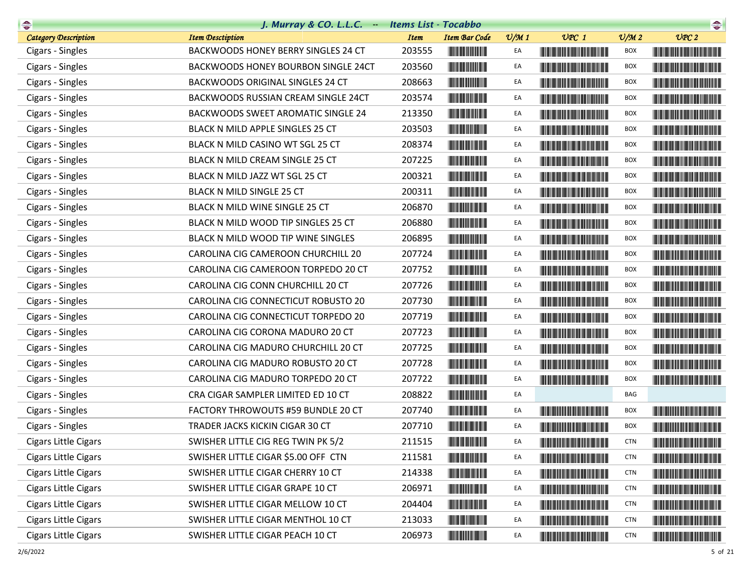| $\begin{picture}(20,10) \put(0,0){\line(1,0){10}} \put(10,0){\line(1,0){10}} \put(10,0){\line(1,0){10}} \put(10,0){\line(1,0){10}} \put(10,0){\line(1,0){10}} \put(10,0){\line(1,0){10}} \put(10,0){\line(1,0){10}} \put(10,0){\line(1,0){10}} \put(10,0){\line(1,0){10}} \put(10,0){\line(1,0){10}} \put(10,0){\line(1,0){10}} \put(10,0){\line(1$ | $J.$ Murray & CO. L.L.C. $-$              | <b>Items List - Tocabbo</b> |                                          |                 |                                                                                                                                                                                                                                      |                 |                                                                                                                                                                                                                                      |
|-----------------------------------------------------------------------------------------------------------------------------------------------------------------------------------------------------------------------------------------------------------------------------------------------------------------------------------------------------|-------------------------------------------|-----------------------------|------------------------------------------|-----------------|--------------------------------------------------------------------------------------------------------------------------------------------------------------------------------------------------------------------------------------|-----------------|--------------------------------------------------------------------------------------------------------------------------------------------------------------------------------------------------------------------------------------|
| <b>Category Description</b>                                                                                                                                                                                                                                                                                                                         | <b>Item Desctiption</b>                   | <b>Item</b>                 | <b>Item Bar Code</b>                     | $\frac{v}{M}$ 1 | $UPC$ 1                                                                                                                                                                                                                              | $\frac{v}{M}$ 2 | UPC2                                                                                                                                                                                                                                 |
| Cigars - Singles                                                                                                                                                                                                                                                                                                                                    | BACKWOODS HONEY BERRY SINGLES 24 CT       | 203555                      |                                          | EA              | <u> Harat Barat Barat Barat Barat Barat Barat Barat Barat Barat Barat Barat Barat Barat Barat Barat Barat Barat Barat Barat Barat Barat Barat Barat Barat Barat Barat Barat Barat Barat Barat Barat Barat Barat Barat Barat Bara</u> | BOX             | <u> Harry Harry Harry Harry Harry Harry Harry Harry Harry Harry Harry Harry Harry Harry Harry Harry Harry Harry Harry Harry Harry Harry Harry Harry Harry Harry Harry Harry Harry Harry Harry Harry Harry Harry Harry Harry Harr</u> |
| Cigars - Singles                                                                                                                                                                                                                                                                                                                                    | BACKWOODS HONEY BOURBON SINGLE 24CT       | 203560                      |                                          | EA              |                                                                                                                                                                                                                                      | BOX             |                                                                                                                                                                                                                                      |
| Cigars - Singles                                                                                                                                                                                                                                                                                                                                    | BACKWOODS ORIGINAL SINGLES 24 CT          | 208663                      |                                          | EA              | <u> Harry Harry Harry Harry Harry Harry Harry Harry Harry Harry Harry Harry Harry Harry Harry Harry Harry Harry Harry Harry Harry Harry Harry Harry Harry Harry Harry Harry Harry Harry Harry Harry Harry Harry Harry Harry Harr</u> | <b>BOX</b>      | <u> Harry Harry Harry Harry Harry Harry Harry Harry Harry Harry Harry Harry Harry Harry Harry Harry Harry Harry Harry Harry Harry Harry Harry Harry Harry Harry Harry Harry Harry Harry Harry Harry Harry Harry Harry Harry Harr</u> |
| Cigars - Singles                                                                                                                                                                                                                                                                                                                                    | BACKWOODS RUSSIAN CREAM SINGLE 24CT       | 203574                      |                                          | EA              | <u> Harry Harry Harry Harry Harry Harry Harry Harry Harry Harry Harry Harry Harry Harry Harry Harry Harry Harry Harry Harry Harry Harry Harry Harry Harry Harry Harry Harry Harry Harry Harry Harry Harry Harry Harry Harry Harr</u> | <b>BOX</b>      |                                                                                                                                                                                                                                      |
| Cigars - Singles                                                                                                                                                                                                                                                                                                                                    | <b>BACKWOODS SWEET AROMATIC SINGLE 24</b> | 213350                      |                                          | EA              |                                                                                                                                                                                                                                      | <b>BOX</b>      |                                                                                                                                                                                                                                      |
| Cigars - Singles                                                                                                                                                                                                                                                                                                                                    | BLACK N MILD APPLE SINGLES 25 CT          | 203503                      | <u> III de la contrada de la con</u>     | EA              | <u> Harajan Maria Maria Ma</u>                                                                                                                                                                                                       | <b>BOX</b>      |                                                                                                                                                                                                                                      |
| Cigars - Singles                                                                                                                                                                                                                                                                                                                                    | BLACK N MILD CASINO WT SGL 25 CT          | 208374                      | <u> Indian Andrew Maria II</u>           | EA              |                                                                                                                                                                                                                                      | <b>BOX</b>      |                                                                                                                                                                                                                                      |
| Cigars - Singles                                                                                                                                                                                                                                                                                                                                    | BLACK N MILD CREAM SINGLE 25 CT           | 207225                      |                                          | EA              |                                                                                                                                                                                                                                      | <b>BOX</b>      |                                                                                                                                                                                                                                      |
| Cigars - Singles                                                                                                                                                                                                                                                                                                                                    | BLACK N MILD JAZZ WT SGL 25 CT            | 200321                      |                                          | EA              |                                                                                                                                                                                                                                      | <b>BOX</b>      |                                                                                                                                                                                                                                      |
| Cigars - Singles                                                                                                                                                                                                                                                                                                                                    | BLACK N MILD SINGLE 25 CT                 | 200311                      | <u> Herbert Herbert i Sta</u>            | EA              |                                                                                                                                                                                                                                      | <b>BOX</b>      |                                                                                                                                                                                                                                      |
| Cigars - Singles                                                                                                                                                                                                                                                                                                                                    | BLACK N MILD WINE SINGLE 25 CT            | 206870                      | <u> III de la contrada de la con</u>     | EA              | <u> Harry Harry Harry Harry Harry Harry Harry Harry Harry Harry Harry Harry Harry Harry Harry Harry Harry Harry Harry Harry Harry Harry Harry Harry Harry Harry Harry Harry Harry Harry Harry Harry Harry Harry Harry Harry Harr</u> | <b>BOX</b>      |                                                                                                                                                                                                                                      |
| Cigars - Singles                                                                                                                                                                                                                                                                                                                                    | BLACK N MILD WOOD TIP SINGLES 25 CT       | 206880                      |                                          | EA              |                                                                                                                                                                                                                                      | BOX             |                                                                                                                                                                                                                                      |
| Cigars - Singles                                                                                                                                                                                                                                                                                                                                    | BLACK N MILD WOOD TIP WINE SINGLES        | 206895                      |                                          | EA              | <u> Harry Harry Harry Harry Harry Harry Harry Harry Harry Harry Harry Harry Harry Harry Harry Harry Harry Harry Harry Harry Harry Harry Harry Harry Harry Harry Harry Harry Harry Harry Harry Harry Harry Harry Harry Harry Harr</u> | <b>BOX</b>      |                                                                                                                                                                                                                                      |
| Cigars - Singles                                                                                                                                                                                                                                                                                                                                    | CAROLINA CIG CAMEROON CHURCHILL 20        | 207724                      | <u> Indian Andrew Maria Si</u>           | EA              | <u> Harat Barat Barat Barat Barat Barat Barat Barat Barat Barat Barat Barat Barat Barat Barat Barat Barat Barat Barat Barat Barat Barat Barat Barat Barat Barat Barat Barat Barat Barat Barat Barat Barat Barat Barat Barat Bara</u> | <b>BOX</b>      |                                                                                                                                                                                                                                      |
| Cigars - Singles                                                                                                                                                                                                                                                                                                                                    | CAROLINA CIG CAMEROON TORPEDO 20 CT       | 207752                      |                                          | EA              | <u> Harry Harry Harry Harry Harry Harry Harry Harry Harry Harry Harry Harry Harry Harry Harry Harry Harry Harry Harry Harry Harry Harry Harry Harry Harry Harry Harry Harry Harry Harry Harry Harry Harry Harry Harry Harry Harr</u> | <b>BOX</b>      |                                                                                                                                                                                                                                      |
| Cigars - Singles                                                                                                                                                                                                                                                                                                                                    | CAROLINA CIG CONN CHURCHILL 20 CT         | 207726                      |                                          | EA              |                                                                                                                                                                                                                                      | <b>BOX</b>      |                                                                                                                                                                                                                                      |
| Cigars - Singles                                                                                                                                                                                                                                                                                                                                    | CAROLINA CIG CONNECTICUT ROBUSTO 20       | 207730                      |                                          | EA              |                                                                                                                                                                                                                                      | <b>BOX</b>      |                                                                                                                                                                                                                                      |
| Cigars - Singles                                                                                                                                                                                                                                                                                                                                    | CAROLINA CIG CONNECTICUT TORPEDO 20       | 207719                      | <u> III de la contrada de la con</u>     | EA              | <u> Harry Harry Harry Harry Harry Harry Harry Harry Harry Harry Harry Harry Harry Harry Harry Harry Harry Harry Harry Harry Harry Harry Harry Harry Harry Harry Harry Harry Harry Harry Harry Harry Harry Harry Harry Harry Harr</u> | <b>BOX</b>      |                                                                                                                                                                                                                                      |
| Cigars - Singles                                                                                                                                                                                                                                                                                                                                    | CAROLINA CIG CORONA MADURO 20 CT          | 207723                      |                                          | EA              |                                                                                                                                                                                                                                      | <b>BOX</b>      |                                                                                                                                                                                                                                      |
| Cigars - Singles                                                                                                                                                                                                                                                                                                                                    | CAROLINA CIG MADURO CHURCHILL 20 CT       | 207725                      |                                          | EA              | <u> Harry Harry Harry Harry Harry Harry Harry Harry Harry Harry Harry Harry Harry Harry Harry Harry Harry Harry Harry Harry Harry Harry Harry Harry Harry Harry Harry Harry Harry Harry Harry Harry Harry Harry Harry Harry Harr</u> | BOX             |                                                                                                                                                                                                                                      |
| Cigars - Singles                                                                                                                                                                                                                                                                                                                                    | CAROLINA CIG MADURO ROBUSTO 20 CT         | 207728                      |                                          | EA              |                                                                                                                                                                                                                                      | BOX             |                                                                                                                                                                                                                                      |
| Cigars - Singles                                                                                                                                                                                                                                                                                                                                    | CAROLINA CIG MADURO TORPEDO 20 CT         | 207722                      | <u> Herbert Herbert in der Entschaft</u> | EA              | <u> Herbert Herbert in der Erste der Erste der Erste der Erste der Erste der Erste der Erste der Erste der Erste </u>                                                                                                                | <b>BOX</b>      |                                                                                                                                                                                                                                      |
| Cigars - Singles                                                                                                                                                                                                                                                                                                                                    | CRA CIGAR SAMPLER LIMITED ED 10 CT        | 208822                      |                                          | EA              |                                                                                                                                                                                                                                      | <b>BAG</b>      |                                                                                                                                                                                                                                      |
| Cigars - Singles                                                                                                                                                                                                                                                                                                                                    | FACTORY THROWOUTS #59 BUNDLE 20 CT        | 207740                      |                                          | EA              | <u> Liberal Maria de la contrada de la con</u>                                                                                                                                                                                       | BOX             |                                                                                                                                                                                                                                      |
| Cigars - Singles                                                                                                                                                                                                                                                                                                                                    | TRADER JACKS KICKIN CIGAR 30 CT           | 207710                      | <u> Herbert Herbert in der Erste </u>    | EA              | <b>The Community of the Community</b>                                                                                                                                                                                                | <b>BOX</b>      |                                                                                                                                                                                                                                      |
| Cigars Little Cigars                                                                                                                                                                                                                                                                                                                                | SWISHER LITTLE CIG REG TWIN PK 5/2        | 211515                      |                                          | EA              |                                                                                                                                                                                                                                      | <b>CTN</b>      |                                                                                                                                                                                                                                      |
| Cigars Little Cigars                                                                                                                                                                                                                                                                                                                                | SWISHER LITTLE CIGAR \$5.00 OFF CTN       | 211581                      |                                          | EA              | <u> Liberal Maria de la contrada de la con</u>                                                                                                                                                                                       | <b>CTN</b>      | <u> Harry Harry Harry Harry Harry Harry Harry Harry Harry Harry Harry Harry Harry Harry Harry Harry Harry Harry Harry Harry Harry Harry Harry Harry Harry Harry Harry Harry Harry Harry Harry Harry Harry Harry Harry Harry Harr</u> |
| Cigars Little Cigars                                                                                                                                                                                                                                                                                                                                | SWISHER LITTLE CIGAR CHERRY 10 CT         | 214338                      |                                          | EA              |                                                                                                                                                                                                                                      | <b>CTN</b>      |                                                                                                                                                                                                                                      |
| Cigars Little Cigars                                                                                                                                                                                                                                                                                                                                | SWISHER LITTLE CIGAR GRAPE 10 CT          | 206971                      | <b>The Committee of the Committee</b>    | EA              | <u> Harry Harry Harry Harry Harry Harry Harry Harry Harry Harry Harry Harry Harry Harry Harry Harry Harry Harry Harry Harry Harry Harry Harry Harry Harry Harry Harry Harry Harry Harry Harry Harry Harry Harry Harry Harry Harr</u> | <b>CTN</b>      |                                                                                                                                                                                                                                      |
| Cigars Little Cigars                                                                                                                                                                                                                                                                                                                                | SWISHER LITTLE CIGAR MELLOW 10 CT         | 204404                      | <u> Herbert Herbert in der Erste </u>    | EA              | <u> Liberal Maria de la contrada de la con</u>                                                                                                                                                                                       | <b>CTN</b>      |                                                                                                                                                                                                                                      |
| Cigars Little Cigars                                                                                                                                                                                                                                                                                                                                | SWISHER LITTLE CIGAR MENTHOL 10 CT        | 213033                      |                                          | EA              |                                                                                                                                                                                                                                      | <b>CTN</b>      |                                                                                                                                                                                                                                      |
| Cigars Little Cigars                                                                                                                                                                                                                                                                                                                                | SWISHER LITTLE CIGAR PEACH 10 CT          | 206973                      | <u> Herbert Herbert in der Entschaft</u> | EA              |                                                                                                                                                                                                                                      | <b>CTN</b>      |                                                                                                                                                                                                                                      |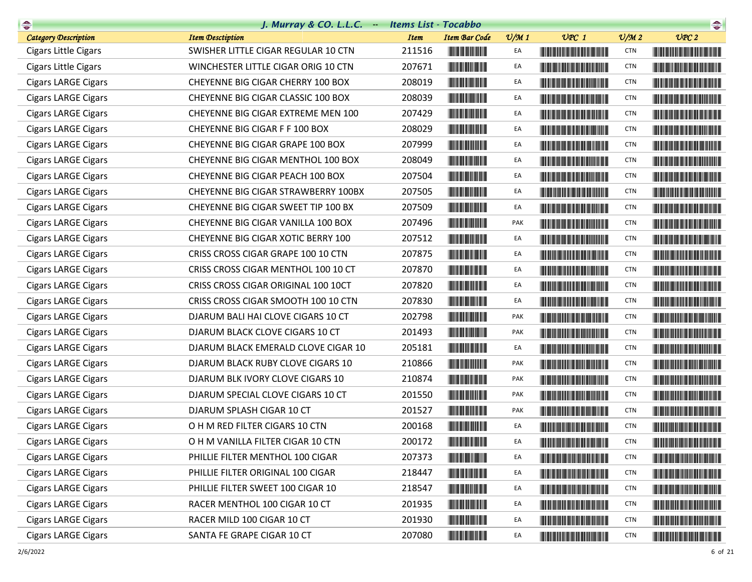| <b>Company</b>              | J. Murray & CO. L.L.C. $-$          | <b>Items List - Tocabbo</b> |                                                                                                                       |                 |                                                                                                                                                                                                                                      |                             | $\begin{picture}(20,10) \put(0,0){\line(1,0){10}} \put(10,0){\line(1,0){10}} \put(10,0){\line(1,0){10}} \put(10,0){\line(1,0){10}} \put(10,0){\line(1,0){10}} \put(10,0){\line(1,0){10}} \put(10,0){\line(1,0){10}} \put(10,0){\line(1,0){10}} \put(10,0){\line(1,0){10}} \put(10,0){\line(1,0){10}} \put(10,0){\line(1,0){10}} \put(10,0){\line(1$ |
|-----------------------------|-------------------------------------|-----------------------------|-----------------------------------------------------------------------------------------------------------------------|-----------------|--------------------------------------------------------------------------------------------------------------------------------------------------------------------------------------------------------------------------------------|-----------------------------|-----------------------------------------------------------------------------------------------------------------------------------------------------------------------------------------------------------------------------------------------------------------------------------------------------------------------------------------------------|
| <b>Category Description</b> | <b>Item Desctiption</b>             | <b>Item</b>                 | <b>Item Bar Code</b>                                                                                                  | $\frac{v}{M}$ 1 | $UPC$ 1                                                                                                                                                                                                                              | $\mathcal{O}/\mathcal{M}$ 2 | UPC2                                                                                                                                                                                                                                                                                                                                                |
| Cigars Little Cigars        | SWISHER LITTLE CIGAR REGULAR 10 CTN | 211516                      |                                                                                                                       | EA              | <u> Harry Harry Harry Harry Harry Harry Harry Harry Harry Harry Harry Harry Harry Harry Harry Harry Harry Harry Harry Harry Harry Harry Harry Harry Harry Harry Harry Harry Harry Harry Harry Harry Harry Harry Harry Harry Harr</u> | <b>CTN</b>                  | <b>The Community of the Community</b>                                                                                                                                                                                                                                                                                                               |
| Cigars Little Cigars        | WINCHESTER LITTLE CIGAR ORIG 10 CTN | 207671                      | <u> Herbert Herbert in der Erste </u>                                                                                 | EA              | <b>The Community of the Community</b>                                                                                                                                                                                                | <b>CTN</b>                  |                                                                                                                                                                                                                                                                                                                                                     |
| <b>Cigars LARGE Cigars</b>  | CHEYENNE BIG CIGAR CHERRY 100 BOX   | 208019                      |                                                                                                                       | EA              |                                                                                                                                                                                                                                      | <b>CTN</b>                  |                                                                                                                                                                                                                                                                                                                                                     |
| <b>Cigars LARGE Cigars</b>  | CHEYENNE BIG CIGAR CLASSIC 100 BOX  | 208039                      |                                                                                                                       | EA              |                                                                                                                                                                                                                                      | <b>CTN</b>                  |                                                                                                                                                                                                                                                                                                                                                     |
| <b>Cigars LARGE Cigars</b>  | CHEYENNE BIG CIGAR EXTREME MEN 100  | 207429                      | <b>CONTRACTOR</b>                                                                                                     | EA              |                                                                                                                                                                                                                                      | <b>CTN</b>                  |                                                                                                                                                                                                                                                                                                                                                     |
| <b>Cigars LARGE Cigars</b>  | CHEYENNE BIG CIGAR F F 100 BOX      | 208029                      | <u> Indian American Indian Indian Indian Indian Indian Indian Indian Indian Indian Indian Indian Indian Indian In</u> | EA              |                                                                                                                                                                                                                                      | <b>CTN</b>                  |                                                                                                                                                                                                                                                                                                                                                     |
| <b>Cigars LARGE Cigars</b>  | CHEYENNE BIG CIGAR GRAPE 100 BOX    | 207999                      |                                                                                                                       | EA              | <u> Timba ka masa sa kasang mga kalendari ng mga kasang mga kalendari ng mga kalendari ng mga kalendari ng mga ka</u>                                                                                                                | <b>CTN</b>                  |                                                                                                                                                                                                                                                                                                                                                     |
| <b>Cigars LARGE Cigars</b>  | CHEYENNE BIG CIGAR MENTHOL 100 BOX  | 208049                      |                                                                                                                       | EA              | <b>The Community of the Community</b>                                                                                                                                                                                                | <b>CTN</b>                  |                                                                                                                                                                                                                                                                                                                                                     |
| <b>Cigars LARGE Cigars</b>  | CHEYENNE BIG CIGAR PEACH 100 BOX    | 207504                      |                                                                                                                       | EA              | <u> The Community of the Community of the Community of the Community of the Community of the Community of the Community of the Community of the Community of the Community of the Community of the Community of the Community of</u> | <b>CTN</b>                  |                                                                                                                                                                                                                                                                                                                                                     |
| <b>Cigars LARGE Cigars</b>  | CHEYENNE BIG CIGAR STRAWBERRY 100BX | 207505                      | <u> Indian Andrew Maria Stranger (</u>                                                                                | EA              |                                                                                                                                                                                                                                      | <b>CTN</b>                  |                                                                                                                                                                                                                                                                                                                                                     |
| <b>Cigars LARGE Cigars</b>  | CHEYENNE BIG CIGAR SWEET TIP 100 BX | 207509                      |                                                                                                                       | EA              | <u> Timba ka matsayin ka matsayin ka matsayin ka matsayin ka matsayin ka matsayin ka matsayin ka matsayin ka matsayin ka matsayin ka matsayin ka matsayin ka matsayin ka matsayin ka matsayin ka matsayin ka matsayin ka matsayi</u> | <b>CTN</b>                  |                                                                                                                                                                                                                                                                                                                                                     |
| <b>Cigars LARGE Cigars</b>  | CHEYENNE BIG CIGAR VANILLA 100 BOX  | 207496                      |                                                                                                                       | PAK             | <u> Historia de la contrada de la contrada de la con</u>                                                                                                                                                                             | <b>CTN</b>                  | <u> Harry Harry Harry Harry Harry Harry Harry Harry Harry Harry Harry Harry Harry Harry Harry Harry Harry Harry Harry Harry Harry Harry Harry Harry Harry Harry Harry Harry Harry Harry Harry Harry Harry Harry Harry Harry Harr</u>                                                                                                                |
| <b>Cigars LARGE Cigars</b>  | CHEYENNE BIG CIGAR XOTIC BERRY 100  | 207512                      |                                                                                                                       | EA              | <u> Indian American State and The Books and The Books and The Books and The Books and The Books and The Books and The Books and The Books and The Books and The Books and The Books and The Books and The Books and The Books an</u> | <b>CTN</b>                  |                                                                                                                                                                                                                                                                                                                                                     |
| <b>Cigars LARGE Cigars</b>  | CRISS CROSS CIGAR GRAPE 100 10 CTN  | 207875                      |                                                                                                                       | EA              | <u> Harry Harry Harry Harry Harry Harry Harry Harry Harry Harry Harry Harry Harry Harry Harry Harry Harry Harry Harry Harry Harry Harry Harry Harry Harry Harry Harry Harry Harry Harry Harry Harry Harry Harry Harry Harry Harr</u> | <b>CTN</b>                  |                                                                                                                                                                                                                                                                                                                                                     |
| <b>Cigars LARGE Cigars</b>  | CRISS CROSS CIGAR MENTHOL 100 10 CT | 207870                      |                                                                                                                       | EA              |                                                                                                                                                                                                                                      | <b>CTN</b>                  |                                                                                                                                                                                                                                                                                                                                                     |
| <b>Cigars LARGE Cigars</b>  | CRISS CROSS CIGAR ORIGINAL 100 10CT | 207820                      |                                                                                                                       | EA              |                                                                                                                                                                                                                                      | <b>CTN</b>                  |                                                                                                                                                                                                                                                                                                                                                     |
| <b>Cigars LARGE Cigars</b>  | CRISS CROSS CIGAR SMOOTH 100 10 CTN | 207830                      |                                                                                                                       | EA              |                                                                                                                                                                                                                                      | <b>CTN</b>                  |                                                                                                                                                                                                                                                                                                                                                     |
| <b>Cigars LARGE Cigars</b>  | DJARUM BALI HAI CLOVE CIGARS 10 CT  | 202798                      | <u> Herbert Herbert in der Entschaft</u>                                                                              | <b>PAK</b>      | <u> Die Berger von Die Berger von Die Berger von Die Berger von Die Berger von Die Berger von Die Berger von Die B</u>                                                                                                               | <b>CTN</b>                  |                                                                                                                                                                                                                                                                                                                                                     |
| <b>Cigars LARGE Cigars</b>  | DJARUM BLACK CLOVE CIGARS 10 CT     | 201493                      |                                                                                                                       | <b>PAK</b>      |                                                                                                                                                                                                                                      | <b>CTN</b>                  |                                                                                                                                                                                                                                                                                                                                                     |
| <b>Cigars LARGE Cigars</b>  | DJARUM BLACK EMERALD CLOVE CIGAR 10 | 205181                      |                                                                                                                       | EA              |                                                                                                                                                                                                                                      | <b>CTN</b>                  | <b>The Community of the Community</b>                                                                                                                                                                                                                                                                                                               |
| <b>Cigars LARGE Cigars</b>  | DJARUM BLACK RUBY CLOVE CIGARS 10   | 210866                      |                                                                                                                       | <b>PAK</b>      |                                                                                                                                                                                                                                      | <b>CTN</b>                  |                                                                                                                                                                                                                                                                                                                                                     |
| <b>Cigars LARGE Cigars</b>  | DJARUM BLK IVORY CLOVE CIGARS 10    | 210874                      |                                                                                                                       | PAK             |                                                                                                                                                                                                                                      | <b>CTN</b>                  |                                                                                                                                                                                                                                                                                                                                                     |
| <b>Cigars LARGE Cigars</b>  | DJARUM SPECIAL CLOVE CIGARS 10 CT   | 201550                      |                                                                                                                       | PAK             | <u> Harry Harry Harry Harry Harry Harry Harry Harry Harry Harry Harry Harry Harry Harry Harry Harry Harry Harry Harry Harry Harry Harry Harry Harry Harry Harry Harry Harry Harry Harry Harry Harry Harry Harry Harry Harry Harr</u> | <b>CTN</b>                  | <u> Harry Harry Harry Harry Harry Harry Harry Harry Harry Harry Harry Harry Harry Harry Harry Harry Harry Harry Harry Harry Harry Harry Harry Harry Harry Harry Harry Harry Harry Harry Harry Harry Harry Harry Harry Harry Harr</u>                                                                                                                |
| <b>Cigars LARGE Cigars</b>  | DJARUM SPLASH CIGAR 10 CT           | 201527                      |                                                                                                                       | PAK             |                                                                                                                                                                                                                                      | <b>CTN</b>                  |                                                                                                                                                                                                                                                                                                                                                     |
| <b>Cigars LARGE Cigars</b>  | O H M RED FILTER CIGARS 10 CTN      | 200168                      |                                                                                                                       | EA              |                                                                                                                                                                                                                                      | <b>CTN</b>                  |                                                                                                                                                                                                                                                                                                                                                     |
| <b>Cigars LARGE Cigars</b>  | O H M VANILLA FILTER CIGAR 10 CTN   | 200172                      | <b>The Community</b>                                                                                                  | EA              |                                                                                                                                                                                                                                      | <b>CTN</b>                  |                                                                                                                                                                                                                                                                                                                                                     |
| <b>Cigars LARGE Cigars</b>  | PHILLIE FILTER MENTHOL 100 CIGAR    | 207373                      |                                                                                                                       | EA              |                                                                                                                                                                                                                                      | CTN                         |                                                                                                                                                                                                                                                                                                                                                     |
| <b>Cigars LARGE Cigars</b>  | PHILLIE FILTER ORIGINAL 100 CIGAR   | 218447                      |                                                                                                                       | EA              |                                                                                                                                                                                                                                      | <b>CTN</b>                  |                                                                                                                                                                                                                                                                                                                                                     |
| <b>Cigars LARGE Cigars</b>  | PHILLIE FILTER SWEET 100 CIGAR 10   | 218547                      |                                                                                                                       | EA              |                                                                                                                                                                                                                                      | <b>CTN</b>                  |                                                                                                                                                                                                                                                                                                                                                     |
| <b>Cigars LARGE Cigars</b>  | RACER MENTHOL 100 CIGAR 10 CT       | 201935                      |                                                                                                                       | EA              |                                                                                                                                                                                                                                      | <b>CTN</b>                  |                                                                                                                                                                                                                                                                                                                                                     |
| <b>Cigars LARGE Cigars</b>  | RACER MILD 100 CIGAR 10 CT          | 201930                      |                                                                                                                       | EA              |                                                                                                                                                                                                                                      | <b>CTN</b>                  |                                                                                                                                                                                                                                                                                                                                                     |
| <b>Cigars LARGE Cigars</b>  | SANTA FE GRAPE CIGAR 10 CT          | 207080                      |                                                                                                                       | EA              |                                                                                                                                                                                                                                      | <b>CTN</b>                  | <u> Die Berger von Die Berger von Die Berger von Die Berger von Die Berger von Die Berger von Die Berger von Die B</u>                                                                                                                                                                                                                              |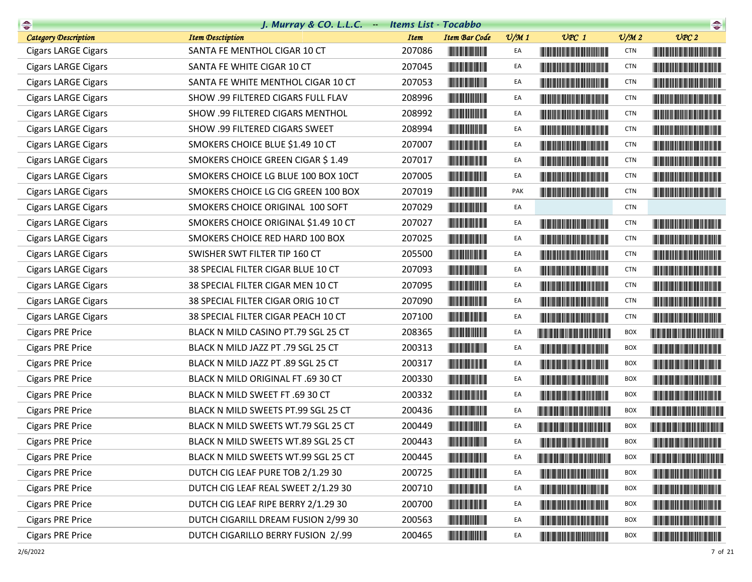| <b>Company</b>              | J. Murray & CO. L.L.C. $-$           | <b>Items List - Tocabbo</b> |                                                                                                                       |                 |                                                                                                                                                                                                                                      |                 |                                                                                                                                                                                                                                      |
|-----------------------------|--------------------------------------|-----------------------------|-----------------------------------------------------------------------------------------------------------------------|-----------------|--------------------------------------------------------------------------------------------------------------------------------------------------------------------------------------------------------------------------------------|-----------------|--------------------------------------------------------------------------------------------------------------------------------------------------------------------------------------------------------------------------------------|
| <b>Category Description</b> | <b>Item Desctiption</b>              | <b>Item</b>                 | <b>Item Bar Code</b>                                                                                                  | $\frac{v}{M}$ 1 | $UPC$ 1                                                                                                                                                                                                                              | $\frac{v}{M}$ 2 | UPC2                                                                                                                                                                                                                                 |
| <b>Cigars LARGE Cigars</b>  | SANTA FE MENTHOL CIGAR 10 CT         | 207086                      |                                                                                                                       | EA              |                                                                                                                                                                                                                                      | <b>CTN</b>      |                                                                                                                                                                                                                                      |
| <b>Cigars LARGE Cigars</b>  | SANTA FE WHITE CIGAR 10 CT           | 207045                      |                                                                                                                       | EA              |                                                                                                                                                                                                                                      | <b>CTN</b>      |                                                                                                                                                                                                                                      |
| <b>Cigars LARGE Cigars</b>  | SANTA FE WHITE MENTHOL CIGAR 10 CT   | 207053                      |                                                                                                                       | EA              |                                                                                                                                                                                                                                      | <b>CTN</b>      | <u> Harry Harry Harry Harry Harry Harry Harry Harry Harry Harry Harry Harry Harry Harry Harry Harry Harry Harry Harry Harry Harry Harry Harry Harry Harry Harry Harry Harry Harry Harry Harry Harry Harry Harry Harry Harry Harr</u> |
| <b>Cigars LARGE Cigars</b>  | SHOW .99 FILTERED CIGARS FULL FLAV   | 208996                      | <b>The Committee of the Committee</b>                                                                                 | EA              |                                                                                                                                                                                                                                      | <b>CTN</b>      |                                                                                                                                                                                                                                      |
| <b>Cigars LARGE Cigars</b>  | SHOW .99 FILTERED CIGARS MENTHOL     | 208992                      |                                                                                                                       | EA              |                                                                                                                                                                                                                                      | <b>CTN</b>      |                                                                                                                                                                                                                                      |
| <b>Cigars LARGE Cigars</b>  | SHOW .99 FILTERED CIGARS SWEET       | 208994                      | <b>The Committee of the Committee of the Committee</b>                                                                | EA              |                                                                                                                                                                                                                                      | <b>CTN</b>      |                                                                                                                                                                                                                                      |
| <b>Cigars LARGE Cigars</b>  | SMOKERS CHOICE BLUE \$1.49 10 CT     | 207007                      |                                                                                                                       | EA              |                                                                                                                                                                                                                                      | <b>CTN</b>      |                                                                                                                                                                                                                                      |
| <b>Cigars LARGE Cigars</b>  | SMOKERS CHOICE GREEN CIGAR \$1.49    | 207017                      |                                                                                                                       | EA              |                                                                                                                                                                                                                                      | <b>CTN</b>      |                                                                                                                                                                                                                                      |
| <b>Cigars LARGE Cigars</b>  | SMOKERS CHOICE LG BLUE 100 BOX 10CT  | 207005                      |                                                                                                                       | EA              |                                                                                                                                                                                                                                      | <b>CTN</b>      |                                                                                                                                                                                                                                      |
| <b>Cigars LARGE Cigars</b>  | SMOKERS CHOICE LG CIG GREEN 100 BOX  | 207019                      | <u> Timba ka matsayin ka shekara ta shekara ta 1989 ka shekara ta 1989 ka shekara ta 1989 ka shekara ta 1989 ka s</u> | PAK             |                                                                                                                                                                                                                                      | <b>CTN</b>      |                                                                                                                                                                                                                                      |
| <b>Cigars LARGE Cigars</b>  | SMOKERS CHOICE ORIGINAL 100 SOFT     | 207029                      |                                                                                                                       | EA              |                                                                                                                                                                                                                                      | <b>CTN</b>      |                                                                                                                                                                                                                                      |
| <b>Cigars LARGE Cigars</b>  | SMOKERS CHOICE ORIGINAL \$1.49 10 CT | 207027                      |                                                                                                                       | EA              | <u> Liberal Maria San Barat III da kasas sa kasas sa kasas sa kasas sa kasas sa kasas sa kasas sa kasas sa kasas sa kasas sa kasas sa kasas sa kasas sa kasas sa kasas sa kasas sa kasas sa kasas sa kasas sa kasas sa kasas sa </u> | <b>CTN</b>      |                                                                                                                                                                                                                                      |
| <b>Cigars LARGE Cigars</b>  | SMOKERS CHOICE RED HARD 100 BOX      | 207025                      |                                                                                                                       | EA              |                                                                                                                                                                                                                                      | <b>CTN</b>      |                                                                                                                                                                                                                                      |
| <b>Cigars LARGE Cigars</b>  | SWISHER SWT FILTER TIP 160 CT        | 205500                      |                                                                                                                       | EA              | <u> Harry Harry Harry Harry Harry Harry Harry Harry Harry Harry Harry Harry Harry Harry Harry Harry Harry Harry H</u>                                                                                                                | <b>CTN</b>      | <u> The Community of the Community of the Community of the Community of the Community of the Community of the Community of the Community of the Community of the Community of the Community of the Community of the Community of</u> |
| <b>Cigars LARGE Cigars</b>  | 38 SPECIAL FILTER CIGAR BLUE 10 CT   | 207093                      |                                                                                                                       | EA              | <u> Timba ka masa sa kasang mga kalendari ng mga kasang mga kalendari ng mga kalendari ng mga kalendari ng mga kasang mga kalendari ng mga kalendari ng mga kalendari ng mga kalendari ng mga kalendari ng mga kalendari ng mga </u> | <b>CTN</b>      |                                                                                                                                                                                                                                      |
| <b>Cigars LARGE Cigars</b>  | 38 SPECIAL FILTER CIGAR MEN 10 CT    | 207095                      |                                                                                                                       | EA              | <u> The Community of the Community of the Community of the Community of the Community of the Community of the Community of the Community of the Community of the Community of the Community of the Community of the Community of</u> | <b>CTN</b>      |                                                                                                                                                                                                                                      |
| <b>Cigars LARGE Cigars</b>  | 38 SPECIAL FILTER CIGAR ORIG 10 CT   | 207090                      |                                                                                                                       | EA              | <u> The Community of the Community of the Community of the Community of the Community of the Community of the Community of the Community of the Community of the Community of the Community of the Community of the Community of</u> | <b>CTN</b>      | <u> Harry Harry Harry Harry Harry Harry Harry Harry Harry Harry Harry Harry Harry Harry Harry Harry Harry Harry Harry Harry Harry Harry Harry Harry Harry Harry Harry Harry Harry Harry Harry Harry Harry Harry Harry Harry Harr</u> |
| <b>Cigars LARGE Cigars</b>  | 38 SPECIAL FILTER CIGAR PEACH 10 CT  | 207100                      |                                                                                                                       | EA              |                                                                                                                                                                                                                                      | <b>CTN</b>      |                                                                                                                                                                                                                                      |
| <b>Cigars PRE Price</b>     | BLACK N MILD CASINO PT.79 SGL 25 CT  | 208365                      |                                                                                                                       | EA              |                                                                                                                                                                                                                                      | BOX             |                                                                                                                                                                                                                                      |
| <b>Cigars PRE Price</b>     | BLACK N MILD JAZZ PT .79 SGL 25 CT   | 200313                      |                                                                                                                       | EA              | <u> 1999 - Johann Maria Maria Barat III a Shekara ta 1999 - A</u>                                                                                                                                                                    | BOX             | <u> Harry Harry Harry Harry Harry Harry Harry Harry Harry Harry Harry Harry Harry Harry Harry Harry Harry Harry Harry Harry Harry Harry Harry Harry Harry Harry Harry Harry Harry Harry Harry Harry Harry Harry Harry Harry Harr</u> |
| <b>Cigars PRE Price</b>     | BLACK N MILD JAZZ PT .89 SGL 25 CT   | 200317                      |                                                                                                                       | EA              | <u> Timba ka matsayin ka matsayin ka matsayin ka matsayin ka matsayin ka matsayin ka matsayin ka matsayin ka matsayin ka matsayin ka matsayin ka matsayin ka matsayin ka matsayin ka matsayin ka matsayin ka matsayin ka matsayi</u> | BOX             |                                                                                                                                                                                                                                      |
| <b>Cigars PRE Price</b>     | BLACK N MILD ORIGINAL FT .69 30 CT   | 200330                      |                                                                                                                       | EA              | <u> Timba kasan ing Kabupatèn Ing Kabupatèn Ing Kabupatèn Ing Kabupatèn Ing Kabupatèn Ing Kabupatèn Ing Kabupatèn Ing Kabupatèn Ing Kabupatèn Ing Kabupatèn Ing Kabupatèn Ing Kabupatèn Ing Kabupatèn Ing Kabupatèn Ing Kabupatè</u> | BOX             | <u> Harry Harry Harry Harry Harry Harry Harry Harry Harry Harry Harry Harry Harry Harry Harry Harry Harry Harry Harry Harry Harry Harry Harry Harry Harry Harry Harry Harry Harry Harry Harry Harry Harry Harry Harry Harry Harr</u> |
| <b>Cigars PRE Price</b>     | BLACK N MILD SWEET FT .69 30 CT      | 200332                      |                                                                                                                       | EA              | <u> Timba ka matsayin ka matsayin ka matsayin ka matsayin ka matsayin ka matsayin ka matsayin ka matsayin ka matsayin ka matsayin ka matsayin ka matsayin ka matsayin ka matsayin ka matsayin ka matsayin ka matsayin ka matsayi</u> | BOX             | <u> Harry Harry Harry Harry Harry Harry Harry Harry Harry Harry Harry Harry Harry Harry Harry Harry Harry Harry Harry Harry Harry Harry Harry Harry Harry Harry Harry Harry Harry Harry Harry Harry Harry Harry Harry Harry Harr</u> |
| <b>Cigars PRE Price</b>     | BLACK N MILD SWEETS PT.99 SGL 25 CT  | 200436                      |                                                                                                                       | EA              | <u> Linda ka masa sa kasang mga kalendari ng kabangang mga kalendari ng mga kalendari ng mga kalendari ng mga kalendari ng mga kalendari ng mga kalendari ng mga kalendari ng mga kalendari ng mga kalendari ng mga kalendari ng</u> | BOX             |                                                                                                                                                                                                                                      |
| <b>Cigars PRE Price</b>     | BLACK N MILD SWEETS WT.79 SGL 25 CT  | 200449                      |                                                                                                                       | EA              | <b>The Community of the Community</b>                                                                                                                                                                                                | BOX             |                                                                                                                                                                                                                                      |
| <b>Cigars PRE Price</b>     | BLACK N MILD SWEETS WT.89 SGL 25 CT  | 200443                      |                                                                                                                       |                 | <u> HERE IN DIE HERE IN DIE BEGINNELIGE DIE BEGINNELIGE DIE BEGINNELIGE UND DIE BEGINNELIGE UND DIE BEGINNELIGE U</u>                                                                                                                | <b>BOX</b>      |                                                                                                                                                                                                                                      |
| <b>Cigars PRE Price</b>     | BLACK N MILD SWEETS WT.99 SGL 25 CT  | 200445                      |                                                                                                                       | EA              | <b>The Community of the Community</b>                                                                                                                                                                                                | <b>BOX</b>      |                                                                                                                                                                                                                                      |
| <b>Cigars PRE Price</b>     | DUTCH CIG LEAF PURE TOB 2/1.29 30    | 200725                      | <b>CONTRACTOR</b>                                                                                                     | EA              |                                                                                                                                                                                                                                      | BOX             |                                                                                                                                                                                                                                      |
| <b>Cigars PRE Price</b>     | DUTCH CIG LEAF REAL SWEET 2/1.29 30  | 200710                      |                                                                                                                       | EA              | <u> Liberal Maria Maria Maria Maria Maria Maria Maria Maria Maria Maria Maria Maria Maria Maria Maria Maria Maria </u>                                                                                                               | BOX             |                                                                                                                                                                                                                                      |
| <b>Cigars PRE Price</b>     | DUTCH CIG LEAF RIPE BERRY 2/1.29 30  | 200700                      |                                                                                                                       | EA              |                                                                                                                                                                                                                                      | <b>BOX</b>      | <u> Harry Harry Harry Harry Harry Harry Harry Harry Harry Harry Harry Harry Harry Harry Harry Harry Harry Harry Harry Harry Harry Harry Harry Harry Harry Harry Harry Harry Harry Harry Harry Harry Harry Harry Harry Harry Harr</u> |
| <b>Cigars PRE Price</b>     | DUTCH CIGARILL DREAM FUSION 2/99 30  | 200563                      |                                                                                                                       | EA              |                                                                                                                                                                                                                                      | <b>BOX</b>      |                                                                                                                                                                                                                                      |
| <b>Cigars PRE Price</b>     | DUTCH CIGARILLO BERRY FUSION 2/.99   | 200465                      |                                                                                                                       | EA              |                                                                                                                                                                                                                                      | BOX             |                                                                                                                                                                                                                                      |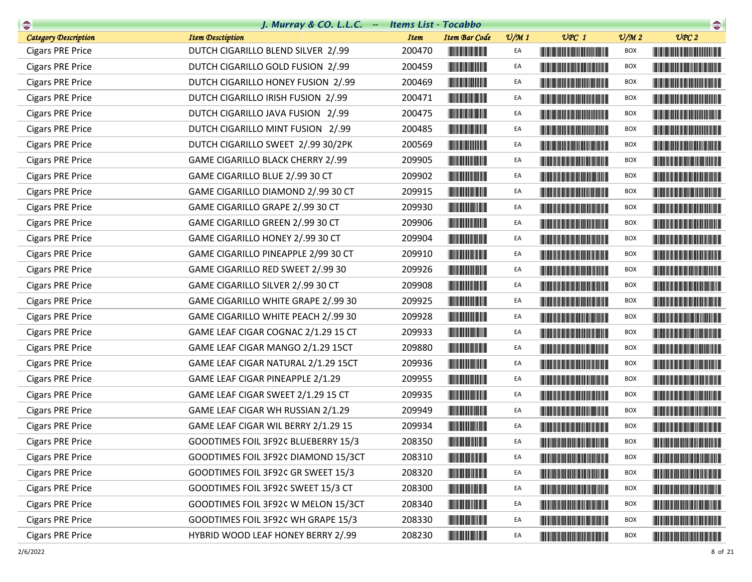| $\begin{picture}(20,10) \put(0,0){\line(1,0){10}} \put(10,0){\line(1,0){10}} \put(10,0){\line(1,0){10}} \put(10,0){\line(1,0){10}} \put(10,0){\line(1,0){10}} \put(10,0){\line(1,0){10}} \put(10,0){\line(1,0){10}} \put(10,0){\line(1,0){10}} \put(10,0){\line(1,0){10}} \put(10,0){\line(1,0){10}} \put(10,0){\line(1,0){10}} \put(10,0){\line(1$ | J. Murray & CO. L.L.C. $-$          | <b>Items List - Tocabbo</b> |                                                                                                                        |                 |                                                                                                                                                                                                                                      |                             | $\begin{picture}(20,10) \put(0,0){\line(1,0){10}} \put(10,0){\line(1,0){10}} \put(10,0){\line(1,0){10}} \put(10,0){\line(1,0){10}} \put(10,0){\line(1,0){10}} \put(10,0){\line(1,0){10}} \put(10,0){\line(1,0){10}} \put(10,0){\line(1,0){10}} \put(10,0){\line(1,0){10}} \put(10,0){\line(1,0){10}} \put(10,0){\line(1,0){10}} \put(10,0){\line(1$ |
|-----------------------------------------------------------------------------------------------------------------------------------------------------------------------------------------------------------------------------------------------------------------------------------------------------------------------------------------------------|-------------------------------------|-----------------------------|------------------------------------------------------------------------------------------------------------------------|-----------------|--------------------------------------------------------------------------------------------------------------------------------------------------------------------------------------------------------------------------------------|-----------------------------|-----------------------------------------------------------------------------------------------------------------------------------------------------------------------------------------------------------------------------------------------------------------------------------------------------------------------------------------------------|
| <b>Category Description</b>                                                                                                                                                                                                                                                                                                                         | <b>Item Desctiption</b>             | <b>Item</b>                 | <b>Item Bar Code</b>                                                                                                   | $\frac{v}{M}$ 1 | $UPC$ 1                                                                                                                                                                                                                              | $\mathcal{O}/\mathcal{M}$ 2 | UPC2                                                                                                                                                                                                                                                                                                                                                |
| <b>Cigars PRE Price</b>                                                                                                                                                                                                                                                                                                                             | DUTCH CIGARILLO BLEND SILVER 2/.99  | 200470                      |                                                                                                                        | EA              |                                                                                                                                                                                                                                      | BOX                         |                                                                                                                                                                                                                                                                                                                                                     |
| <b>Cigars PRE Price</b>                                                                                                                                                                                                                                                                                                                             | DUTCH CIGARILLO GOLD FUSION 2/.99   | 200459                      |                                                                                                                        | EA              |                                                                                                                                                                                                                                      | <b>BOX</b>                  | <b>The Community of the Community</b>                                                                                                                                                                                                                                                                                                               |
| <b>Cigars PRE Price</b>                                                                                                                                                                                                                                                                                                                             | DUTCH CIGARILLO HONEY FUSION 2/.99  | 200469                      |                                                                                                                        | EA              |                                                                                                                                                                                                                                      | <b>BOX</b>                  |                                                                                                                                                                                                                                                                                                                                                     |
| <b>Cigars PRE Price</b>                                                                                                                                                                                                                                                                                                                             | DUTCH CIGARILLO IRISH FUSION 2/.99  | 200471                      |                                                                                                                        | EA              |                                                                                                                                                                                                                                      | <b>BOX</b>                  |                                                                                                                                                                                                                                                                                                                                                     |
| <b>Cigars PRE Price</b>                                                                                                                                                                                                                                                                                                                             | DUTCH CIGARILLO JAVA FUSION 2/.99   | 200475                      | <b>The Committee of the Committee</b>                                                                                  | EA              |                                                                                                                                                                                                                                      | <b>BOX</b>                  |                                                                                                                                                                                                                                                                                                                                                     |
| <b>Cigars PRE Price</b>                                                                                                                                                                                                                                                                                                                             | DUTCH CIGARILLO MINT FUSION 2/.99   | 200485                      | <u> Herbert Herbert i Sta</u>                                                                                          | EA              |                                                                                                                                                                                                                                      | BOX                         |                                                                                                                                                                                                                                                                                                                                                     |
| <b>Cigars PRE Price</b>                                                                                                                                                                                                                                                                                                                             | DUTCH CIGARILLO SWEET 2/.99 30/2PK  | 200569                      |                                                                                                                        | EA              |                                                                                                                                                                                                                                      | <b>BOX</b>                  |                                                                                                                                                                                                                                                                                                                                                     |
| <b>Cigars PRE Price</b>                                                                                                                                                                                                                                                                                                                             | GAME CIGARILLO BLACK CHERRY 2/.99   | 209905                      |                                                                                                                        | EA              |                                                                                                                                                                                                                                      | <b>BOX</b>                  |                                                                                                                                                                                                                                                                                                                                                     |
| <b>Cigars PRE Price</b>                                                                                                                                                                                                                                                                                                                             | GAME CIGARILLO BLUE 2/.99 30 CT     | 209902                      |                                                                                                                        | EA              | <b>The Committee of the Committee of the Committee</b>                                                                                                                                                                               | BOX                         |                                                                                                                                                                                                                                                                                                                                                     |
| <b>Cigars PRE Price</b>                                                                                                                                                                                                                                                                                                                             | GAME CIGARILLO DIAMOND 2/.99 30 CT  | 209915                      | <b>CONTRACTOR</b>                                                                                                      | EA              |                                                                                                                                                                                                                                      | BOX                         |                                                                                                                                                                                                                                                                                                                                                     |
| <b>Cigars PRE Price</b>                                                                                                                                                                                                                                                                                                                             | GAME CIGARILLO GRAPE 2/.99 30 CT    | 209930                      | <b>THE REAL PROPERTY</b>                                                                                               | EA              |                                                                                                                                                                                                                                      | BOX                         | <u> Die Berger von Die Berger von Die Berger von Die Berger von Die Berger von Die Berger von Die Berger von Die B</u>                                                                                                                                                                                                                              |
| <b>Cigars PRE Price</b>                                                                                                                                                                                                                                                                                                                             | GAME CIGARILLO GREEN 2/.99 30 CT    | 209906                      | <b>THE REAL PROPERTY</b>                                                                                               | EA              | <b>The Committee of the Committee of the Committee</b>                                                                                                                                                                               | BOX                         |                                                                                                                                                                                                                                                                                                                                                     |
| <b>Cigars PRE Price</b>                                                                                                                                                                                                                                                                                                                             | GAME CIGARILLO HONEY 2/.99 30 CT    | 209904                      | <b>THE REAL PROPERTY</b>                                                                                               | EA              | <u> Timba ka masa sa kasang mga kalendari ng mga kasang mga kalendari ng mga kalendari ng mga kalendari ng mga kasang mga kalendari ng mga kalendari ng mga kalendari ng mga kalendari ng mga kalendari ng mga kalendari ng mga </u> | <b>BOX</b>                  | <b>The Committee of the Committee of the Committee of the Committee of the Committee</b>                                                                                                                                                                                                                                                            |
| <b>Cigars PRE Price</b>                                                                                                                                                                                                                                                                                                                             | GAME CIGARILLO PINEAPPLE 2/99 30 CT | 209910                      | <u> Herbert Herbert in der Erste </u>                                                                                  | EA              | <b>The Committee of the Committee of the Committee</b>                                                                                                                                                                               | BOX                         | <u> Liberal Maria Maria Maria Maria Maria Maria Maria Maria Maria Maria Maria Maria Maria Maria Maria Maria Maria </u>                                                                                                                                                                                                                              |
| <b>Cigars PRE Price</b>                                                                                                                                                                                                                                                                                                                             | GAME CIGARILLO RED SWEET 2/.99 30   | 209926                      |                                                                                                                        | EA              |                                                                                                                                                                                                                                      | <b>BOX</b>                  | <u> Linda ka masa sa kasang sa mga ka</u>                                                                                                                                                                                                                                                                                                           |
| <b>Cigars PRE Price</b>                                                                                                                                                                                                                                                                                                                             | GAME CIGARILLO SILVER 2/.99 30 CT   | 209908                      |                                                                                                                        | EA              | <b>The Common Service Common Service</b>                                                                                                                                                                                             | <b>BOX</b>                  | <u> Liberal Maria Maria Maria Maria Maria Maria Maria Maria Maria Maria Maria Maria Maria Maria Maria Maria Maria </u>                                                                                                                                                                                                                              |
| <b>Cigars PRE Price</b>                                                                                                                                                                                                                                                                                                                             | GAME CIGARILLO WHITE GRAPE 2/.99 30 | 209925                      |                                                                                                                        | EA              | <b>The Committee of the Committee of the Committee</b>                                                                                                                                                                               | <b>BOX</b>                  |                                                                                                                                                                                                                                                                                                                                                     |
| <b>Cigars PRE Price</b>                                                                                                                                                                                                                                                                                                                             | GAME CIGARILLO WHITE PEACH 2/.99 30 | 209928                      | <u> Hill Miller van de Bronne van de Bronne van de Bronne van de Bronne van de Bronne van de Bronne van de Bronne </u> | EA              | <u> Liberal Maria Maria San Barat III a Shekara ta 1989 da kasas na shekara ta 1989 da kasas na shekara ta 1981 da k</u>                                                                                                             | <b>BOX</b>                  |                                                                                                                                                                                                                                                                                                                                                     |
| <b>Cigars PRE Price</b>                                                                                                                                                                                                                                                                                                                             | GAME LEAF CIGAR COGNAC 2/1.29 15 CT | 209933                      |                                                                                                                        | EA              |                                                                                                                                                                                                                                      | <b>BOX</b>                  |                                                                                                                                                                                                                                                                                                                                                     |
| <b>Cigars PRE Price</b>                                                                                                                                                                                                                                                                                                                             | GAME LEAF CIGAR MANGO 2/1.29 15CT   | 209880                      | <u> Herbert Herbert in der Entschaft</u>                                                                               | EA              | <u> Liberal Maria Maria Maria Maria Maria Maria Maria Maria Maria Maria Maria Maria Maria Maria Maria Maria Maria </u>                                                                                                               | <b>BOX</b>                  |                                                                                                                                                                                                                                                                                                                                                     |
| <b>Cigars PRE Price</b>                                                                                                                                                                                                                                                                                                                             | GAME LEAF CIGAR NATURAL 2/1.29 15CT | 209936                      |                                                                                                                        | EA              |                                                                                                                                                                                                                                      | BOX                         |                                                                                                                                                                                                                                                                                                                                                     |
| <b>Cigars PRE Price</b>                                                                                                                                                                                                                                                                                                                             | GAME LEAF CIGAR PINEAPPLE 2/1.29    | 209955                      |                                                                                                                        | EA              | <u> Liberal Maria de la contrada de la con</u>                                                                                                                                                                                       | BOX                         |                                                                                                                                                                                                                                                                                                                                                     |
| <b>Cigars PRE Price</b>                                                                                                                                                                                                                                                                                                                             | GAME LEAF CIGAR SWEET 2/1.29 15 CT  | 209935                      |                                                                                                                        | EA              | <u> Harry Harry Harry Harry Harry Harry Harry Harry Harry Harry Harry Harry Harry Harry Harry Harry Harry Harry Harry Harry Harry Harry Harry Harry Harry Harry Harry Harry Harry Harry Harry Harry Harry Harry Harry Harry Harr</u> | <b>BOX</b>                  | <u> André de la provincia de la pro</u>                                                                                                                                                                                                                                                                                                             |
| <b>Cigars PRE Price</b>                                                                                                                                                                                                                                                                                                                             | GAME LEAF CIGAR WH RUSSIAN 2/1.29   | 209949                      |                                                                                                                        | EA              |                                                                                                                                                                                                                                      | BOX                         | <u> Harry Harry Harry Harry Harry Harry Harry Harry Harry Harry Harry Harry Harry Harry Harry Harry Harry Harry Harry Harry Harry Harry Harry Harry Harry Harry Harry Harry Harry Harry Harry Harry Harry Harry Harry Harry Harr</u>                                                                                                                |
| <b>Cigars PRE Price</b>                                                                                                                                                                                                                                                                                                                             | GAME LEAF CIGAR WIL BERRY 2/1.29 15 | 209934                      |                                                                                                                        | EA              |                                                                                                                                                                                                                                      | <b>BOX</b>                  |                                                                                                                                                                                                                                                                                                                                                     |
| <b>Cigars PRE Price</b>                                                                                                                                                                                                                                                                                                                             | GOODTIMES FOIL 3F92¢ BLUEBERRY 15/3 | 208350                      | <b>The Community</b>                                                                                                   | EA              |                                                                                                                                                                                                                                      | <b>BOX</b>                  |                                                                                                                                                                                                                                                                                                                                                     |
| <b>Cigars PRE Price</b>                                                                                                                                                                                                                                                                                                                             | GOODTIMES FOIL 3F92¢ DIAMOND 15/3CT | 208310                      |                                                                                                                        | EA              |                                                                                                                                                                                                                                      | BOX                         |                                                                                                                                                                                                                                                                                                                                                     |
| <b>Cigars PRE Price</b>                                                                                                                                                                                                                                                                                                                             | GOODTIMES FOIL 3F92¢ GR SWEET 15/3  | 208320                      | <u> III de la provincia de la provincia de la provincia de la provincia de la provincia de la provincia de la pro</u>  | EA              |                                                                                                                                                                                                                                      | <b>BOX</b>                  |                                                                                                                                                                                                                                                                                                                                                     |
| <b>Cigars PRE Price</b>                                                                                                                                                                                                                                                                                                                             | GOODTIMES FOIL 3F92¢ SWEET 15/3 CT  | 208300                      |                                                                                                                        | EA              |                                                                                                                                                                                                                                      | BOX                         |                                                                                                                                                                                                                                                                                                                                                     |
| <b>Cigars PRE Price</b>                                                                                                                                                                                                                                                                                                                             | GOODTIMES FOIL 3F92¢ W MELON 15/3CT | 208340                      |                                                                                                                        | EA              |                                                                                                                                                                                                                                      | <b>BOX</b>                  |                                                                                                                                                                                                                                                                                                                                                     |
| <b>Cigars PRE Price</b>                                                                                                                                                                                                                                                                                                                             | GOODTIMES FOIL 3F92¢ WH GRAPE 15/3  | 208330                      | <b>The Committee of the Committee of the Committee</b>                                                                 | EA              |                                                                                                                                                                                                                                      | <b>BOX</b>                  |                                                                                                                                                                                                                                                                                                                                                     |
| <b>Cigars PRE Price</b>                                                                                                                                                                                                                                                                                                                             | HYBRID WOOD LEAF HONEY BERRY 2/.99  | 208230                      |                                                                                                                        | EA              | <u> Harry Harry Harry Harry Harry Harry Harry Harry Harry Harry Harry Harry Harry Harry Harry Harry Harry Harry H</u>                                                                                                                | BOX                         |                                                                                                                                                                                                                                                                                                                                                     |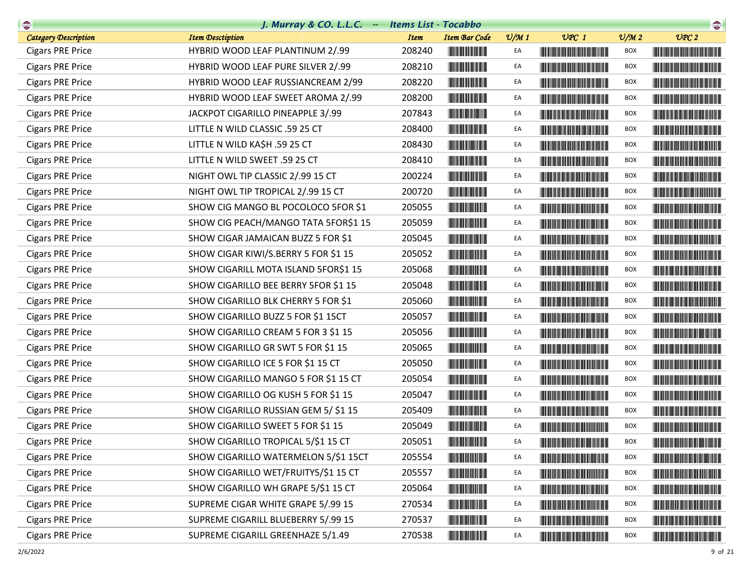| $\begin{picture}(20,10) \put(0,0){\line(1,0){10}} \put(10,0){\line(1,0){10}} \put(10,0){\line(1,0){10}} \put(10,0){\line(1,0){10}} \put(10,0){\line(1,0){10}} \put(10,0){\line(1,0){10}} \put(10,0){\line(1,0){10}} \put(10,0){\line(1,0){10}} \put(10,0){\line(1,0){10}} \put(10,0){\line(1,0){10}} \put(10,0){\line(1,0){10}} \put(10,0){\line(1$ | J. Murray & CO. L.L.C. $-$           | <b>Items List - Tocabbo</b> |                                          |                 |                                                                                                                                                                                                                                      |                 | $\begin{picture}(20,10) \put(0,0){\line(1,0){10}} \put(15,0){\line(1,0){10}} \put(15,0){\line(1,0){10}} \put(15,0){\line(1,0){10}} \put(15,0){\line(1,0){10}} \put(15,0){\line(1,0){10}} \put(15,0){\line(1,0){10}} \put(15,0){\line(1,0){10}} \put(15,0){\line(1,0){10}} \put(15,0){\line(1,0){10}} \put(15,0){\line(1,0){10}} \put(15,0){\line(1$ |
|-----------------------------------------------------------------------------------------------------------------------------------------------------------------------------------------------------------------------------------------------------------------------------------------------------------------------------------------------------|--------------------------------------|-----------------------------|------------------------------------------|-----------------|--------------------------------------------------------------------------------------------------------------------------------------------------------------------------------------------------------------------------------------|-----------------|-----------------------------------------------------------------------------------------------------------------------------------------------------------------------------------------------------------------------------------------------------------------------------------------------------------------------------------------------------|
| <b>Category Description</b>                                                                                                                                                                                                                                                                                                                         | <b>Item Desctiption</b>              | <b>Item</b>                 | <b>Item Bar Code</b>                     | $\frac{v}{M}$ 1 | $UPC$ 1                                                                                                                                                                                                                              | $\frac{V}{M}$ 2 | UPC2                                                                                                                                                                                                                                                                                                                                                |
| <b>Cigars PRE Price</b>                                                                                                                                                                                                                                                                                                                             | HYBRID WOOD LEAF PLANTINUM 2/.99     | 208240                      |                                          | EA              | <u> Hill i Hall i Hall i Hall i Hall i Hall i Ha</u>                                                                                                                                                                                 | BOX             |                                                                                                                                                                                                                                                                                                                                                     |
| <b>Cigars PRE Price</b>                                                                                                                                                                                                                                                                                                                             | HYBRID WOOD LEAF PURE SILVER 2/.99   | 208210                      |                                          | EA              |                                                                                                                                                                                                                                      | <b>BOX</b>      |                                                                                                                                                                                                                                                                                                                                                     |
| <b>Cigars PRE Price</b>                                                                                                                                                                                                                                                                                                                             | HYBRID WOOD LEAF RUSSIANCREAM 2/99   | 208220                      | <u> Herman Herman III e</u>              | EA              | <u> Harry Harry Harry Harry Harry Harry Harry Harry Harry Harry Harry Harry Harry Harry Harry Harry Harry Harry Harry Harry Harry Harry Harry Harry Harry Harry Harry Harry Harry Harry Harry Harry Harry Harry Harry Harry Harr</u> | <b>BOX</b>      |                                                                                                                                                                                                                                                                                                                                                     |
| <b>Cigars PRE Price</b>                                                                                                                                                                                                                                                                                                                             | HYBRID WOOD LEAF SWEET AROMA 2/.99   | 208200                      |                                          | EA              | <b>The Community of the Community</b>                                                                                                                                                                                                | BOX             |                                                                                                                                                                                                                                                                                                                                                     |
| <b>Cigars PRE Price</b>                                                                                                                                                                                                                                                                                                                             | JACKPOT CIGARILLO PINEAPPLE 3/.99    | 207843                      |                                          | EA              |                                                                                                                                                                                                                                      | <b>BOX</b>      |                                                                                                                                                                                                                                                                                                                                                     |
| <b>Cigars PRE Price</b>                                                                                                                                                                                                                                                                                                                             | LITTLE N WILD CLASSIC .59 25 CT      | 208400                      |                                          | EA              |                                                                                                                                                                                                                                      | <b>BOX</b>      |                                                                                                                                                                                                                                                                                                                                                     |
| <b>Cigars PRE Price</b>                                                                                                                                                                                                                                                                                                                             | LITTLE N WILD KA\$H .59 25 CT        | 208430                      |                                          | EA              | <u> Herbert Herbert in der Erste der Erste der Erste der Erste der Erste der Erste der Erste der Erste der Erste </u>                                                                                                                | <b>BOX</b>      |                                                                                                                                                                                                                                                                                                                                                     |
| <b>Cigars PRE Price</b>                                                                                                                                                                                                                                                                                                                             | LITTLE N WILD SWEET .59 25 CT        | 208410                      |                                          | EA              |                                                                                                                                                                                                                                      | <b>BOX</b>      |                                                                                                                                                                                                                                                                                                                                                     |
| <b>Cigars PRE Price</b>                                                                                                                                                                                                                                                                                                                             | NIGHT OWL TIP CLASSIC 2/.99 15 CT    | 200224                      |                                          | EA              |                                                                                                                                                                                                                                      | BOX             |                                                                                                                                                                                                                                                                                                                                                     |
| <b>Cigars PRE Price</b>                                                                                                                                                                                                                                                                                                                             | NIGHT OWL TIP TROPICAL 2/.99 15 CT   | 200720                      | <u> Herbert Herbert i Sta</u>            | EA              |                                                                                                                                                                                                                                      | <b>BOX</b>      |                                                                                                                                                                                                                                                                                                                                                     |
| <b>Cigars PRE Price</b>                                                                                                                                                                                                                                                                                                                             | SHOW CIG MANGO BL POCOLOCO 5FOR \$1  | 205055                      |                                          | EA              |                                                                                                                                                                                                                                      | <b>BOX</b>      |                                                                                                                                                                                                                                                                                                                                                     |
| <b>Cigars PRE Price</b>                                                                                                                                                                                                                                                                                                                             | SHOW CIG PEACH/MANGO TATA 5FOR\$1 15 | 205059                      |                                          | EA              |                                                                                                                                                                                                                                      | BOX             |                                                                                                                                                                                                                                                                                                                                                     |
| <b>Cigars PRE Price</b>                                                                                                                                                                                                                                                                                                                             | SHOW CIGAR JAMAICAN BUZZ 5 FOR \$1   | 205045                      |                                          | EA              |                                                                                                                                                                                                                                      | BOX             |                                                                                                                                                                                                                                                                                                                                                     |
| <b>Cigars PRE Price</b>                                                                                                                                                                                                                                                                                                                             | SHOW CIGAR KIWI/S.BERRY 5 FOR \$1 15 | 205052                      |                                          | EA              | <u> Harry Harry Harry Harry Harry Harry Harry Harry Harry Harry Harry Harry Harry Harry Harry Harry Harry Harry H</u>                                                                                                                | <b>BOX</b>      |                                                                                                                                                                                                                                                                                                                                                     |
| <b>Cigars PRE Price</b>                                                                                                                                                                                                                                                                                                                             | SHOW CIGARILL MOTA ISLAND 5FOR\$1 15 | 205068                      |                                          | EA              |                                                                                                                                                                                                                                      | BOX             |                                                                                                                                                                                                                                                                                                                                                     |
| <b>Cigars PRE Price</b>                                                                                                                                                                                                                                                                                                                             | SHOW CIGARILLO BEE BERRY 5FOR \$1 15 | 205048                      |                                          | EA              |                                                                                                                                                                                                                                      | BOX             |                                                                                                                                                                                                                                                                                                                                                     |
| <b>Cigars PRE Price</b>                                                                                                                                                                                                                                                                                                                             | SHOW CIGARILLO BLK CHERRY 5 FOR \$1  | 205060                      |                                          | EA              | <u> Harry Harry Harry Harry Harry Harry Harry Harry Harry Harry Harry Harry Harry Harry Harry Harry Harry Harry Harry Harry Harry Harry Harry Harry Harry Harry Harry Harry Harry Harry Harry Harry Harry Harry Harry Harry Harr</u> | <b>BOX</b>      |                                                                                                                                                                                                                                                                                                                                                     |
| <b>Cigars PRE Price</b>                                                                                                                                                                                                                                                                                                                             | SHOW CIGARILLO BUZZ 5 FOR \$1 15CT   | 205057                      | <u> Herbert Herbert in der Entschaft</u> | EA              |                                                                                                                                                                                                                                      | <b>BOX</b>      |                                                                                                                                                                                                                                                                                                                                                     |
| <b>Cigars PRE Price</b>                                                                                                                                                                                                                                                                                                                             | SHOW CIGARILLO CREAM 5 FOR 3 \$1 15  | 205056                      |                                          | EA              |                                                                                                                                                                                                                                      | <b>BOX</b>      |                                                                                                                                                                                                                                                                                                                                                     |
| <b>Cigars PRE Price</b>                                                                                                                                                                                                                                                                                                                             | SHOW CIGARILLO GR SWT 5 FOR \$1 15   | 205065                      |                                          | EA              | <u> Harry Harry Harry Harry Harry Harry Harry Harry Harry Harry Harry Harry Harry Harry Harry Harry Harry Harry Harry Harry Harry Harry Harry Harry Harry Harry Harry Harry Harry Harry Harry Harry Harry Harry Harry Harry Harr</u> | BOX             |                                                                                                                                                                                                                                                                                                                                                     |
| <b>Cigars PRE Price</b>                                                                                                                                                                                                                                                                                                                             | SHOW CIGARILLO ICE 5 FOR \$1 15 CT   | 205050                      | <u> Herbert Herbert in der Entschaft</u> | EA              |                                                                                                                                                                                                                                      | <b>BOX</b>      |                                                                                                                                                                                                                                                                                                                                                     |
| <b>Cigars PRE Price</b>                                                                                                                                                                                                                                                                                                                             | SHOW CIGARILLO MANGO 5 FOR \$1 15 CT | 205054                      | <u> Herbert Herbert in der Entschaft</u> | EA              |                                                                                                                                                                                                                                      | <b>BOX</b>      |                                                                                                                                                                                                                                                                                                                                                     |
| <b>Cigars PRE Price</b>                                                                                                                                                                                                                                                                                                                             | SHOW CIGARILLO OG KUSH 5 FOR \$1 15  | 205047                      |                                          | EA              |                                                                                                                                                                                                                                      | BOX             |                                                                                                                                                                                                                                                                                                                                                     |
| <b>Cigars PRE Price</b>                                                                                                                                                                                                                                                                                                                             | SHOW CIGARILLO RUSSIAN GEM 5/ \$1 15 | 205409                      |                                          | EA              |                                                                                                                                                                                                                                      | BOX             |                                                                                                                                                                                                                                                                                                                                                     |
| <b>Cigars PRE Price</b>                                                                                                                                                                                                                                                                                                                             | SHOW CIGARILLO SWEET 5 FOR \$1 15    | 205049                      |                                          | EA              |                                                                                                                                                                                                                                      | <b>BOX</b>      |                                                                                                                                                                                                                                                                                                                                                     |
| <b>Cigars PRE Price</b>                                                                                                                                                                                                                                                                                                                             | SHOW CIGARILLO TROPICAL 5/\$1 15 CT  | 205051                      | <b>The Community</b>                     | EA              |                                                                                                                                                                                                                                      | <b>BOX</b>      |                                                                                                                                                                                                                                                                                                                                                     |
| <b>Cigars PRE Price</b>                                                                                                                                                                                                                                                                                                                             | SHOW CIGARILLO WATERMELON 5/\$1 15CT | 205554                      |                                          | EA              |                                                                                                                                                                                                                                      | <b>BOX</b>      |                                                                                                                                                                                                                                                                                                                                                     |
| <b>Cigars PRE Price</b>                                                                                                                                                                                                                                                                                                                             | SHOW CIGARILLO WET/FRUITY5/\$1 15 CT | 205557                      |                                          | EA              |                                                                                                                                                                                                                                      | BOX             |                                                                                                                                                                                                                                                                                                                                                     |
| <b>Cigars PRE Price</b>                                                                                                                                                                                                                                                                                                                             | SHOW CIGARILLO WH GRAPE 5/\$1 15 CT  | 205064                      |                                          | EA              |                                                                                                                                                                                                                                      | <b>BOX</b>      |                                                                                                                                                                                                                                                                                                                                                     |
| <b>Cigars PRE Price</b>                                                                                                                                                                                                                                                                                                                             | SUPREME CIGAR WHITE GRAPE 5/.99 15   | 270534                      |                                          | EA              |                                                                                                                                                                                                                                      | <b>BOX</b>      |                                                                                                                                                                                                                                                                                                                                                     |
| <b>Cigars PRE Price</b>                                                                                                                                                                                                                                                                                                                             | SUPREME CIGARILL BLUEBERRY 5/.99 15  | 270537                      |                                          | EA              |                                                                                                                                                                                                                                      | BOX             |                                                                                                                                                                                                                                                                                                                                                     |
| <b>Cigars PRE Price</b>                                                                                                                                                                                                                                                                                                                             | SUPREME CIGARILL GREENHAZE 5/1.49    | 270538                      |                                          | EA              |                                                                                                                                                                                                                                      | BOX             |                                                                                                                                                                                                                                                                                                                                                     |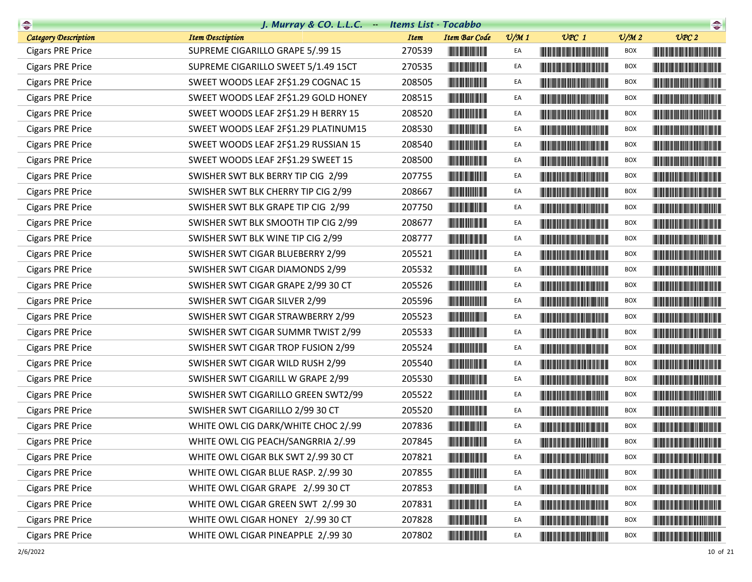| $\begin{picture}(20,10) \put(0,0){\line(1,0){10}} \put(10,0){\line(1,0){10}} \put(10,0){\line(1,0){10}} \put(10,0){\line(1,0){10}} \put(10,0){\line(1,0){10}} \put(10,0){\line(1,0){10}} \put(10,0){\line(1,0){10}} \put(10,0){\line(1,0){10}} \put(10,0){\line(1,0){10}} \put(10,0){\line(1,0){10}} \put(10,0){\line(1,0){10}} \put(10,0){\line(1$ | J. Murray & $CO.$ L.L. $C.$ $-$      | <b>Items List - Tocabbo</b> |                                                                                                                       |                 |                                                                                                                                                                                                                                      |                             | $\begin{picture}(20,10) \put(0,0){\line(1,0){10}} \put(15,0){\line(1,0){10}} \put(15,0){\line(1,0){10}} \put(15,0){\line(1,0){10}} \put(15,0){\line(1,0){10}} \put(15,0){\line(1,0){10}} \put(15,0){\line(1,0){10}} \put(15,0){\line(1,0){10}} \put(15,0){\line(1,0){10}} \put(15,0){\line(1,0){10}} \put(15,0){\line(1,0){10}} \put(15,0){\line(1$ |
|-----------------------------------------------------------------------------------------------------------------------------------------------------------------------------------------------------------------------------------------------------------------------------------------------------------------------------------------------------|--------------------------------------|-----------------------------|-----------------------------------------------------------------------------------------------------------------------|-----------------|--------------------------------------------------------------------------------------------------------------------------------------------------------------------------------------------------------------------------------------|-----------------------------|-----------------------------------------------------------------------------------------------------------------------------------------------------------------------------------------------------------------------------------------------------------------------------------------------------------------------------------------------------|
| <b>Category Description</b>                                                                                                                                                                                                                                                                                                                         | <b>Item Desctiption</b>              | <b>Item</b>                 | <b>Item Bar Code</b>                                                                                                  | $\frac{v}{M}$ 1 | $UPC$ 1                                                                                                                                                                                                                              | $\mathcal{O}/\mathcal{M}$ 2 | UPC2                                                                                                                                                                                                                                                                                                                                                |
| <b>Cigars PRE Price</b>                                                                                                                                                                                                                                                                                                                             | SUPREME CIGARILLO GRAPE 5/.99 15     | 270539                      |                                                                                                                       | EA              |                                                                                                                                                                                                                                      | BOX                         |                                                                                                                                                                                                                                                                                                                                                     |
| <b>Cigars PRE Price</b>                                                                                                                                                                                                                                                                                                                             | SUPREME CIGARILLO SWEET 5/1.49 15CT  | 270535                      | <u> Indian Maria San Ba</u>                                                                                           | EA              |                                                                                                                                                                                                                                      | BOX                         |                                                                                                                                                                                                                                                                                                                                                     |
| <b>Cigars PRE Price</b>                                                                                                                                                                                                                                                                                                                             | SWEET WOODS LEAF 2F\$1.29 COGNAC 15  | 208505                      |                                                                                                                       | EA              |                                                                                                                                                                                                                                      | <b>BOX</b>                  |                                                                                                                                                                                                                                                                                                                                                     |
| <b>Cigars PRE Price</b>                                                                                                                                                                                                                                                                                                                             | SWEET WOODS LEAF 2F\$1.29 GOLD HONEY | 208515                      |                                                                                                                       | EA              |                                                                                                                                                                                                                                      | BOX                         |                                                                                                                                                                                                                                                                                                                                                     |
| <b>Cigars PRE Price</b>                                                                                                                                                                                                                                                                                                                             | SWEET WOODS LEAF 2F\$1.29 H BERRY 15 | 208520                      |                                                                                                                       | EA              |                                                                                                                                                                                                                                      | BOX                         |                                                                                                                                                                                                                                                                                                                                                     |
| <b>Cigars PRE Price</b>                                                                                                                                                                                                                                                                                                                             | SWEET WOODS LEAF 2F\$1.29 PLATINUM15 | 208530                      | <u> Herbert Herbert in der Entschaft</u>                                                                              | EA              |                                                                                                                                                                                                                                      | <b>BOX</b>                  |                                                                                                                                                                                                                                                                                                                                                     |
| <b>Cigars PRE Price</b>                                                                                                                                                                                                                                                                                                                             | SWEET WOODS LEAF 2F\$1.29 RUSSIAN 15 | 208540                      | <u> Herbert Herbert in der Erste </u>                                                                                 | EA              |                                                                                                                                                                                                                                      | <b>BOX</b>                  |                                                                                                                                                                                                                                                                                                                                                     |
| <b>Cigars PRE Price</b>                                                                                                                                                                                                                                                                                                                             | SWEET WOODS LEAF 2F\$1.29 SWEET 15   | 208500                      |                                                                                                                       | EA              |                                                                                                                                                                                                                                      | BOX                         |                                                                                                                                                                                                                                                                                                                                                     |
| <b>Cigars PRE Price</b>                                                                                                                                                                                                                                                                                                                             | SWISHER SWT BLK BERRY TIP CIG 2/99   | 207755                      |                                                                                                                       | EA              |                                                                                                                                                                                                                                      | BOX                         |                                                                                                                                                                                                                                                                                                                                                     |
| <b>Cigars PRE Price</b>                                                                                                                                                                                                                                                                                                                             | SWISHER SWT BLK CHERRY TIP CIG 2/99  | 208667                      | <u> Herbert Herbert in der Entschaft</u>                                                                              | EA              |                                                                                                                                                                                                                                      | <b>BOX</b>                  |                                                                                                                                                                                                                                                                                                                                                     |
| <b>Cigars PRE Price</b>                                                                                                                                                                                                                                                                                                                             | SWISHER SWT BLK GRAPE TIP CIG 2/99   | 207750                      | <b>The Committee of the Committee</b>                                                                                 | EA              |                                                                                                                                                                                                                                      | <b>BOX</b>                  | <u> Harry Harry Harry Harry Harry Harry Harry Harry Harry Harry Harry Harry Harry Harry Harry Harry Harry Harry Harry Harry Harry Harry Harry Harry Harry Harry Harry Harry Harry Harry Harry Harry Harry Harry Harry Harry Harr</u>                                                                                                                |
| <b>Cigars PRE Price</b>                                                                                                                                                                                                                                                                                                                             | SWISHER SWT BLK SMOOTH TIP CIG 2/99  | 208677                      |                                                                                                                       | EA              | <u> Harry Harry Harry Harry Harry Harry Harry Harry Harry Harry Harry Harry Harry Harry Harry Harry Harry Harry Harry Harry Harry Harry Harry Harry Harry Harry Harry Harry Harry Harry Harry Harry Harry Harry Harry Harry Harr</u> | <b>BOX</b>                  |                                                                                                                                                                                                                                                                                                                                                     |
| <b>Cigars PRE Price</b>                                                                                                                                                                                                                                                                                                                             | SWISHER SWT BLK WINE TIP CIG 2/99    | 208777                      | <b>The Committee of the Committee</b>                                                                                 | EA              |                                                                                                                                                                                                                                      | BOX                         |                                                                                                                                                                                                                                                                                                                                                     |
| <b>Cigars PRE Price</b>                                                                                                                                                                                                                                                                                                                             | SWISHER SWT CIGAR BLUEBERRY 2/99     | 205521                      |                                                                                                                       | EA              |                                                                                                                                                                                                                                      | <b>BOX</b>                  |                                                                                                                                                                                                                                                                                                                                                     |
| <b>Cigars PRE Price</b>                                                                                                                                                                                                                                                                                                                             | SWISHER SWT CIGAR DIAMONDS 2/99      | 205532                      |                                                                                                                       | EA              | <b>The Common Service Common Service</b>                                                                                                                                                                                             | <b>BOX</b>                  |                                                                                                                                                                                                                                                                                                                                                     |
| <b>Cigars PRE Price</b>                                                                                                                                                                                                                                                                                                                             | SWISHER SWT CIGAR GRAPE 2/99 30 CT   | 205526                      |                                                                                                                       | EA              |                                                                                                                                                                                                                                      | <b>BOX</b>                  |                                                                                                                                                                                                                                                                                                                                                     |
| <b>Cigars PRE Price</b>                                                                                                                                                                                                                                                                                                                             | SWISHER SWT CIGAR SILVER 2/99        | 205596                      |                                                                                                                       | EA              | <u> Harry Harry Harry Harry Harry Harry Harry Harry Harry Harry Harry Harry Harry Harry Harry Harry Harry Harry Harry Harry Harry Harry Harry Harry Harry Harry Harry Harry Harry Harry Harry Harry Harry Harry Harry Harry Harr</u> | BOX                         | <u> Harry Harry Harry Harry Harry Harry Harry Harry Harry Harry Harry Harry Harry Harry Harry Harry Harry Harry Harry Harry Harry Harry Harry Harry Harry Harry Harry Harry Harry Harry Harry Harry Harry Harry Harry Harry Harr</u>                                                                                                                |
| <b>Cigars PRE Price</b>                                                                                                                                                                                                                                                                                                                             | SWISHER SWT CIGAR STRAWBERRY 2/99    | 205523                      |                                                                                                                       | EA              |                                                                                                                                                                                                                                      | <b>BOX</b>                  |                                                                                                                                                                                                                                                                                                                                                     |
| <b>Cigars PRE Price</b>                                                                                                                                                                                                                                                                                                                             | SWISHER SWT CIGAR SUMMR TWIST 2/99   | 205533                      |                                                                                                                       | EA              |                                                                                                                                                                                                                                      | <b>BOX</b>                  | <b>The Committee of the Committee of the Committee of the Committee of the Committee</b>                                                                                                                                                                                                                                                            |
| <b>Cigars PRE Price</b>                                                                                                                                                                                                                                                                                                                             | SWISHER SWT CIGAR TROP FUSION 2/99   | 205524                      | <b>The Committee of the Committee of the Committee</b>                                                                | EA              | <b>The Common Service Common Service</b>                                                                                                                                                                                             | <b>BOX</b>                  |                                                                                                                                                                                                                                                                                                                                                     |
| <b>Cigars PRE Price</b>                                                                                                                                                                                                                                                                                                                             | SWISHER SWT CIGAR WILD RUSH 2/99     | 205540                      |                                                                                                                       | EA              |                                                                                                                                                                                                                                      | BOX                         |                                                                                                                                                                                                                                                                                                                                                     |
| <b>Cigars PRE Price</b>                                                                                                                                                                                                                                                                                                                             | SWISHER SWT CIGARILL W GRAPE 2/99    | 205530                      | <u> Indian American Indian Indian Indian Indian Indian Indian Indian Indian Indian Indian Indian Indian Indian In</u> | EA              |                                                                                                                                                                                                                                      | <b>BOX</b>                  |                                                                                                                                                                                                                                                                                                                                                     |
| <b>Cigars PRE Price</b>                                                                                                                                                                                                                                                                                                                             | SWISHER SWT CIGARILLO GREEN SWT2/99  | 205522                      |                                                                                                                       | EA              |                                                                                                                                                                                                                                      | <b>BOX</b>                  | <u> Harat Barat Barat Barat Barat Barat Barat Barat Barat Barat Barat Barat Barat Barat Barat Barat Barat Barat Ba</u>                                                                                                                                                                                                                              |
| <b>Cigars PRE Price</b>                                                                                                                                                                                                                                                                                                                             | SWISHER SWT CIGARILLO 2/99 30 CT     | 205520                      | <u> Herman Barbara (</u>                                                                                              | EA              | <b>The Common Section</b>                                                                                                                                                                                                            | BOX                         |                                                                                                                                                                                                                                                                                                                                                     |
| <b>Cigars PRE Price</b>                                                                                                                                                                                                                                                                                                                             | WHITE OWL CIG DARK/WHITE CHOC 2/.99  | 207836                      |                                                                                                                       | EA              |                                                                                                                                                                                                                                      | <b>BOX</b>                  |                                                                                                                                                                                                                                                                                                                                                     |
| <b>Cigars PRE Price</b>                                                                                                                                                                                                                                                                                                                             | WHITE OWL CIG PEACH/SANGRRIA 2/.99   | 207845                      | <u> Herbert Herbert i</u>                                                                                             | EA              |                                                                                                                                                                                                                                      | <b>BOX</b>                  |                                                                                                                                                                                                                                                                                                                                                     |
| <b>Cigars PRE Price</b>                                                                                                                                                                                                                                                                                                                             | WHITE OWL CIGAR BLK SWT 2/.99 30 CT  | 207821                      |                                                                                                                       | EA              |                                                                                                                                                                                                                                      | BOX                         | <u> Harry Harry Harry Harry Harry Harry Harry Harry Harry Harry Harry Harry Harry Harry Harry Harry Harry Harry Harry Harry Harry Harry Harry Harry Harry Harry Harry Harry Harry Harry Harry Harry Harry Harry Harry Harry Harr</u>                                                                                                                |
| <b>Cigars PRE Price</b>                                                                                                                                                                                                                                                                                                                             | WHITE OWL CIGAR BLUE RASP. 2/.99 30  | 207855                      | <u> III de la provincia del c</u>                                                                                     | EA              |                                                                                                                                                                                                                                      | <b>BOX</b>                  | <b>The Committee of the Committee of the Committee of the Committee of the Committee</b>                                                                                                                                                                                                                                                            |
| <b>Cigars PRE Price</b>                                                                                                                                                                                                                                                                                                                             | WHITE OWL CIGAR GRAPE 2/.99 30 CT    | 207853                      | <u> Herbert Herbert in der Erste der Erste </u>                                                                       | EA              | <u> Harry Harry Harry Harry Harry Harry Harry Harry Harry Harry Harry Harry Harry Harry Harry Harry Harry Harry Harry Harry Harry Harry Harry Harry Harry Harry Harry Harry Harry Harry Harry Harry Harry Harry Harry Harry Harr</u> | <b>BOX</b>                  |                                                                                                                                                                                                                                                                                                                                                     |
| <b>Cigars PRE Price</b>                                                                                                                                                                                                                                                                                                                             | WHITE OWL CIGAR GREEN SWT 2/.99 30   | 207831                      |                                                                                                                       | EA              | <u> Liberal Maria de la contrada de la con</u>                                                                                                                                                                                       | <b>BOX</b>                  | <u> Harry Harry Harry Harry Harry Harry Harry Harry Harry Harry Harry Harry Harry Harry Harry Harry Harry Harry Harry Harry Harry Harry Harry Harry Harry Harry Harry Harry Harry Harry Harry Harry Harry Harry Harry Harry Harr</u>                                                                                                                |
| <b>Cigars PRE Price</b>                                                                                                                                                                                                                                                                                                                             | WHITE OWL CIGAR HONEY 2/.99 30 CT    | 207828                      | <u> III de la provincia de la provincia de la provincia de la provincia de la provincia de la provincia de la pro</u> | EA              |                                                                                                                                                                                                                                      | BOX                         |                                                                                                                                                                                                                                                                                                                                                     |
| <b>Cigars PRE Price</b>                                                                                                                                                                                                                                                                                                                             | WHITE OWL CIGAR PINEAPPLE 2/.99 30   | 207802                      |                                                                                                                       | EA              | <u> Liberal Maria San Barat da Ba</u>                                                                                                                                                                                                | <b>BOX</b>                  |                                                                                                                                                                                                                                                                                                                                                     |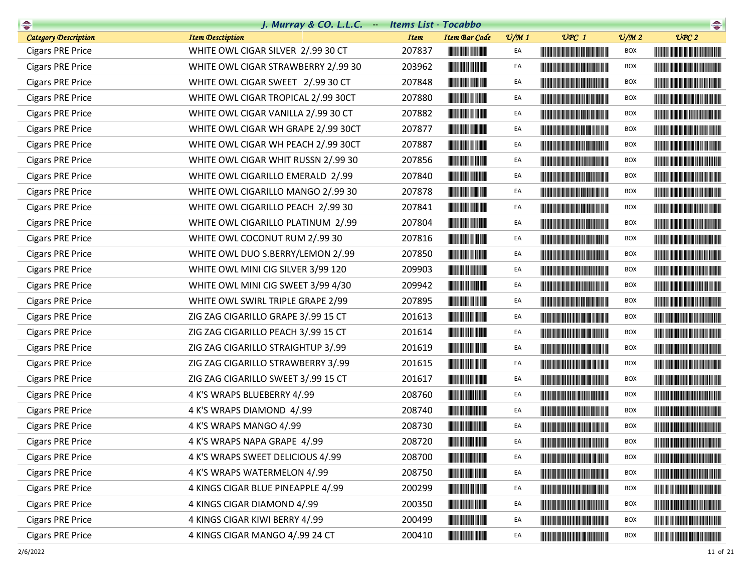| $\begin{picture}(20,10) \put(0,0){\line(1,0){10}} \put(10,0){\line(1,0){10}} \put(10,0){\line(1,0){10}} \put(10,0){\line(1,0){10}} \put(10,0){\line(1,0){10}} \put(10,0){\line(1,0){10}} \put(10,0){\line(1,0){10}} \put(10,0){\line(1,0){10}} \put(10,0){\line(1,0){10}} \put(10,0){\line(1,0){10}} \put(10,0){\line(1,0){10}} \put(10,0){\line(1$ | J. Murray & CO. L.L.C. $-$          | <b>Items List - Tocabbo</b> |                                                        |                 |                                                                                                                                                                                                                                      |                 | $\begin{picture}(20,20) \put(0,0){\dashbox{0.5}(10,0){ }} \put(15,0){\circle{10}} \put(15,0){\circle{10}} \put(15,0){\circle{10}} \put(15,0){\circle{10}} \put(15,0){\circle{10}} \put(15,0){\circle{10}} \put(15,0){\circle{10}} \put(15,0){\circle{10}} \put(15,0){\circle{10}} \put(15,0){\circle{10}} \put(15,0){\circle{10}} \put(15,0){\circle{10}} \put(15,0){\circle{10}} \put(15,$ |
|-----------------------------------------------------------------------------------------------------------------------------------------------------------------------------------------------------------------------------------------------------------------------------------------------------------------------------------------------------|-------------------------------------|-----------------------------|--------------------------------------------------------|-----------------|--------------------------------------------------------------------------------------------------------------------------------------------------------------------------------------------------------------------------------------|-----------------|---------------------------------------------------------------------------------------------------------------------------------------------------------------------------------------------------------------------------------------------------------------------------------------------------------------------------------------------------------------------------------------------|
| <b>Category Description</b>                                                                                                                                                                                                                                                                                                                         | <b>Item Desctiption</b>             | <b>Item</b>                 | <b>Item Bar Code</b>                                   | $\frac{v}{M}$ 1 | $UPC$ 1                                                                                                                                                                                                                              | $\frac{v}{M}$ 2 | UPC2                                                                                                                                                                                                                                                                                                                                                                                        |
| <b>Cigars PRE Price</b>                                                                                                                                                                                                                                                                                                                             | WHITE OWL CIGAR SILVER 2/.99 30 CT  | 207837                      |                                                        | EA              | <u> Timba ka masa sa mga katalog ng mga katalog ng mga katalog ng mga katalog ng mga katalog ng mga katalog ng mga katalog ng mga katalog ng mga katalog ng mga katalog ng mga katalog ng mga katalog ng mga katalog ng mga kata</u> | BOX             | <b>CONTRACTOR</b>                                                                                                                                                                                                                                                                                                                                                                           |
| <b>Cigars PRE Price</b>                                                                                                                                                                                                                                                                                                                             | WHITE OWL CIGAR STRAWBERRY 2/.99 30 | 203962                      | <b>The Committee of the Committee of the Committee</b> | EA              | <b>The Committee of the Committee of the Committee</b>                                                                                                                                                                               | <b>BOX</b>      | <u> Harry Harry Harry Harry Harry Harry Harry Harry Harry Harry Harry Harry Harry Harry Harry Harry Harry Harry Harry Harry Harry Harry Harry Harry Harry Harry Harry Harry Harry Harry Harry Harry Harry Harry Harry Harry Harr</u>                                                                                                                                                        |
| <b>Cigars PRE Price</b>                                                                                                                                                                                                                                                                                                                             | WHITE OWL CIGAR SWEET 2/.99 30 CT   | 207848                      |                                                        | EA              | <b>The Committee of the Committee of the Committee of the Committee of the Committee</b>                                                                                                                                             | <b>BOX</b>      |                                                                                                                                                                                                                                                                                                                                                                                             |
| <b>Cigars PRE Price</b>                                                                                                                                                                                                                                                                                                                             | WHITE OWL CIGAR TROPICAL 2/.99 30CT | 207880                      |                                                        | EA              |                                                                                                                                                                                                                                      | BOX             |                                                                                                                                                                                                                                                                                                                                                                                             |
| <b>Cigars PRE Price</b>                                                                                                                                                                                                                                                                                                                             | WHITE OWL CIGAR VANILLA 2/.99 30 CT | 207882                      |                                                        | EA              |                                                                                                                                                                                                                                      | BOX             |                                                                                                                                                                                                                                                                                                                                                                                             |
| <b>Cigars PRE Price</b>                                                                                                                                                                                                                                                                                                                             | WHITE OWL CIGAR WH GRAPE 2/.99 30CT | 207877                      | <u> Herbert Herbert in der Erste </u>                  | EA              | <u> Harry Harry Harry Harry Harry Harry Harry Harry Harry Harry Harry Harry Harry Harry Harry Harry Harry Harry Harry Harry Harry Harry Harry Harry Harry Harry Harry Harry Harry Harry Harry Harry Harry Harry Harry Harry Harr</u> | <b>BOX</b>      |                                                                                                                                                                                                                                                                                                                                                                                             |
| <b>Cigars PRE Price</b>                                                                                                                                                                                                                                                                                                                             | WHITE OWL CIGAR WH PEACH 2/.99 30CT | 207887                      | <b>The Common Service</b>                              | EA              | <u> Timba ka matsayin ka matsayin ka matsayin ka matsayin ka matsayin ka matsayin ka matsayin ka matsayin ka matsayin ka matsayin ka matsayin ka matsayin ka matsayin ka matsayin ka matsayin ka matsayin ka matsayin ka matsayi</u> | <b>BOX</b>      |                                                                                                                                                                                                                                                                                                                                                                                             |
| <b>Cigars PRE Price</b>                                                                                                                                                                                                                                                                                                                             | WHITE OWL CIGAR WHIT RUSSN 2/.99 30 | 207856                      |                                                        | EA              |                                                                                                                                                                                                                                      | <b>BOX</b>      |                                                                                                                                                                                                                                                                                                                                                                                             |
| <b>Cigars PRE Price</b>                                                                                                                                                                                                                                                                                                                             | WHITE OWL CIGARILLO EMERALD 2/.99   | 207840                      |                                                        | EA              | <u> Harry Harry Harry Harry Harry Harry Harry Harry Harry Harry Harry Harry Harry Harry Harry Harry Harry Harry Harry Harry Harry Harry Harry Harry Harry Harry Harry Harry Harry Harry Harry Harry Harry Harry Harry Harry Harr</u> | BOX             |                                                                                                                                                                                                                                                                                                                                                                                             |
| <b>Cigars PRE Price</b>                                                                                                                                                                                                                                                                                                                             | WHITE OWL CIGARILLO MANGO 2/.99 30  | 207878                      | <u> Herbert Herbert in der Erste </u>                  | EA              |                                                                                                                                                                                                                                      | <b>BOX</b>      |                                                                                                                                                                                                                                                                                                                                                                                             |
| <b>Cigars PRE Price</b>                                                                                                                                                                                                                                                                                                                             | WHITE OWL CIGARILLO PEACH 2/.99 30  | 207841                      | <b>THE REAL PROPERTY</b>                               | EA              |                                                                                                                                                                                                                                      | BOX             | <u> Harrison (Barbara) eta erroman erroman erroman erroman erroman erroman erroman erroman erroman erroman erroman erroman erroman erroman erroman erroman erroman erroman erroman erroman erroman erroman erroman erroman errom</u>                                                                                                                                                        |
| <b>Cigars PRE Price</b>                                                                                                                                                                                                                                                                                                                             | WHITE OWL CIGARILLO PLATINUM 2/.99  | 207804                      |                                                        | EA              | <u> Timba ka matsayin ka matsayin ka matsayin ka matsayin ka matsayin ka matsayin ka matsayin ka matsayin ka matsayin ka matsayin ka matsayin ka matsayin ka matsayin ka matsayin ka matsayin ka matsayin ka matsayin ka matsayi</u> | BOX             | <u> Harry Harry Harry Harry Harry Harry Harry Harry Harry Harry Harry Harry Harry Harry Harry Harry Harry Harry Harry Harry Harry Harry Harry Harry Harry Harry Harry Harry Harry Harry Harry Harry Harry Harry Harry Harry Harr</u>                                                                                                                                                        |
| <b>Cigars PRE Price</b>                                                                                                                                                                                                                                                                                                                             | WHITE OWL COCONUT RUM 2/.99 30      | 207816                      |                                                        | EA              | <b>CONTRACTOR</b>                                                                                                                                                                                                                    | <b>BOX</b>      |                                                                                                                                                                                                                                                                                                                                                                                             |
| <b>Cigars PRE Price</b>                                                                                                                                                                                                                                                                                                                             | WHITE OWL DUO S.BERRY/LEMON 2/.99   | 207850                      |                                                        | EA              | <u> Tanzania (h. 1888).</u>                                                                                                                                                                                                          | BOX             | <u> Harrison (Barbara) et al.</u>                                                                                                                                                                                                                                                                                                                                                           |
| <b>Cigars PRE Price</b>                                                                                                                                                                                                                                                                                                                             | WHITE OWL MINI CIG SILVER 3/99 120  | 209903                      |                                                        | EA              | <u> The Community of the Community of the Community of the Community of the Community of the Community of the Community of the Community of the Community of the Community of the Community of the Community of the Community of</u> | <b>BOX</b>      | <b>The Community of the Community</b>                                                                                                                                                                                                                                                                                                                                                       |
| <b>Cigars PRE Price</b>                                                                                                                                                                                                                                                                                                                             | WHITE OWL MINI CIG SWEET 3/99 4/30  | 209942                      |                                                        | EA              | <b>The Committee of the Committee of the Committee</b>                                                                                                                                                                               | <b>BOX</b>      |                                                                                                                                                                                                                                                                                                                                                                                             |
| <b>Cigars PRE Price</b>                                                                                                                                                                                                                                                                                                                             | WHITE OWL SWIRL TRIPLE GRAPE 2/99   | 207895                      |                                                        | EA              | <u> Timba ka matsayin ka matsayin ka matsayin ka matsayin ka matsayin ka matsayin ka matsayin ka matsayin ka matsayin ka matsayin ka matsayin ka matsayin ka matsayin ka matsayin ka matsayin ka matsayin ka matsayin ka matsayi</u> | BOX             | <u> Harry Harry Harry Harry Harry Harry Harry Harry Harry Harry Harry Harry Harry Harry Harry Harry Harry Harry Harry Harry Harry Harry Harry Harry Harry Harry Harry Harry Harry Harry Harry Harry Harry Harry Harry Harry Harr</u>                                                                                                                                                        |
| <b>Cigars PRE Price</b>                                                                                                                                                                                                                                                                                                                             | ZIG ZAG CIGARILLO GRAPE 3/.99 15 CT | 201613                      |                                                        | EA              |                                                                                                                                                                                                                                      | <b>BOX</b>      |                                                                                                                                                                                                                                                                                                                                                                                             |
| <b>Cigars PRE Price</b>                                                                                                                                                                                                                                                                                                                             | ZIG ZAG CIGARILLO PEACH 3/.99 15 CT | 201614                      |                                                        | EA              |                                                                                                                                                                                                                                      | <b>BOX</b>      |                                                                                                                                                                                                                                                                                                                                                                                             |
| <b>Cigars PRE Price</b>                                                                                                                                                                                                                                                                                                                             | ZIG ZAG CIGARILLO STRAIGHTUP 3/.99  | 201619                      | <b>The Committee of the Committee of the Committee</b> | EA              | <b>The Committee of the Committee of the Committee</b>                                                                                                                                                                               | BOX             |                                                                                                                                                                                                                                                                                                                                                                                             |
| <b>Cigars PRE Price</b>                                                                                                                                                                                                                                                                                                                             | ZIG ZAG CIGARILLO STRAWBERRY 3/.99  | 201615                      |                                                        | EA              |                                                                                                                                                                                                                                      | BOX             |                                                                                                                                                                                                                                                                                                                                                                                             |
| <b>Cigars PRE Price</b>                                                                                                                                                                                                                                                                                                                             | ZIG ZAG CIGARILLO SWEET 3/.99 15 CT | 201617                      |                                                        | EA              | <u> Tanzania (Barat III) di Barat III di Barat III di Barat III di Barat III di Barat III di Barat III di Barat III di Barat III di Barat III di Barat III di Barat III di Barat III di Barat III di Barat III di Barat III di B</u> | BOX             |                                                                                                                                                                                                                                                                                                                                                                                             |
| <b>Cigars PRE Price</b>                                                                                                                                                                                                                                                                                                                             | 4 K'S WRAPS BLUEBERRY 4/.99         | 208760                      |                                                        | EA              | <u> Harry Harry Harry Harry Harry Harry Harry Harry Harry Harry Harry Harry Harry Harry Harry Harry Harry Harry Harry Harry Harry Harry Harry Harry Harry Harry Harry Harry Harry Harry Harry Harry Harry Harry Harry Harry Harr</u> | BOX             |                                                                                                                                                                                                                                                                                                                                                                                             |
| <b>Cigars PRE Price</b>                                                                                                                                                                                                                                                                                                                             | 4 K'S WRAPS DIAMOND 4/.99           | 208740                      | <u> Herbert Herbert in der Erste </u>                  | EA              | <b>The Community of the Community</b>                                                                                                                                                                                                | BOX             |                                                                                                                                                                                                                                                                                                                                                                                             |
| <b>Cigars PRE Price</b>                                                                                                                                                                                                                                                                                                                             | 4 K'S WRAPS MANGO 4/.99             | 208730                      | <b>The Committee of the Committee</b>                  | EA              | <b>The Community of the Community</b>                                                                                                                                                                                                | BOX             |                                                                                                                                                                                                                                                                                                                                                                                             |
| <b>Cigars PRE Price</b>                                                                                                                                                                                                                                                                                                                             | 4 K'S WRAPS NAPA GRAPE 4/.99        | 208720                      |                                                        |                 |                                                                                                                                                                                                                                      | <b>BOX</b>      |                                                                                                                                                                                                                                                                                                                                                                                             |
| <b>Cigars PRE Price</b>                                                                                                                                                                                                                                                                                                                             | 4 K'S WRAPS SWEET DELICIOUS 4/.99   | 208700                      |                                                        | EA              | <b>The Committee of the Committee of the Committee of the Committee</b>                                                                                                                                                              | BOX             |                                                                                                                                                                                                                                                                                                                                                                                             |
| <b>Cigars PRE Price</b>                                                                                                                                                                                                                                                                                                                             | 4 K'S WRAPS WATERMELON 4/.99        | 208750                      | <u> Herbert Herbert in der Erste </u>                  | EA              |                                                                                                                                                                                                                                      | BOX             |                                                                                                                                                                                                                                                                                                                                                                                             |
| <b>Cigars PRE Price</b>                                                                                                                                                                                                                                                                                                                             | 4 KINGS CIGAR BLUE PINEAPPLE 4/.99  | 200299                      | <u> Herbert Herbert in der Erste </u>                  | EA              |                                                                                                                                                                                                                                      | BOX             |                                                                                                                                                                                                                                                                                                                                                                                             |
| <b>Cigars PRE Price</b>                                                                                                                                                                                                                                                                                                                             | 4 KINGS CIGAR DIAMOND 4/.99         | 200350                      | <u> Herbert Herbert in der Erste </u>                  | EA              | <b>The Community of the Community</b>                                                                                                                                                                                                | BOX             |                                                                                                                                                                                                                                                                                                                                                                                             |
| <b>Cigars PRE Price</b>                                                                                                                                                                                                                                                                                                                             | 4 KINGS CIGAR KIWI BERRY 4/.99      | 200499                      | <u> Herbert Herbert in der Erste </u>                  | EA              |                                                                                                                                                                                                                                      | <b>BOX</b>      |                                                                                                                                                                                                                                                                                                                                                                                             |
| <b>Cigars PRE Price</b>                                                                                                                                                                                                                                                                                                                             | 4 KINGS CIGAR MANGO 4/.99 24 CT     | 200410                      |                                                        | EA              |                                                                                                                                                                                                                                      | <b>BOX</b>      |                                                                                                                                                                                                                                                                                                                                                                                             |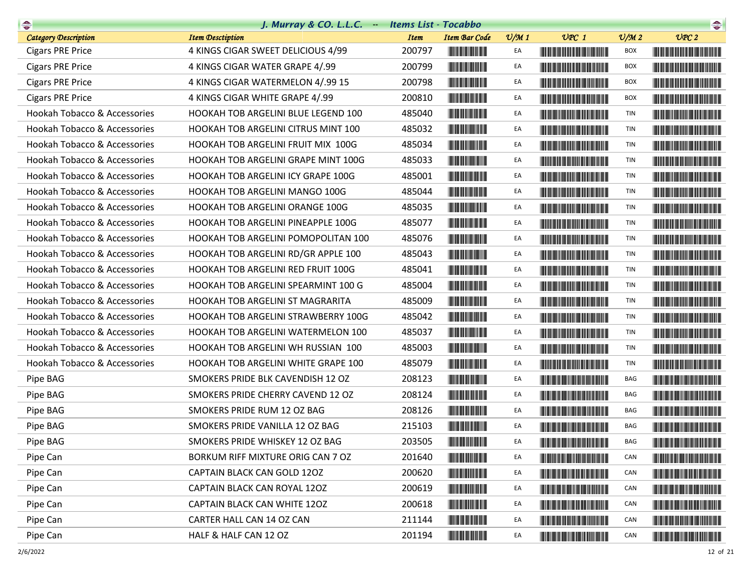| $\frac{1}{\sqrt{2}}$                    | J. Murray & CO. L.L.C. - Items List - Tocabbo |             |                                       |                 |                                                                                                                                                                                                                                      |                 | $\begin{picture}(20,10) \put(0,0){\line(1,0){10}} \put(10,0){\line(1,0){10}} \put(10,0){\line(1,0){10}} \put(10,0){\line(1,0){10}} \put(10,0){\line(1,0){10}} \put(10,0){\line(1,0){10}} \put(10,0){\line(1,0){10}} \put(10,0){\line(1,0){10}} \put(10,0){\line(1,0){10}} \put(10,0){\line(1,0){10}} \put(10,0){\line(1,0){10}} \put(10,0){\line(1$ |
|-----------------------------------------|-----------------------------------------------|-------------|---------------------------------------|-----------------|--------------------------------------------------------------------------------------------------------------------------------------------------------------------------------------------------------------------------------------|-----------------|-----------------------------------------------------------------------------------------------------------------------------------------------------------------------------------------------------------------------------------------------------------------------------------------------------------------------------------------------------|
| <b>Category Description</b>             | <b>Item Desctiption</b>                       | <b>Item</b> | <b>Item Bar Code</b>                  | $\frac{v}{M}$ 1 | $UPC$ 1                                                                                                                                                                                                                              | $\frac{v}{M}$ 2 | UPC2                                                                                                                                                                                                                                                                                                                                                |
| <b>Cigars PRE Price</b>                 | 4 KINGS CIGAR SWEET DELICIOUS 4/99            | 200797      |                                       | EA              |                                                                                                                                                                                                                                      | BOX             |                                                                                                                                                                                                                                                                                                                                                     |
| <b>Cigars PRE Price</b>                 | 4 KINGS CIGAR WATER GRAPE 4/.99               | 200799      |                                       | EA              |                                                                                                                                                                                                                                      | <b>BOX</b>      |                                                                                                                                                                                                                                                                                                                                                     |
| <b>Cigars PRE Price</b>                 | 4 KINGS CIGAR WATERMELON 4/.99 15             | 200798      |                                       | EA              |                                                                                                                                                                                                                                      | BOX             |                                                                                                                                                                                                                                                                                                                                                     |
| <b>Cigars PRE Price</b>                 | 4 KINGS CIGAR WHITE GRAPE 4/.99               | 200810      |                                       | EA              |                                                                                                                                                                                                                                      | <b>BOX</b>      |                                                                                                                                                                                                                                                                                                                                                     |
| Hookah Tobacco & Accessories            | HOOKAH TOB ARGELINI BLUE LEGEND 100           | 485040      |                                       | EA              |                                                                                                                                                                                                                                      | TIN             |                                                                                                                                                                                                                                                                                                                                                     |
| Hookah Tobacco & Accessories            | <b>HOOKAH TOB ARGELINI CITRUS MINT 100</b>    | 485032      |                                       | EA              |                                                                                                                                                                                                                                      | <b>TIN</b>      |                                                                                                                                                                                                                                                                                                                                                     |
| Hookah Tobacco & Accessories            | HOOKAH TOB ARGELINI FRUIT MIX 100G            | 485034      |                                       | EA              |                                                                                                                                                                                                                                      | <b>TIN</b>      |                                                                                                                                                                                                                                                                                                                                                     |
| Hookah Tobacco & Accessories            | HOOKAH TOB ARGELINI GRAPE MINT 100G           | 485033      |                                       | EA              |                                                                                                                                                                                                                                      | TIN             |                                                                                                                                                                                                                                                                                                                                                     |
| Hookah Tobacco & Accessories            | HOOKAH TOB ARGELINI ICY GRAPE 100G            | 485001      |                                       | EA              |                                                                                                                                                                                                                                      | <b>TIN</b>      |                                                                                                                                                                                                                                                                                                                                                     |
| Hookah Tobacco & Accessories            | HOOKAH TOB ARGELINI MANGO 100G                | 485044      |                                       | EA              |                                                                                                                                                                                                                                      | <b>TIN</b>      |                                                                                                                                                                                                                                                                                                                                                     |
| Hookah Tobacco & Accessories            | HOOKAH TOB ARGELINI ORANGE 100G               | 485035      |                                       | EA              |                                                                                                                                                                                                                                      | <b>TIN</b>      | <b>The Community of the Community</b>                                                                                                                                                                                                                                                                                                               |
| Hookah Tobacco & Accessories            | HOOKAH TOB ARGELINI PINEAPPLE 100G            | 485077      |                                       | EA              |                                                                                                                                                                                                                                      | TIN             |                                                                                                                                                                                                                                                                                                                                                     |
| Hookah Tobacco & Accessories            | HOOKAH TOB ARGELINI POMOPOLITAN 100           | 485076      | <b>The Committee of the Committee</b> | EA              |                                                                                                                                                                                                                                      | TIN             |                                                                                                                                                                                                                                                                                                                                                     |
| Hookah Tobacco & Accessories            | HOOKAH TOB ARGELINI RD/GR APPLE 100           | 485043      |                                       | EA              | <b>The Committee of the Committee of the Committee</b>                                                                                                                                                                               | <b>TIN</b>      |                                                                                                                                                                                                                                                                                                                                                     |
| <b>Hookah Tobacco &amp; Accessories</b> | HOOKAH TOB ARGELINI RED FRUIT 100G            | 485041      |                                       | EA              |                                                                                                                                                                                                                                      | TIN             |                                                                                                                                                                                                                                                                                                                                                     |
| Hookah Tobacco & Accessories            | HOOKAH TOB ARGELINI SPEARMINT 100 G           | 485004      |                                       | EA              |                                                                                                                                                                                                                                      | TIN             |                                                                                                                                                                                                                                                                                                                                                     |
| Hookah Tobacco & Accessories            | HOOKAH TOB ARGELINI ST MAGRARITA              | 485009      |                                       | EA              | <b>The Community of the Community</b>                                                                                                                                                                                                | TIN             |                                                                                                                                                                                                                                                                                                                                                     |
| Hookah Tobacco & Accessories            | HOOKAH TOB ARGELINI STRAWBERRY 100G           | 485042      |                                       | EA              |                                                                                                                                                                                                                                      | TIN             | <b>The Community of the Community</b>                                                                                                                                                                                                                                                                                                               |
| Hookah Tobacco & Accessories            | <b>HOOKAH TOB ARGELINI WATERMELON 100</b>     | 485037      |                                       | EA              |                                                                                                                                                                                                                                      | TIN             |                                                                                                                                                                                                                                                                                                                                                     |
| Hookah Tobacco & Accessories            | HOOKAH TOB ARGELINI WH RUSSIAN 100            | 485003      |                                       | EA              |                                                                                                                                                                                                                                      | TIN             |                                                                                                                                                                                                                                                                                                                                                     |
| Hookah Tobacco & Accessories            | <b>HOOKAH TOB ARGELINI WHITE GRAPE 100</b>    | 485079      |                                       | EA              |                                                                                                                                                                                                                                      | TIN             |                                                                                                                                                                                                                                                                                                                                                     |
| Pipe BAG                                | SMOKERS PRIDE BLK CAVENDISH 12 OZ             | 208123      |                                       | EA              |                                                                                                                                                                                                                                      | BAG             |                                                                                                                                                                                                                                                                                                                                                     |
| Pipe BAG                                | SMOKERS PRIDE CHERRY CAVEND 12 OZ             | 208124      |                                       | EA              | <u> Harat Barat Barat Barat Barat Barat Barat Barat Barat Barat Barat Barat Barat Barat Barat Barat Barat Barat Barat Barat Barat Barat Barat Barat Barat Barat Barat Barat Barat Barat Barat Barat Barat Barat Barat Barat Bara</u> | <b>BAG</b>      | <u> Harry Harry Harry Harry Harry Harry Harry Harry Harry Harry Harry Harry Harry Harry Harry Harry Harry Harry Harry Harry Harry Harry Harry Harry Harry Harry Harry Harry Harry Harry Harry Harry Harry Harry Harry Harry Harr</u>                                                                                                                |
| Pipe BAG                                | SMOKERS PRIDE RUM 12 OZ BAG                   | 208126      |                                       | EA              | <u> Harat Barat Barat Barat Barat Barat Barat Barat Barat Barat Barat Barat Barat Barat Barat Barat Barat Barat Barat Barat Barat Barat Barat Barat Barat Barat Barat Barat Barat Barat Barat Barat Barat Barat Barat Barat Bara</u> | BAG             |                                                                                                                                                                                                                                                                                                                                                     |
| Pipe BAG                                | SMOKERS PRIDE VANILLA 12 OZ BAG               | 215103      | <b>The Common Service</b>             | EA              | <u> Harat Barat Barat Barat Barat Barat Barat Barat Barat Barat Barat Barat Barat Barat Barat Barat Barat Barat Barat Barat Barat Barat Barat Barat Barat Barat Barat Barat Barat Barat Barat Barat Barat Barat Barat Barat Bara</u> | BAG             |                                                                                                                                                                                                                                                                                                                                                     |
| Pipe BAG                                | SMOKERS PRIDE WHISKEY 12 OZ BAG               | 203505      |                                       | EA              |                                                                                                                                                                                                                                      | BAG             |                                                                                                                                                                                                                                                                                                                                                     |
| Pipe Can                                | BORKUM RIFF MIXTURE ORIG CAN 7 OZ             | 201640      |                                       | EA              |                                                                                                                                                                                                                                      | CAN             |                                                                                                                                                                                                                                                                                                                                                     |
| Pipe Can                                | CAPTAIN BLACK CAN GOLD 120Z                   | 200620      |                                       | EA              |                                                                                                                                                                                                                                      | CAN             | <b>The Committee of the Committee of the Committee of the Committee of the Committee</b>                                                                                                                                                                                                                                                            |
| Pipe Can                                | CAPTAIN BLACK CAN ROYAL 120Z                  | 200619      |                                       | EA              |                                                                                                                                                                                                                                      | CAN             | <u> Harris Harris Harris Harris Harris Harris Harris Harris Harris Harris Harris Harris Harris Harris Harris Harris Harris Harris Harris Harris Harris Harris Harris Harris Harris Harris Harris Harris Harris Harris Harris Har</u>                                                                                                                |
| Pipe Can                                | CAPTAIN BLACK CAN WHITE 120Z                  | 200618      |                                       | EA              | <u> The Community of the Community of the Community of the Community of the Community of the Community of the Community of the Community of the Community of the Community of the Community of the Community of the Community of</u> | CAN             | <b>The Community of the Community</b>                                                                                                                                                                                                                                                                                                               |
| Pipe Can                                | CARTER HALL CAN 14 OZ CAN                     | 211144      |                                       | EA              |                                                                                                                                                                                                                                      | CAN             |                                                                                                                                                                                                                                                                                                                                                     |
| Pipe Can                                | HALF & HALF CAN 12 OZ                         | 201194      | <b>The Common Service</b>             | EA              |                                                                                                                                                                                                                                      | CAN             | <u> The Community of the Community of the Community of the Community of the Community of the Community of the Community of the Community of the Community of the Community of the Community of the Community of the Community of</u>                                                                                                                |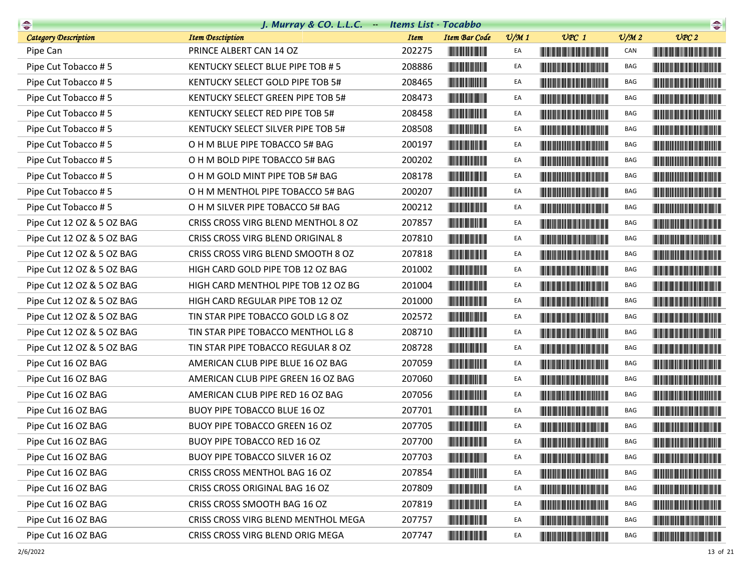| $\begin{picture}(20,10) \put(0,0){\line(1,0){10}} \put(10,0){\line(1,0){10}} \put(10,0){\line(1,0){10}} \put(10,0){\line(1,0){10}} \put(10,0){\line(1,0){10}} \put(10,0){\line(1,0){10}} \put(10,0){\line(1,0){10}} \put(10,0){\line(1,0){10}} \put(10,0){\line(1,0){10}} \put(10,0){\line(1,0){10}} \put(10,0){\line(1,0){10}} \put(10,0){\line(1$ | J. Murray & CO. L.L.C. - Items List - Tocabbo |             |                                                                                                                       |                 |                                                                                                                                                                                                                                      |                             |                                                                                                                        |
|-----------------------------------------------------------------------------------------------------------------------------------------------------------------------------------------------------------------------------------------------------------------------------------------------------------------------------------------------------|-----------------------------------------------|-------------|-----------------------------------------------------------------------------------------------------------------------|-----------------|--------------------------------------------------------------------------------------------------------------------------------------------------------------------------------------------------------------------------------------|-----------------------------|------------------------------------------------------------------------------------------------------------------------|
| <b>Category Description</b>                                                                                                                                                                                                                                                                                                                         | <b>Item Desctiption</b>                       | <b>Item</b> | <b>Item Bar Code</b>                                                                                                  | $\frac{v}{M}$ 1 | $UPC$ 1                                                                                                                                                                                                                              | $\mathcal{O}/\mathcal{M}$ 2 | UPC2                                                                                                                   |
| Pipe Can                                                                                                                                                                                                                                                                                                                                            | PRINCE ALBERT CAN 14 OZ                       | 202275      |                                                                                                                       | EA              | <u> Harry Harry Harry Harry Harry Harry Harry Harry Harry Harry Harry Harry Harry Harry Harry Harry Harry Harry Harry Harry Harry Harry Harry Harry Harry Harry Harry Harry Harry Harry Harry Harry Harry Harry Harry Harry Harr</u> | CAN                         | <u> Liberal Maria Maria Maria Maria Maria Maria Maria Maria Maria Maria Maria Maria Maria Maria Maria Maria Maria </u> |
| Pipe Cut Tobacco #5                                                                                                                                                                                                                                                                                                                                 | KENTUCKY SELECT BLUE PIPE TOB #5              | 208886      |                                                                                                                       | EA              |                                                                                                                                                                                                                                      | BAG                         |                                                                                                                        |
| Pipe Cut Tobacco #5                                                                                                                                                                                                                                                                                                                                 | KENTUCKY SELECT GOLD PIPE TOB 5#              | 208465      |                                                                                                                       | EA              |                                                                                                                                                                                                                                      | BAG                         |                                                                                                                        |
| Pipe Cut Tobacco #5                                                                                                                                                                                                                                                                                                                                 | KENTUCKY SELECT GREEN PIPE TOB 5#             | 208473      |                                                                                                                       | EA              |                                                                                                                                                                                                                                      | BAG                         |                                                                                                                        |
| Pipe Cut Tobacco #5                                                                                                                                                                                                                                                                                                                                 | KENTUCKY SELECT RED PIPE TOB 5#               | 208458      |                                                                                                                       | EA              |                                                                                                                                                                                                                                      | BAG                         |                                                                                                                        |
| Pipe Cut Tobacco #5                                                                                                                                                                                                                                                                                                                                 | KENTUCKY SELECT SILVER PIPE TOB 5#            | 208508      |                                                                                                                       | EA              |                                                                                                                                                                                                                                      | BAG                         |                                                                                                                        |
| Pipe Cut Tobacco #5                                                                                                                                                                                                                                                                                                                                 | O H M BLUE PIPE TOBACCO 5# BAG                | 200197      |                                                                                                                       | EA              | <u> Harry Harry Harry Harry Harry Harry Harry Harry Harry Harry Harry Harry Harry Harry Harry Harry Harry Harry Harry Harry Harry Harry Harry Harry Harry Harry Harry Harry Harry Harry Harry Harry Harry Harry Harry Harry Harr</u> | BAG                         |                                                                                                                        |
| Pipe Cut Tobacco #5                                                                                                                                                                                                                                                                                                                                 | O H M BOLD PIPE TOBACCO 5# BAG                | 200202      |                                                                                                                       | EA              |                                                                                                                                                                                                                                      | BAG                         |                                                                                                                        |
| Pipe Cut Tobacco #5                                                                                                                                                                                                                                                                                                                                 | O H M GOLD MINT PIPE TOB 5# BAG               | 208178      |                                                                                                                       | EA              |                                                                                                                                                                                                                                      | BAG                         |                                                                                                                        |
| Pipe Cut Tobacco #5                                                                                                                                                                                                                                                                                                                                 | O H M MENTHOL PIPE TOBACCO 5# BAG             | 200207      |                                                                                                                       | EA              | <u> Harry Harry Harry Harry Harry Harry Harry Harry Harry Harry Harry Harry Harry Harry Harry Harry Harry Harry Harry Harry Harry Harry Harry Harry Harry Harry Harry Harry Harry Harry Harry Harry Harry Harry Harry Harry Harr</u> | BAG                         |                                                                                                                        |
| Pipe Cut Tobacco #5                                                                                                                                                                                                                                                                                                                                 | O H M SILVER PIPE TOBACCO 5# BAG              | 200212      |                                                                                                                       | EA              |                                                                                                                                                                                                                                      | BAG                         |                                                                                                                        |
| Pipe Cut 12 OZ & 5 OZ BAG                                                                                                                                                                                                                                                                                                                           | CRISS CROSS VIRG BLEND MENTHOL 8 OZ           | 207857      |                                                                                                                       | EA              | <u> Harry Harry Harry Harry Harry Harry Harry Harry Harry Harry Harry Harry Harry Harry Harry Harry Harry Harry Harry Harry Harry Harry Harry Harry Harry Harry Harry Harry Harry Harry Harry Harry Harry Harry Harry Harry Harr</u> | BAG                         |                                                                                                                        |
| Pipe Cut 12 OZ & 5 OZ BAG                                                                                                                                                                                                                                                                                                                           | CRISS CROSS VIRG BLEND ORIGINAL 8             | 207810      |                                                                                                                       | EA              | <b>The Common Section</b>                                                                                                                                                                                                            | BAG                         |                                                                                                                        |
| Pipe Cut 12 OZ & 5 OZ BAG                                                                                                                                                                                                                                                                                                                           | CRISS CROSS VIRG BLEND SMOOTH 8 OZ            | 207818      |                                                                                                                       | EA              | <u> Harry Harry Harry Harry Harry Harry Harry Harry Harry Harry Harry Harry Harry Harry Harry Harry Harry Harry Harry Harry Harry Harry Harry Harry Harry Harry Harry Harry Harry Harry Harry Harry Harry Harry Harry Harry Harr</u> | BAG                         |                                                                                                                        |
| Pipe Cut 12 OZ & 5 OZ BAG                                                                                                                                                                                                                                                                                                                           | HIGH CARD GOLD PIPE TOB 12 OZ BAG             | 201002      |                                                                                                                       | EA              | <u> Harry Harry Harry Harry Harry Harry Harry Harry Harry Harry Harry Harry Harry Harry Harry Harry Harry Harry Harry Harry Harry Harry Harry Harry Harry Harry Harry Harry Harry Harry Harry Harry Harry Harry Harry Harry Harr</u> | BAG                         |                                                                                                                        |
| Pipe Cut 12 OZ & 5 OZ BAG                                                                                                                                                                                                                                                                                                                           | HIGH CARD MENTHOL PIPE TOB 12 OZ BG           | 201004      |                                                                                                                       | EA              | <u> Harry Harry Harry Harry Harry Harry Harry Harry Harry Harry Harry Harry Harry Harry Harry Harry Harry Harry Harry Harry Harry Harry Harry Harry Harry Harry Harry Harry Harry Harry Harry Harry Harry Harry Harry Harry Harr</u> | BAG                         |                                                                                                                        |
| Pipe Cut 12 OZ & 5 OZ BAG                                                                                                                                                                                                                                                                                                                           | HIGH CARD REGULAR PIPE TOB 12 OZ              | 201000      | <u> Herbert Herbert in der Erste der Erste </u>                                                                       | EA              | <u> Harry Harry Harry Harry Harry Harry Harry Harry Harry Harry Harry Harry Harry Harry Harry Harry Harry Harry Harry Harry Harry Harry Harry Harry Harry Harry Harry Harry Harry Harry Harry Harry Harry Harry Harry Harry Harr</u> | BAG                         |                                                                                                                        |
| Pipe Cut 12 OZ & 5 OZ BAG                                                                                                                                                                                                                                                                                                                           | TIN STAR PIPE TOBACCO GOLD LG 8 OZ            | 202572      | <b>The Committee of the Committee of the Committee</b>                                                                | EA              | <b>The Community of the Community</b>                                                                                                                                                                                                | BAG                         |                                                                                                                        |
| Pipe Cut 12 OZ & 5 OZ BAG                                                                                                                                                                                                                                                                                                                           | TIN STAR PIPE TOBACCO MENTHOL LG 8            | 208710      |                                                                                                                       | EA              | <u> The Community of the Community of the Community of the Community of the Community of the Community of the Community of the Community of the Community of the Community of the Community of the Community of the Community of</u> | BAG                         |                                                                                                                        |
| Pipe Cut 12 OZ & 5 OZ BAG                                                                                                                                                                                                                                                                                                                           | TIN STAR PIPE TOBACCO REGULAR 8 OZ            | 208728      |                                                                                                                       | EA              | <u> Harry Harry Harry Harry Harry Harry Harry Harry Harry Harry Harry Harry Harry Harry Harry Harry Harry Harry Harry Harry Harry Harry Harry Harry Harry Harry Harry Harry Harry Harry Harry Harry Harry Harry Harry Harry Harr</u> | BAG                         |                                                                                                                        |
| Pipe Cut 16 OZ BAG                                                                                                                                                                                                                                                                                                                                  | AMERICAN CLUB PIPE BLUE 16 OZ BAG             | 207059      | <u> Herbert Herbert in der Entschaft</u>                                                                              | EA              |                                                                                                                                                                                                                                      | BAG                         |                                                                                                                        |
| Pipe Cut 16 OZ BAG                                                                                                                                                                                                                                                                                                                                  | AMERICAN CLUB PIPE GREEN 16 OZ BAG            | 207060      | <u> Herbert Herbert i Sta</u>                                                                                         | EA              |                                                                                                                                                                                                                                      | BAG                         |                                                                                                                        |
| Pipe Cut 16 OZ BAG                                                                                                                                                                                                                                                                                                                                  | AMERICAN CLUB PIPE RED 16 OZ BAG              | 207056      | <b>The Committee of the Committee</b>                                                                                 | EA              |                                                                                                                                                                                                                                      | BAG                         |                                                                                                                        |
| Pipe Cut 16 OZ BAG                                                                                                                                                                                                                                                                                                                                  | BUOY PIPE TOBACCO BLUE 16 OZ                  | 207701      |                                                                                                                       | EA              |                                                                                                                                                                                                                                      | BAG                         |                                                                                                                        |
| Pipe Cut 16 OZ BAG                                                                                                                                                                                                                                                                                                                                  | <b>BUOY PIPE TOBACCO GREEN 16 OZ</b>          | 207705      | <u> Indian American Indian Indian Indian Indian Indian Indian Indian Indian Indian Indian Indian Indian Indian In</u> | EA              | <u> Harry Harry Harry Harry Harry Harry Harry Harry Harry Harry Harry Harry Harry Harry Harry Harry Harry Harry Harry Harry Harry Harry Harry Harry Harry Harry Harry Harry Harry Harry Harry Harry Harry Harry Harry Harry Harr</u> | BAG                         |                                                                                                                        |
| Pipe Cut 16 OZ BAG                                                                                                                                                                                                                                                                                                                                  | BUOY PIPE TOBACCO RED 16 OZ                   | 207700      | <b>THE REAL PROPERTY</b>                                                                                              | EA              |                                                                                                                                                                                                                                      | BAG                         |                                                                                                                        |
| Pipe Cut 16 OZ BAG                                                                                                                                                                                                                                                                                                                                  | <b>BUOY PIPE TOBACCO SILVER 16 OZ</b>         | 207703      |                                                                                                                       | EA              |                                                                                                                                                                                                                                      | BAG                         |                                                                                                                        |
| Pipe Cut 16 OZ BAG                                                                                                                                                                                                                                                                                                                                  | CRISS CROSS MENTHOL BAG 16 OZ                 | 207854      | <u> Herbert Herbert in der Entschaft</u>                                                                              | EA              | <u> Herbert Herbert in der Erste der Erste der Erste der Erste der Erste der Erste der Erste der Erste der Erste </u>                                                                                                                | BAG                         | <u> Historia de la contrada de la contrada de la con</u>                                                               |
| Pipe Cut 16 OZ BAG                                                                                                                                                                                                                                                                                                                                  | CRISS CROSS ORIGINAL BAG 16 OZ                | 207809      | <u> Herbert Herbert in der Erste der Erste </u>                                                                       | EA              |                                                                                                                                                                                                                                      | BAG                         |                                                                                                                        |
| Pipe Cut 16 OZ BAG                                                                                                                                                                                                                                                                                                                                  | CRISS CROSS SMOOTH BAG 16 OZ                  | 207819      |                                                                                                                       | EA              | <u> Harry Harry Harry Harry Harry Harry Harry Harry Harry Harry Harry Harry Harry Harry Harry Harry Harry Harry H</u>                                                                                                                | BAG                         |                                                                                                                        |
| Pipe Cut 16 OZ BAG                                                                                                                                                                                                                                                                                                                                  | CRISS CROSS VIRG BLEND MENTHOL MEGA           | 207757      | <u> Herbert Herbert in der Erste </u>                                                                                 | EA              |                                                                                                                                                                                                                                      | BAG                         |                                                                                                                        |
| Pipe Cut 16 OZ BAG                                                                                                                                                                                                                                                                                                                                  | CRISS CROSS VIRG BLEND ORIG MEGA              | 207747      |                                                                                                                       | EA              | <u> Die Berger von Die Berger von Die Berger von Die Berger von Die Berger von Die Berger von Die Berger von Die B</u>                                                                                                               | BAG                         | <b>CONTRACTOR</b>                                                                                                      |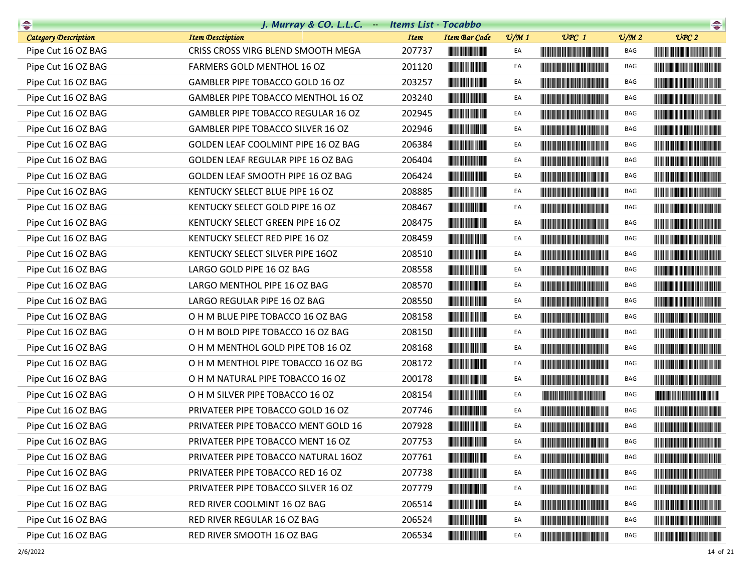| $\begin{picture}(20,10) \put(0,0){\line(1,0){10}} \put(10,0){\line(1,0){10}} \put(10,0){\line(1,0){10}} \put(10,0){\line(1,0){10}} \put(10,0){\line(1,0){10}} \put(10,0){\line(1,0){10}} \put(10,0){\line(1,0){10}} \put(10,0){\line(1,0){10}} \put(10,0){\line(1,0){10}} \put(10,0){\line(1,0){10}} \put(10,0){\line(1,0){10}} \put(10,0){\line(1$ | J. Murray & CO. L.L.C. $-$          | <b>Items List - Tocabbo</b> |                                       |                 |                                                                                                                                                                                                                                      |                 | $\begin{picture}(20,10) \put(0,0){\line(1,0){10}} \put(10,0){\line(1,0){10}} \put(10,0){\line(1,0){10}} \put(10,0){\line(1,0){10}} \put(10,0){\line(1,0){10}} \put(10,0){\line(1,0){10}} \put(10,0){\line(1,0){10}} \put(10,0){\line(1,0){10}} \put(10,0){\line(1,0){10}} \put(10,0){\line(1,0){10}} \put(10,0){\line(1,0){10}} \put(10,0){\line(1$ |
|-----------------------------------------------------------------------------------------------------------------------------------------------------------------------------------------------------------------------------------------------------------------------------------------------------------------------------------------------------|-------------------------------------|-----------------------------|---------------------------------------|-----------------|--------------------------------------------------------------------------------------------------------------------------------------------------------------------------------------------------------------------------------------|-----------------|-----------------------------------------------------------------------------------------------------------------------------------------------------------------------------------------------------------------------------------------------------------------------------------------------------------------------------------------------------|
| <b>Category Description</b>                                                                                                                                                                                                                                                                                                                         | <b>Item Desctiption</b>             | <b>Item</b>                 | <b>Item Bar Code</b>                  | $\frac{v}{M}$ 1 | $UPC$ 1                                                                                                                                                                                                                              | $\frac{V}{M}$ 2 | UPC2                                                                                                                                                                                                                                                                                                                                                |
| Pipe Cut 16 OZ BAG                                                                                                                                                                                                                                                                                                                                  | CRISS CROSS VIRG BLEND SMOOTH MEGA  | 207737                      |                                       | EA              |                                                                                                                                                                                                                                      | BAG             |                                                                                                                                                                                                                                                                                                                                                     |
| Pipe Cut 16 OZ BAG                                                                                                                                                                                                                                                                                                                                  | FARMERS GOLD MENTHOL 16 OZ          | 201120                      |                                       | EA              |                                                                                                                                                                                                                                      | BAG             |                                                                                                                                                                                                                                                                                                                                                     |
| Pipe Cut 16 OZ BAG                                                                                                                                                                                                                                                                                                                                  | GAMBLER PIPE TOBACCO GOLD 16 OZ     | 203257                      |                                       | EA              |                                                                                                                                                                                                                                      | BAG             |                                                                                                                                                                                                                                                                                                                                                     |
| Pipe Cut 16 OZ BAG                                                                                                                                                                                                                                                                                                                                  | GAMBLER PIPE TOBACCO MENTHOL 16 OZ  | 203240                      |                                       | EA              |                                                                                                                                                                                                                                      | BAG             |                                                                                                                                                                                                                                                                                                                                                     |
| Pipe Cut 16 OZ BAG                                                                                                                                                                                                                                                                                                                                  | GAMBLER PIPE TOBACCO REGULAR 16 OZ  | 202945                      |                                       | EA              |                                                                                                                                                                                                                                      | BAG             |                                                                                                                                                                                                                                                                                                                                                     |
| Pipe Cut 16 OZ BAG                                                                                                                                                                                                                                                                                                                                  | GAMBLER PIPE TOBACCO SILVER 16 OZ   | 202946                      |                                       | EA              |                                                                                                                                                                                                                                      | BAG             |                                                                                                                                                                                                                                                                                                                                                     |
| Pipe Cut 16 OZ BAG                                                                                                                                                                                                                                                                                                                                  | GOLDEN LEAF COOLMINT PIPE 16 OZ BAG | 206384                      | <b>THE REAL PROPERTY</b>              | EA              |                                                                                                                                                                                                                                      | BAG             |                                                                                                                                                                                                                                                                                                                                                     |
| Pipe Cut 16 OZ BAG                                                                                                                                                                                                                                                                                                                                  | GOLDEN LEAF REGULAR PIPE 16 OZ BAG  | 206404                      |                                       | EA              |                                                                                                                                                                                                                                      | BAG             |                                                                                                                                                                                                                                                                                                                                                     |
| Pipe Cut 16 OZ BAG                                                                                                                                                                                                                                                                                                                                  | GOLDEN LEAF SMOOTH PIPE 16 OZ BAG   | 206424                      |                                       | EA              |                                                                                                                                                                                                                                      | BAG             | <u> Harry Harry Harry Harry Harry Harry Harry Harry Harry Harry Harry Harry Harry Harry Harry Harry Harry Harry Harry Harry Harry Harry Harry Harry Harry Harry Harry Harry Harry Harry Harry Harry Harry Harry Harry Harry Harr</u>                                                                                                                |
| Pipe Cut 16 OZ BAG                                                                                                                                                                                                                                                                                                                                  | KENTUCKY SELECT BLUE PIPE 16 OZ     | 208885                      | <b>The Community</b>                  | EA              |                                                                                                                                                                                                                                      | BAG             |                                                                                                                                                                                                                                                                                                                                                     |
| Pipe Cut 16 OZ BAG                                                                                                                                                                                                                                                                                                                                  | KENTUCKY SELECT GOLD PIPE 16 OZ     | 208467                      |                                       | EA              |                                                                                                                                                                                                                                      | BAG             |                                                                                                                                                                                                                                                                                                                                                     |
| Pipe Cut 16 OZ BAG                                                                                                                                                                                                                                                                                                                                  | KENTUCKY SELECT GREEN PIPE 16 OZ    | 208475                      |                                       | EA              |                                                                                                                                                                                                                                      | <b>BAG</b>      |                                                                                                                                                                                                                                                                                                                                                     |
| Pipe Cut 16 OZ BAG                                                                                                                                                                                                                                                                                                                                  | KENTUCKY SELECT RED PIPE 16 OZ      | 208459                      |                                       | EA              |                                                                                                                                                                                                                                      | BAG             |                                                                                                                                                                                                                                                                                                                                                     |
| Pipe Cut 16 OZ BAG                                                                                                                                                                                                                                                                                                                                  | KENTUCKY SELECT SILVER PIPE 16OZ    | 208510                      |                                       | EA              |                                                                                                                                                                                                                                      | BAG             |                                                                                                                                                                                                                                                                                                                                                     |
| Pipe Cut 16 OZ BAG                                                                                                                                                                                                                                                                                                                                  | LARGO GOLD PIPE 16 OZ BAG           | 208558                      |                                       | EA              |                                                                                                                                                                                                                                      | BAG             |                                                                                                                                                                                                                                                                                                                                                     |
| Pipe Cut 16 OZ BAG                                                                                                                                                                                                                                                                                                                                  | LARGO MENTHOL PIPE 16 OZ BAG        | 208570                      | <b>The Committee of the Committee</b> | EA              |                                                                                                                                                                                                                                      | <b>BAG</b>      |                                                                                                                                                                                                                                                                                                                                                     |
| Pipe Cut 16 OZ BAG                                                                                                                                                                                                                                                                                                                                  | LARGO REGULAR PIPE 16 OZ BAG        | 208550                      |                                       | EA              | <u> Liberal Maria Maria Maria Maria Maria Maria Maria Maria Maria Maria Maria Maria Maria Maria Maria Maria Maria </u>                                                                                                               | BAG             | <u> Handi ka katika matang sa mga katika ng mga katika ng mga katika ng mga katika ng mga katika ng mga katika ng </u>                                                                                                                                                                                                                              |
| Pipe Cut 16 OZ BAG                                                                                                                                                                                                                                                                                                                                  | O H M BLUE PIPE TOBACCO 16 OZ BAG   | 208158                      | <b>The Community</b>                  | EA              |                                                                                                                                                                                                                                      | BAG             |                                                                                                                                                                                                                                                                                                                                                     |
| Pipe Cut 16 OZ BAG                                                                                                                                                                                                                                                                                                                                  | O H M BOLD PIPE TOBACCO 16 OZ BAG   | 208150                      |                                       | EA              |                                                                                                                                                                                                                                      | BAG             |                                                                                                                                                                                                                                                                                                                                                     |
| Pipe Cut 16 OZ BAG                                                                                                                                                                                                                                                                                                                                  | O H M MENTHOL GOLD PIPE TOB 16 OZ   | 208168                      |                                       | EA              | <u> Harry Harry Harry Harry Harry Harry Harry Harry Harry Harry Harry Harry Harry Harry Harry Harry Harry Harry Harry Harry Harry Harry Harry Harry Harry Harry Harry Harry Harry Harry Harry Harry Harry Harry Harry Harry Harr</u> | <b>BAG</b>      |                                                                                                                                                                                                                                                                                                                                                     |
| Pipe Cut 16 OZ BAG                                                                                                                                                                                                                                                                                                                                  | O H M MENTHOL PIPE TOBACCO 16 OZ BG | 208172                      |                                       | EA              |                                                                                                                                                                                                                                      | BAG             |                                                                                                                                                                                                                                                                                                                                                     |
| Pipe Cut 16 OZ BAG                                                                                                                                                                                                                                                                                                                                  | O H M NATURAL PIPE TOBACCO 16 OZ    | 200178                      |                                       | EA              |                                                                                                                                                                                                                                      | BAG             |                                                                                                                                                                                                                                                                                                                                                     |
| Pipe Cut 16 OZ BAG                                                                                                                                                                                                                                                                                                                                  | O H M SILVER PIPE TOBACCO 16 OZ     | 208154                      |                                       | EA              | <u> The Community of the Community of the Community of the Community of the Community of the Community of the Community of the Community of the Community of the Community of the Community of the Community of the Community of</u> | <b>BAG</b>      |                                                                                                                                                                                                                                                                                                                                                     |
| Pipe Cut 16 OZ BAG                                                                                                                                                                                                                                                                                                                                  | PRIVATEER PIPE TOBACCO GOLD 16 OZ   | 207746                      |                                       | EA              |                                                                                                                                                                                                                                      | BAG             |                                                                                                                                                                                                                                                                                                                                                     |
| Pipe Cut 16 OZ BAG                                                                                                                                                                                                                                                                                                                                  | PRIVATEER PIPE TOBACCO MENT GOLD 16 | 207928                      |                                       | EA              |                                                                                                                                                                                                                                      | <b>BAG</b>      |                                                                                                                                                                                                                                                                                                                                                     |
| Pipe Cut 16 OZ BAG                                                                                                                                                                                                                                                                                                                                  | PRIVATEER PIPE TOBACCO MENT 16 OZ   | 207753                      |                                       |                 |                                                                                                                                                                                                                                      | BAG             |                                                                                                                                                                                                                                                                                                                                                     |
| Pipe Cut 16 OZ BAG                                                                                                                                                                                                                                                                                                                                  | PRIVATEER PIPE TOBACCO NATURAL 16OZ | 207761                      |                                       | EA              |                                                                                                                                                                                                                                      | BAG             |                                                                                                                                                                                                                                                                                                                                                     |
| Pipe Cut 16 OZ BAG                                                                                                                                                                                                                                                                                                                                  | PRIVATEER PIPE TOBACCO RED 16 OZ    | 207738                      | <b>The Community of the Community</b> | EA              |                                                                                                                                                                                                                                      | BAG             |                                                                                                                                                                                                                                                                                                                                                     |
| Pipe Cut 16 OZ BAG                                                                                                                                                                                                                                                                                                                                  | PRIVATEER PIPE TOBACCO SILVER 16 OZ | 207779                      |                                       | EA              |                                                                                                                                                                                                                                      | BAG             |                                                                                                                                                                                                                                                                                                                                                     |
| Pipe Cut 16 OZ BAG                                                                                                                                                                                                                                                                                                                                  | RED RIVER COOLMINT 16 OZ BAG        | 206514                      |                                       | EA              |                                                                                                                                                                                                                                      | BAG             |                                                                                                                                                                                                                                                                                                                                                     |
| Pipe Cut 16 OZ BAG                                                                                                                                                                                                                                                                                                                                  | RED RIVER REGULAR 16 OZ BAG         | 206524                      |                                       | EA              |                                                                                                                                                                                                                                      | BAG             |                                                                                                                                                                                                                                                                                                                                                     |
| Pipe Cut 16 OZ BAG                                                                                                                                                                                                                                                                                                                                  | RED RIVER SMOOTH 16 OZ BAG          | 206534                      |                                       | EA              | <u> Herbert Herbert in der Erste der Erste der Erste der Erste der Erste der Erste der Erste der Erste der Erste</u>                                                                                                                 | BAG             | <u> Harry Harry Harry Harry Harry Harry Harry Harry Harry Harry Harry Harry Harry Harry Harry Harry Harry Harry Harry Harry Harry Harry Harry Harry Harry Harry Harry Harry Harry Harry Harry Harry Harry Harry Harry Harry Harr</u>                                                                                                                |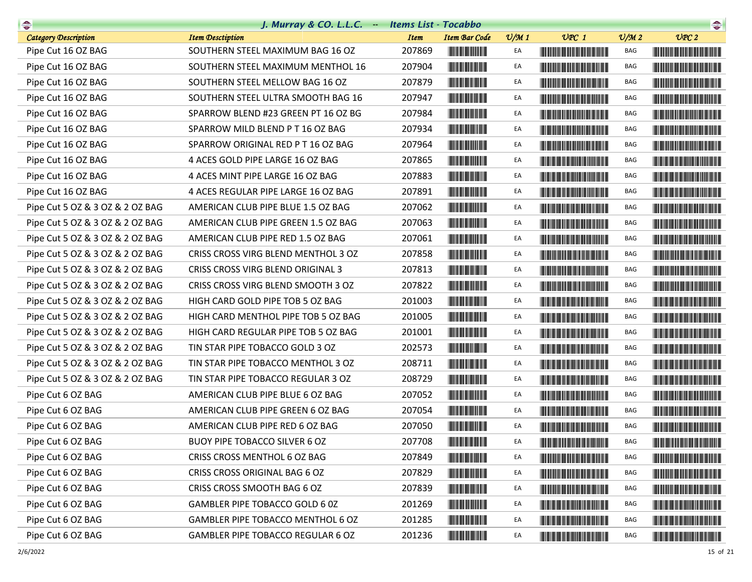| $\begin{picture}(20,10) \put(0,0){\line(1,0){10}} \put(15,0){\line(1,0){10}} \put(15,0){\line(1,0){10}} \put(15,0){\line(1,0){10}} \put(15,0){\line(1,0){10}} \put(15,0){\line(1,0){10}} \put(15,0){\line(1,0){10}} \put(15,0){\line(1,0){10}} \put(15,0){\line(1,0){10}} \put(15,0){\line(1,0){10}} \put(15,0){\line(1,0){10}} \put(15,0){\line(1$ | J. Murray & CO. L.L.C. - Items List - Tocabbo |             |                                                                                                                       |                 |                                                                                                                                                                                                                                      |                             | $\begin{picture}(20,10) \put(0,0){\line(1,0){10}} \put(0,0){\line(1,0){10}} \put(0,0){\line(1,0){10}} \put(0,0){\line(1,0){10}} \put(0,0){\line(1,0){10}} \put(0,0){\line(1,0){10}} \put(0,0){\line(1,0){10}} \put(0,0){\line(1,0){10}} \put(0,0){\line(1,0){10}} \put(0,0){\line(1,0){10}} \put(0,0){\line(1,0){10}} \put(0,0){\line(1,0){10}} \put(0,$ |
|-----------------------------------------------------------------------------------------------------------------------------------------------------------------------------------------------------------------------------------------------------------------------------------------------------------------------------------------------------|-----------------------------------------------|-------------|-----------------------------------------------------------------------------------------------------------------------|-----------------|--------------------------------------------------------------------------------------------------------------------------------------------------------------------------------------------------------------------------------------|-----------------------------|----------------------------------------------------------------------------------------------------------------------------------------------------------------------------------------------------------------------------------------------------------------------------------------------------------------------------------------------------------|
| <b>Category Description</b>                                                                                                                                                                                                                                                                                                                         | <b>Item Desctiption</b>                       | <b>Item</b> | <b>Item Bar Code</b>                                                                                                  | $\frac{v}{M}$ 1 | $UPC$ 1                                                                                                                                                                                                                              | $\mathcal{O}/\mathcal{M}$ 2 | UPC2                                                                                                                                                                                                                                                                                                                                                     |
| Pipe Cut 16 OZ BAG                                                                                                                                                                                                                                                                                                                                  | SOUTHERN STEEL MAXIMUM BAG 16 OZ              | 207869      |                                                                                                                       | EA              |                                                                                                                                                                                                                                      | BAG                         |                                                                                                                                                                                                                                                                                                                                                          |
| Pipe Cut 16 OZ BAG                                                                                                                                                                                                                                                                                                                                  | SOUTHERN STEEL MAXIMUM MENTHOL 16             | 207904      | <u> Herbert Herbert in der Erste </u>                                                                                 | EA              |                                                                                                                                                                                                                                      | BAG                         |                                                                                                                                                                                                                                                                                                                                                          |
| Pipe Cut 16 OZ BAG                                                                                                                                                                                                                                                                                                                                  | SOUTHERN STEEL MELLOW BAG 16 OZ               | 207879      |                                                                                                                       | EA              |                                                                                                                                                                                                                                      | BAG                         |                                                                                                                                                                                                                                                                                                                                                          |
| Pipe Cut 16 OZ BAG                                                                                                                                                                                                                                                                                                                                  | SOUTHERN STEEL ULTRA SMOOTH BAG 16            | 207947      | <b>The Committee of the Committee</b>                                                                                 | EA              |                                                                                                                                                                                                                                      | <b>BAG</b>                  |                                                                                                                                                                                                                                                                                                                                                          |
| Pipe Cut 16 OZ BAG                                                                                                                                                                                                                                                                                                                                  | SPARROW BLEND #23 GREEN PT 16 OZ BG           | 207984      |                                                                                                                       | EA              |                                                                                                                                                                                                                                      | BAG                         |                                                                                                                                                                                                                                                                                                                                                          |
| Pipe Cut 16 OZ BAG                                                                                                                                                                                                                                                                                                                                  | SPARROW MILD BLEND P T 16 OZ BAG              | 207934      | <u> Herbert Herbert in der Erste der Erste der Erste der Erste der Erste der Erste der Erste der Erste der Erste </u> | EA              | <u> Harry Harry Harry Harry Harry Harry Harry Harry Harry Harry Harry Harry Harry Harry Harry Harry Harry Harry Harry Harry Harry Harry Harry Harry Harry Harry Harry Harry Harry Harry Harry Harry Harry Harry Harry Harry Harr</u> | BAG                         |                                                                                                                                                                                                                                                                                                                                                          |
| Pipe Cut 16 OZ BAG                                                                                                                                                                                                                                                                                                                                  | SPARROW ORIGINAL RED P T 16 OZ BAG            | 207964      | <u> Herbert Herbert in der Erste </u>                                                                                 | EA              |                                                                                                                                                                                                                                      | BAG                         |                                                                                                                                                                                                                                                                                                                                                          |
| Pipe Cut 16 OZ BAG                                                                                                                                                                                                                                                                                                                                  | 4 ACES GOLD PIPE LARGE 16 OZ BAG              | 207865      |                                                                                                                       | EA              | <u> Handi ka katika matu m</u>                                                                                                                                                                                                       | BAG                         |                                                                                                                                                                                                                                                                                                                                                          |
| Pipe Cut 16 OZ BAG                                                                                                                                                                                                                                                                                                                                  | 4 ACES MINT PIPE LARGE 16 OZ BAG              | 207883      |                                                                                                                       | EA              | <b>The Common Section</b>                                                                                                                                                                                                            | BAG                         |                                                                                                                                                                                                                                                                                                                                                          |
| Pipe Cut 16 OZ BAG                                                                                                                                                                                                                                                                                                                                  | 4 ACES REGULAR PIPE LARGE 16 OZ BAG           | 207891      |                                                                                                                       | EA              | <b>The Community of the Community</b>                                                                                                                                                                                                | BAG                         |                                                                                                                                                                                                                                                                                                                                                          |
| Pipe Cut 5 OZ & 3 OZ & 2 OZ BAG                                                                                                                                                                                                                                                                                                                     | AMERICAN CLUB PIPE BLUE 1.5 OZ BAG            | 207062      |                                                                                                                       | EA              | <u> The Community of the Community of the Community of the Community of the Community of the Community of the Community of the Community of the Community of the Community of the Community of the Community of the Community of</u> | <b>BAG</b>                  |                                                                                                                                                                                                                                                                                                                                                          |
| Pipe Cut 5 OZ & 3 OZ & 2 OZ BAG                                                                                                                                                                                                                                                                                                                     | AMERICAN CLUB PIPE GREEN 1.5 OZ BAG           | 207063      |                                                                                                                       | EA              | <u> Harry Harry Harry Harry Harry Harry Harry Harry Harry Harry Harry Harry Harry Harry Harry Harry Harry Harry Harry Harry Harry Harry Harry Harry Harry Harry Harry Harry Harry Harry Harry Harry Harry Harry Harry Harry Harr</u> | BAG                         |                                                                                                                                                                                                                                                                                                                                                          |
| Pipe Cut 5 OZ & 3 OZ & 2 OZ BAG                                                                                                                                                                                                                                                                                                                     | AMERICAN CLUB PIPE RED 1.5 OZ BAG             | 207061      |                                                                                                                       | EA              |                                                                                                                                                                                                                                      | BAG                         |                                                                                                                                                                                                                                                                                                                                                          |
| Pipe Cut 5 OZ & 3 OZ & 2 OZ BAG                                                                                                                                                                                                                                                                                                                     | CRISS CROSS VIRG BLEND MENTHOL 3 OZ           | 207858      |                                                                                                                       | EA              | <u> Liberal Maria de la contra</u>                                                                                                                                                                                                   | BAG                         | <u> Harry Harry Harry Harry Harry Harry Harry Harry Harry Harry Harry Harry Harry Harry Harry Harry Harry Harry Harry Harry Harry Harry Harry Harry Harry Harry Harry Harry Harry Harry Harry Harry Harry Harry Harry Harry Harr</u>                                                                                                                     |
| Pipe Cut 5 OZ & 3 OZ & 2 OZ BAG                                                                                                                                                                                                                                                                                                                     | CRISS CROSS VIRG BLEND ORIGINAL 3             | 207813      |                                                                                                                       | EA              |                                                                                                                                                                                                                                      | BAG                         | <u> Handi ka masa sa mga katalog ng mga ka</u>                                                                                                                                                                                                                                                                                                           |
| Pipe Cut 5 OZ & 3 OZ & 2 OZ BAG                                                                                                                                                                                                                                                                                                                     | CRISS CROSS VIRG BLEND SMOOTH 3 OZ            | 207822      |                                                                                                                       | EA              |                                                                                                                                                                                                                                      | BAG                         |                                                                                                                                                                                                                                                                                                                                                          |
| Pipe Cut 5 OZ & 3 OZ & 2 OZ BAG                                                                                                                                                                                                                                                                                                                     | HIGH CARD GOLD PIPE TOB 5 OZ BAG              | 201003      |                                                                                                                       | EA              | <u> Harry Harry Harry Harry Harry Harry Harry Harry Harry Harry Harry Harry Harry Harry Harry Harry Harry Harry Harry Harry Harry Harry Harry Harry Harry Harry Harry Harry Harry Harry Harry Harry Harry Harry Harry Harry Harr</u> | BAG                         |                                                                                                                                                                                                                                                                                                                                                          |
| Pipe Cut 5 OZ & 3 OZ & 2 OZ BAG                                                                                                                                                                                                                                                                                                                     | HIGH CARD MENTHOL PIPE TOB 5 OZ BAG           | 201005      | <u> Indian American Indian Indian Indian Indian Indian Indian Indian Indian Indian Indian Indian Indian Indian I</u>  | EA              |                                                                                                                                                                                                                                      | BAG                         |                                                                                                                                                                                                                                                                                                                                                          |
| Pipe Cut 5 OZ & 3 OZ & 2 OZ BAG                                                                                                                                                                                                                                                                                                                     | HIGH CARD REGULAR PIPE TOB 5 OZ BAG           | 201001      |                                                                                                                       | EA              |                                                                                                                                                                                                                                      | BAG                         |                                                                                                                                                                                                                                                                                                                                                          |
| Pipe Cut 5 OZ & 3 OZ & 2 OZ BAG                                                                                                                                                                                                                                                                                                                     | TIN STAR PIPE TOBACCO GOLD 3 OZ               | 202573      |                                                                                                                       | EA              | <u> Harry Harry Harry Harry Harry Harry Harry Harry Harry Harry Harry Harry Harry Harry Harry Harry Harry Harry Harry Harry Harry Harry Harry Harry Harry Harry Harry Harry Harry Harry Harry Harry Harry Harry Harry Harry Harr</u> | <b>BAG</b>                  | <u> Handi ka ka matang matang pa</u>                                                                                                                                                                                                                                                                                                                     |
| Pipe Cut 5 OZ & 3 OZ & 2 OZ BAG                                                                                                                                                                                                                                                                                                                     | TIN STAR PIPE TOBACCO MENTHOL 3 OZ            | 208711      |                                                                                                                       | EA              | <b>The Common Section</b>                                                                                                                                                                                                            | BAG                         |                                                                                                                                                                                                                                                                                                                                                          |
| Pipe Cut 5 OZ & 3 OZ & 2 OZ BAG                                                                                                                                                                                                                                                                                                                     | TIN STAR PIPE TOBACCO REGULAR 3 OZ            | 208729      | <u> Herbert Herbert in der Entschaft</u>                                                                              | EA              |                                                                                                                                                                                                                                      | <b>BAG</b>                  |                                                                                                                                                                                                                                                                                                                                                          |
| Pipe Cut 6 OZ BAG                                                                                                                                                                                                                                                                                                                                   | AMERICAN CLUB PIPE BLUE 6 OZ BAG              | 207052      | <b>The Committee of the Committee</b>                                                                                 | EA              | <u> Harry Harry Harry Harry Harry Harry Harry Harry Harry Harry Harry Harry Harry Harry Harry Harry Harry Harry Harry Harry Harry Harry Harry Harry Harry Harry Harry Harry Harry Harry Harry Harry Harry Harry Harry Harry Harr</u> | <b>BAG</b>                  | <u> Herbert Herbert in der Erste der Erste der Erste der Erste der Erste der Erste der Erste der Erste der Erste </u>                                                                                                                                                                                                                                    |
| Pipe Cut 6 OZ BAG                                                                                                                                                                                                                                                                                                                                   | AMERICAN CLUB PIPE GREEN 6 OZ BAG             | 207054      |                                                                                                                       | EA              |                                                                                                                                                                                                                                      | BAG                         |                                                                                                                                                                                                                                                                                                                                                          |
| Pipe Cut 6 OZ BAG                                                                                                                                                                                                                                                                                                                                   | AMERICAN CLUB PIPE RED 6 OZ BAG               | 207050      | <u> Herbert Herbert i Sta</u>                                                                                         | EA              | <u> Harry Harry Harry Harry Harry Harry Harry Harry Harry Harry Harry Harry Harry Harry Harry Harry Harry Harry Harry Harry Harry Harry Harry Harry Harry Harry Harry Harry Harry Harry Harry Harry Harry Harry Harry Harry Harr</u> | <b>BAG</b>                  |                                                                                                                                                                                                                                                                                                                                                          |
| Pipe Cut 6 OZ BAG                                                                                                                                                                                                                                                                                                                                   | BUOY PIPE TOBACCO SILVER 6 OZ                 | 207708      | <b>THE REAL PROPERTY</b>                                                                                              | EA              |                                                                                                                                                                                                                                      | BAG                         |                                                                                                                                                                                                                                                                                                                                                          |
| Pipe Cut 6 OZ BAG                                                                                                                                                                                                                                                                                                                                   | CRISS CROSS MENTHOL 6 OZ BAG                  | 207849      |                                                                                                                       | EA              |                                                                                                                                                                                                                                      | BAG                         |                                                                                                                                                                                                                                                                                                                                                          |
| Pipe Cut 6 OZ BAG                                                                                                                                                                                                                                                                                                                                   | CRISS CROSS ORIGINAL BAG 6 OZ                 | 207829      | <u> III din memberikan di sebagai pada sebagai pertama di sebagai pertama di sebagai pertama di sebagai pertama </u>  | EA              | <u> Herbert Herbert in der Erste der Erste der </u>                                                                                                                                                                                  | BAG                         |                                                                                                                                                                                                                                                                                                                                                          |
| Pipe Cut 6 OZ BAG                                                                                                                                                                                                                                                                                                                                   | CRISS CROSS SMOOTH BAG 6 OZ                   | 207839      | <u> Herbert Herbert in der Entschaft</u>                                                                              | EA              |                                                                                                                                                                                                                                      | BAG                         | <u> Harry Harry Harry Harry Harry Harry Harry Harry Harry Harry Harry Harry Harry Harry Harry Harry Harry Harry Harry Harry Harry Harry Harry Harry Harry Harry Harry Harry Harry Harry Harry Harry Harry Harry Harry Harry Harr</u>                                                                                                                     |
| Pipe Cut 6 OZ BAG                                                                                                                                                                                                                                                                                                                                   | GAMBLER PIPE TOBACCO GOLD 6 0Z                | 201269      | <b>The Committee of the Committee of the Committee</b>                                                                | EA              | <u> Liberal Maria de la contrada de la con</u>                                                                                                                                                                                       | BAG                         |                                                                                                                                                                                                                                                                                                                                                          |
| Pipe Cut 6 OZ BAG                                                                                                                                                                                                                                                                                                                                   | GAMBLER PIPE TOBACCO MENTHOL 6 OZ             | 201285      | <u> III de la contrada de la con</u>                                                                                  | EA              | <b>The Community of the Community</b>                                                                                                                                                                                                | BAG                         |                                                                                                                                                                                                                                                                                                                                                          |
| Pipe Cut 6 OZ BAG                                                                                                                                                                                                                                                                                                                                   | GAMBLER PIPE TOBACCO REGULAR 6 OZ             | 201236      |                                                                                                                       | EA              | <u> Liberal Maria de la contrada de la contrada de la contrada de la contrada de la con</u>                                                                                                                                          | BAG                         | <b>CONTRACTOR</b>                                                                                                                                                                                                                                                                                                                                        |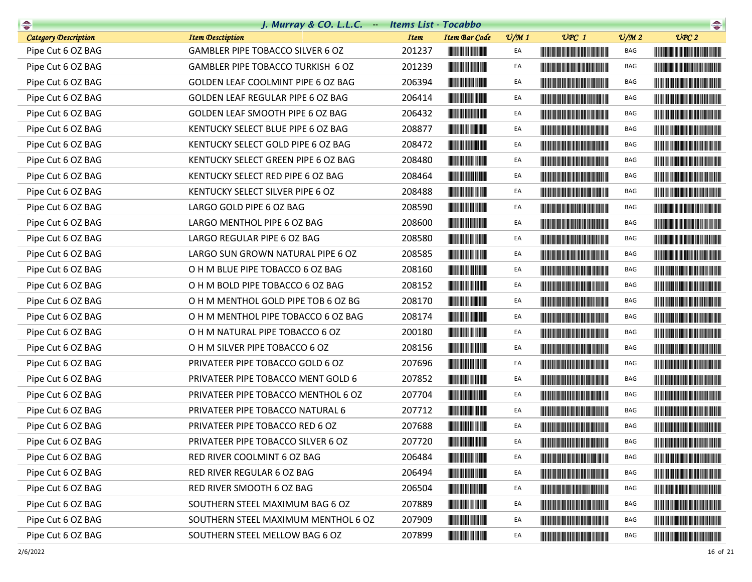| $\begin{picture}(20,10) \put(0,0){\line(1,0){10}} \put(10,0){\line(1,0){10}} \put(10,0){\line(1,0){10}} \put(10,0){\line(1,0){10}} \put(10,0){\line(1,0){10}} \put(10,0){\line(1,0){10}} \put(10,0){\line(1,0){10}} \put(10,0){\line(1,0){10}} \put(10,0){\line(1,0){10}} \put(10,0){\line(1,0){10}} \put(10,0){\line(1,0){10}} \put(10,0){\line(1$ | J. Murray & CO. L.L.C. - Items List - Tocabbo |             |                          |                 |                                                                                                                                                                                                                                      |                 | $\begin{picture}(20,10) \put(0,0){\line(1,0){10}} \put(10,0){\line(1,0){10}} \put(10,0){\line(1,0){10}} \put(10,0){\line(1,0){10}} \put(10,0){\line(1,0){10}} \put(10,0){\line(1,0){10}} \put(10,0){\line(1,0){10}} \put(10,0){\line(1,0){10}} \put(10,0){\line(1,0){10}} \put(10,0){\line(1,0){10}} \put(10,0){\line(1,0){10}} \put(10,0){\line(1$ |
|-----------------------------------------------------------------------------------------------------------------------------------------------------------------------------------------------------------------------------------------------------------------------------------------------------------------------------------------------------|-----------------------------------------------|-------------|--------------------------|-----------------|--------------------------------------------------------------------------------------------------------------------------------------------------------------------------------------------------------------------------------------|-----------------|-----------------------------------------------------------------------------------------------------------------------------------------------------------------------------------------------------------------------------------------------------------------------------------------------------------------------------------------------------|
| <b>Category Description</b>                                                                                                                                                                                                                                                                                                                         | <b>Item Desctiption</b>                       | <b>Item</b> | <b>Item Bar Code</b>     | $\frac{v}{M}$ 1 | $UPC$ 1                                                                                                                                                                                                                              | $\frac{V}{M}$ 2 | UPC2                                                                                                                                                                                                                                                                                                                                                |
| Pipe Cut 6 OZ BAG                                                                                                                                                                                                                                                                                                                                   | GAMBLER PIPE TOBACCO SILVER 6 OZ              | 201237      |                          | EA              |                                                                                                                                                                                                                                      | BAG             |                                                                                                                                                                                                                                                                                                                                                     |
| Pipe Cut 6 OZ BAG                                                                                                                                                                                                                                                                                                                                   | GAMBLER PIPE TOBACCO TURKISH 6 OZ             | 201239      | <b>The Community</b>     | EA              |                                                                                                                                                                                                                                      | BAG             |                                                                                                                                                                                                                                                                                                                                                     |
| Pipe Cut 6 OZ BAG                                                                                                                                                                                                                                                                                                                                   | GOLDEN LEAF COOLMINT PIPE 6 OZ BAG            | 206394      |                          | EA              |                                                                                                                                                                                                                                      | BAG             |                                                                                                                                                                                                                                                                                                                                                     |
| Pipe Cut 6 OZ BAG                                                                                                                                                                                                                                                                                                                                   | GOLDEN LEAF REGULAR PIPE 6 OZ BAG             | 206414      |                          | EA              |                                                                                                                                                                                                                                      | BAG             |                                                                                                                                                                                                                                                                                                                                                     |
| Pipe Cut 6 OZ BAG                                                                                                                                                                                                                                                                                                                                   | GOLDEN LEAF SMOOTH PIPE 6 OZ BAG              | 206432      |                          | EA              |                                                                                                                                                                                                                                      | BAG             |                                                                                                                                                                                                                                                                                                                                                     |
| Pipe Cut 6 OZ BAG                                                                                                                                                                                                                                                                                                                                   | KENTUCKY SELECT BLUE PIPE 6 OZ BAG            | 208877      | <b>The Community</b>     | EA              |                                                                                                                                                                                                                                      | BAG             |                                                                                                                                                                                                                                                                                                                                                     |
| Pipe Cut 6 OZ BAG                                                                                                                                                                                                                                                                                                                                   | KENTUCKY SELECT GOLD PIPE 6 OZ BAG            | 208472      |                          | EA              |                                                                                                                                                                                                                                      | BAG             |                                                                                                                                                                                                                                                                                                                                                     |
| Pipe Cut 6 OZ BAG                                                                                                                                                                                                                                                                                                                                   | KENTUCKY SELECT GREEN PIPE 6 OZ BAG           | 208480      |                          | EA              |                                                                                                                                                                                                                                      | BAG             |                                                                                                                                                                                                                                                                                                                                                     |
| Pipe Cut 6 OZ BAG                                                                                                                                                                                                                                                                                                                                   | KENTUCKY SELECT RED PIPE 6 OZ BAG             | 208464      |                          | EA              |                                                                                                                                                                                                                                      | BAG             |                                                                                                                                                                                                                                                                                                                                                     |
| Pipe Cut 6 OZ BAG                                                                                                                                                                                                                                                                                                                                   | KENTUCKY SELECT SILVER PIPE 6 OZ              | 208488      | <b>The Community</b>     | EA              |                                                                                                                                                                                                                                      | BAG             |                                                                                                                                                                                                                                                                                                                                                     |
| Pipe Cut 6 OZ BAG                                                                                                                                                                                                                                                                                                                                   | LARGO GOLD PIPE 6 OZ BAG                      | 208590      |                          | EA              |                                                                                                                                                                                                                                      | BAG             |                                                                                                                                                                                                                                                                                                                                                     |
| Pipe Cut 6 OZ BAG                                                                                                                                                                                                                                                                                                                                   | LARGO MENTHOL PIPE 6 OZ BAG                   | 208600      |                          | EA              |                                                                                                                                                                                                                                      | <b>BAG</b>      |                                                                                                                                                                                                                                                                                                                                                     |
| Pipe Cut 6 OZ BAG                                                                                                                                                                                                                                                                                                                                   | LARGO REGULAR PIPE 6 OZ BAG                   | 208580      |                          | EA              | <b>The Community of the Community</b>                                                                                                                                                                                                | BAG             |                                                                                                                                                                                                                                                                                                                                                     |
| Pipe Cut 6 OZ BAG                                                                                                                                                                                                                                                                                                                                   | LARGO SUN GROWN NATURAL PIPE 6 OZ             | 208585      |                          | EA              | <u> Harat Barat Barat Barat Barat Barat Barat Barat Barat Barat Barat Barat Barat Barat Barat Barat Barat Barat Barat Barat Barat Barat Barat Barat Barat Barat Barat Barat Barat Barat Barat Barat Barat Barat Barat Barat Bara</u> | BAG             | <u> Timba ka kasan ing Kabupatèn Ing Kabupatèn Ing Kabupatèn Ing Kabupatèn Ing Kabupatèn Ing Kabupatèn Ing Kabupatèn Ing Kabupatèn Ing Kabupatèn Ing Kabupatèn Ing Kabupatèn Ing Kabupatèn Ing Kabupatèn Ing Kabupatèn Ing Kabup</u>                                                                                                                |
| Pipe Cut 6 OZ BAG                                                                                                                                                                                                                                                                                                                                   | O H M BLUE PIPE TOBACCO 6 OZ BAG              | 208160      |                          | EA              |                                                                                                                                                                                                                                      | BAG             | <u> Hill i Hill i Hill i Hill i Hill i Hill i Hill i Hill i Hill i Hill i Hill i Hill i Hill i Hill i Hill i Hill </u>                                                                                                                                                                                                                              |
| Pipe Cut 6 OZ BAG                                                                                                                                                                                                                                                                                                                                   | O H M BOLD PIPE TOBACCO 6 OZ BAG              | 208152      |                          | EA              |                                                                                                                                                                                                                                      | <b>BAG</b>      |                                                                                                                                                                                                                                                                                                                                                     |
| Pipe Cut 6 OZ BAG                                                                                                                                                                                                                                                                                                                                   | O H M MENTHOL GOLD PIPE TOB 6 OZ BG           | 208170      |                          | EA              | <u> Tanzania de la provincia de la provincia de la provincia de la provincia de la provincia de la provincia de la </u>                                                                                                              | BAG             |                                                                                                                                                                                                                                                                                                                                                     |
| Pipe Cut 6 OZ BAG                                                                                                                                                                                                                                                                                                                                   | O H M MENTHOL PIPE TOBACCO 6 OZ BAG           | 208174      | <b>The Community</b>     | EA              |                                                                                                                                                                                                                                      | BAG             |                                                                                                                                                                                                                                                                                                                                                     |
| Pipe Cut 6 OZ BAG                                                                                                                                                                                                                                                                                                                                   | O H M NATURAL PIPE TOBACCO 6 OZ               | 200180      |                          | EA              |                                                                                                                                                                                                                                      | BAG             |                                                                                                                                                                                                                                                                                                                                                     |
| Pipe Cut 6 OZ BAG                                                                                                                                                                                                                                                                                                                                   | O H M SILVER PIPE TOBACCO 6 OZ                | 208156      |                          | EA              | <u> Harry Harry Harry Harry Harry Harry Harry Harry Harry Harry Harry Harry Harry Harry Harry Harry Harry Harry Harry Harry Harry Harry Harry Harry Harry Harry Harry Harry Harry Harry Harry Harry Harry Harry Harry Harry Harr</u> | <b>BAG</b>      |                                                                                                                                                                                                                                                                                                                                                     |
| Pipe Cut 6 OZ BAG                                                                                                                                                                                                                                                                                                                                   | PRIVATEER PIPE TOBACCO GOLD 6 OZ              | 207696      |                          | EA              |                                                                                                                                                                                                                                      | BAG             |                                                                                                                                                                                                                                                                                                                                                     |
| Pipe Cut 6 OZ BAG                                                                                                                                                                                                                                                                                                                                   | PRIVATEER PIPE TOBACCO MENT GOLD 6            | 207852      |                          | EA              |                                                                                                                                                                                                                                      | BAG             |                                                                                                                                                                                                                                                                                                                                                     |
| Pipe Cut 6 OZ BAG                                                                                                                                                                                                                                                                                                                                   | PRIVATEER PIPE TOBACCO MENTHOL 6 OZ           | 207704      |                          | EA              | <b>The Community of the Community</b>                                                                                                                                                                                                | <b>BAG</b>      |                                                                                                                                                                                                                                                                                                                                                     |
| Pipe Cut 6 OZ BAG                                                                                                                                                                                                                                                                                                                                   | PRIVATEER PIPE TOBACCO NATURAL 6              | 207712      |                          | EA              | <b>THE REAL PROPERTY OF STATE</b>                                                                                                                                                                                                    | BAG             |                                                                                                                                                                                                                                                                                                                                                     |
| Pipe Cut 6 OZ BAG                                                                                                                                                                                                                                                                                                                                   | PRIVATEER PIPE TOBACCO RED 6 OZ               | 207688      |                          | EA              |                                                                                                                                                                                                                                      | <b>BAG</b>      |                                                                                                                                                                                                                                                                                                                                                     |
| Pipe Cut 6 OZ BAG                                                                                                                                                                                                                                                                                                                                   | PRIVATEER PIPE TOBACCO SILVER 6 OZ            | 207720      | <b>THE REAL PROPERTY</b> | EA              |                                                                                                                                                                                                                                      | BAG             |                                                                                                                                                                                                                                                                                                                                                     |
| Pipe Cut 6 OZ BAG                                                                                                                                                                                                                                                                                                                                   | RED RIVER COOLMINT 6 OZ BAG                   | 206484      |                          | EA              |                                                                                                                                                                                                                                      | BAG             | <b>The Committee of the Committee of the Committee</b>                                                                                                                                                                                                                                                                                              |
| Pipe Cut 6 OZ BAG                                                                                                                                                                                                                                                                                                                                   | RED RIVER REGULAR 6 OZ BAG                    | 206494      |                          | EA              | <u> Lithagan ann an 1970 ann an 1970 ann an 1971 ann an 1971 ann an 1971 ann an 1971 ann an 1971 ann an 1971 ann a</u>                                                                                                               | BAG             |                                                                                                                                                                                                                                                                                                                                                     |
| Pipe Cut 6 OZ BAG                                                                                                                                                                                                                                                                                                                                   | RED RIVER SMOOTH 6 OZ BAG                     | 206504      |                          | EA              | <u> The Barbara and The Barbara and The Barbara and The Barbara and The Barbara and The Barbara and The Barbara and The Barbara and The Barbara and The Barbara and The Barbara and The Barbara and The Barbara and The Barbara </u> | BAG             |                                                                                                                                                                                                                                                                                                                                                     |
| Pipe Cut 6 OZ BAG                                                                                                                                                                                                                                                                                                                                   | SOUTHERN STEEL MAXIMUM BAG 6 OZ               | 207889      | <b>The Community</b>     | EA              | <u> The Community of the Community of the Community of the Community of the Community of the Community of the Community of the Community of the Community of the Community of the Community of the Community of the Community of</u> | BAG             |                                                                                                                                                                                                                                                                                                                                                     |
| Pipe Cut 6 OZ BAG                                                                                                                                                                                                                                                                                                                                   | SOUTHERN STEEL MAXIMUM MENTHOL 6 OZ           | 207909      | <b>The Community</b>     | EA              |                                                                                                                                                                                                                                      | BAG             |                                                                                                                                                                                                                                                                                                                                                     |
| Pipe Cut 6 OZ BAG                                                                                                                                                                                                                                                                                                                                   | SOUTHERN STEEL MELLOW BAG 6 OZ                | 207899      |                          | EA              | <u> Lithagan ann an 1970 ann an 1970 ann an 1971 ann an 1971 ann an 1971 ann an 1971 ann an 1971 ann an 1971 ann a</u>                                                                                                               | BAG             | <u> Historia de la contrada de la contrada de la contrada de la contrada de la con</u>                                                                                                                                                                                                                                                              |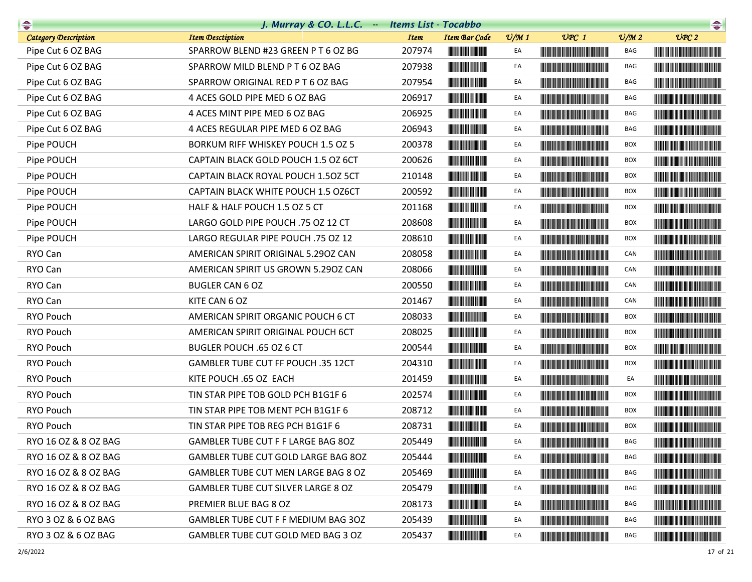|                             | J. Murray & CO. L.L.C. - Items List - Tocabbo |             |                                                                                                                       |                 |                                                                                                                                                                                                                                      |                             | $\begin{picture}(20,10) \put(0,0){\line(1,0){10}} \put(0,0){\line(1,0){10}} \put(0,0){\line(1,0){10}} \put(0,0){\line(1,0){10}} \put(0,0){\line(1,0){10}} \put(0,0){\line(1,0){10}} \put(0,0){\line(1,0){10}} \put(0,0){\line(1,0){10}} \put(0,0){\line(1,0){10}} \put(0,0){\line(1,0){10}} \put(0,0){\line(1,0){10}} \put(0,0){\line(1,0){10}} \put(0,$ |
|-----------------------------|-----------------------------------------------|-------------|-----------------------------------------------------------------------------------------------------------------------|-----------------|--------------------------------------------------------------------------------------------------------------------------------------------------------------------------------------------------------------------------------------|-----------------------------|----------------------------------------------------------------------------------------------------------------------------------------------------------------------------------------------------------------------------------------------------------------------------------------------------------------------------------------------------------|
| <b>Category Description</b> | <b>Item Desctiption</b>                       | <b>Item</b> | <b>Item Bar Code</b>                                                                                                  | $\frac{v}{M}$ 1 | $UPC$ 1                                                                                                                                                                                                                              | $\mathcal{O}/\mathcal{M}$ 2 | UPC2                                                                                                                                                                                                                                                                                                                                                     |
| Pipe Cut 6 OZ BAG           | SPARROW BLEND #23 GREEN P T 6 OZ BG           | 207974      |                                                                                                                       | EA              |                                                                                                                                                                                                                                      | BAG                         |                                                                                                                                                                                                                                                                                                                                                          |
| Pipe Cut 6 OZ BAG           | SPARROW MILD BLEND PT6 OZ BAG                 | 207938      |                                                                                                                       | EA              |                                                                                                                                                                                                                                      | BAG                         |                                                                                                                                                                                                                                                                                                                                                          |
| Pipe Cut 6 OZ BAG           | SPARROW ORIGINAL RED P T 6 OZ BAG             | 207954      |                                                                                                                       | EA              | <u> Tanzania (h. 1888).</u>                                                                                                                                                                                                          | BAG                         |                                                                                                                                                                                                                                                                                                                                                          |
| Pipe Cut 6 OZ BAG           | 4 ACES GOLD PIPE MED 6 OZ BAG                 | 206917      |                                                                                                                       | EA              | <u> Harris Harris Harris Harris Harris Harris Harris Harris Harris Harris Harris Harris Harris Harris Harris Harris Harris Harris Harris Harris Harris Harris Harris Harris Harris Harris Harris Harris Harris Harris Harris Har</u> | BAG                         | <u> Handi ka ka matang sa mga ka</u>                                                                                                                                                                                                                                                                                                                     |
| Pipe Cut 6 OZ BAG           | 4 ACES MINT PIPE MED 6 OZ BAG                 | 206925      | <b>THE REAL PROPERTY AND</b>                                                                                          | EA              |                                                                                                                                                                                                                                      | BAG                         |                                                                                                                                                                                                                                                                                                                                                          |
| Pipe Cut 6 OZ BAG           | 4 ACES REGULAR PIPE MED 6 OZ BAG              | 206943      |                                                                                                                       | EA              | <u> Liberal Maria de la contra</u>                                                                                                                                                                                                   | BAG                         |                                                                                                                                                                                                                                                                                                                                                          |
| Pipe POUCH                  | BORKUM RIFF WHISKEY POUCH 1.5 OZ 5            | 200378      |                                                                                                                       | EA              |                                                                                                                                                                                                                                      | BOX                         | <b>The Common Section</b>                                                                                                                                                                                                                                                                                                                                |
| Pipe POUCH                  | CAPTAIN BLACK GOLD POUCH 1.5 OZ 6CT           | 200626      |                                                                                                                       | EA              | <b>The Community of the Community</b>                                                                                                                                                                                                | BOX                         | <u> Harry Harry Harry Harry Harry Harry Harry Harry Harry Harry Harry Harry Harry Harry Harry Harry Harry Harry Harry Harry Harry Harry Harry Harry Harry Harry Harry Harry Harry Harry Harry Harry Harry Harry Harry Harry Harr</u>                                                                                                                     |
| Pipe POUCH                  | CAPTAIN BLACK ROYAL POUCH 1.50Z 5CT           | 210148      |                                                                                                                       | EA              | <u> Harry Harry Harry Harry Harry Harry Harry Harry Harry Harry Harry Harry Harry Harry Harry Harry Harry Harry Harry Harry Harry Harry Harry Harry Harry Harry Harry Harry Harry Harry Harry Harry Harry Harry Harry Harry Harr</u> | <b>BOX</b>                  | <b>The Community of the Community</b>                                                                                                                                                                                                                                                                                                                    |
| Pipe POUCH                  | CAPTAIN BLACK WHITE POUCH 1.5 OZ6CT           | 200592      |                                                                                                                       | EA              | <u> Harry Harry Harry Harry Harry Harry Harry Harry Harry Harry Harry Harry Harry Harry Harry Harry Harry Harry Harry Harry Harry Harry Harry Harry Harry Harry Harry Harry Harry Harry Harry Harry Harry Harry Harry Harry Harr</u> | <b>BOX</b>                  | <b>The Committee of the Committee of the Committee</b>                                                                                                                                                                                                                                                                                                   |
| Pipe POUCH                  | HALF & HALF POUCH 1.5 OZ 5 CT                 | 201168      | <b>THE REAL PROPERTY</b>                                                                                              | EA              |                                                                                                                                                                                                                                      | <b>BOX</b>                  |                                                                                                                                                                                                                                                                                                                                                          |
| Pipe POUCH                  | LARGO GOLD PIPE POUCH .75 OZ 12 CT            | 208608      |                                                                                                                       | EA              |                                                                                                                                                                                                                                      | <b>BOX</b>                  | <u> Handi ka ka matang sa mga ka</u>                                                                                                                                                                                                                                                                                                                     |
| Pipe POUCH                  | LARGO REGULAR PIPE POUCH .75 OZ 12            | 208610      |                                                                                                                       | EA              |                                                                                                                                                                                                                                      | <b>BOX</b>                  | <u> Harry Harry Harry Harry Harry Harry Harry Harry Harry Harry Harry Harry Harry Harry Harry Harry Harry Harry Harry Harry Harry Harry Harry Harry Harry Harry Harry Harry Harry Harry Harry Harry Harry Harry Harry Harry Harr</u>                                                                                                                     |
| RYO Can                     | AMERICAN SPIRIT ORIGINAL 5.290Z CAN           | 208058      | <u> Indian American Ind</u>                                                                                           | EA              | <b>The Committee of the Committee of the Committee</b>                                                                                                                                                                               | CAN                         |                                                                                                                                                                                                                                                                                                                                                          |
| RYO Can                     | AMERICAN SPIRIT US GROWN 5.290Z CAN           | 208066      |                                                                                                                       | EA              |                                                                                                                                                                                                                                      | CAN                         |                                                                                                                                                                                                                                                                                                                                                          |
| RYO Can                     | <b>BUGLER CAN 6 OZ</b>                        | 200550      |                                                                                                                       | EA              |                                                                                                                                                                                                                                      | CAN                         |                                                                                                                                                                                                                                                                                                                                                          |
| RYO Can                     | KITE CAN 6 OZ                                 | 201467      |                                                                                                                       | EA              | <b>The Common Section</b>                                                                                                                                                                                                            | CAN                         | <u> Timba ka kasani na matu ma</u>                                                                                                                                                                                                                                                                                                                       |
| RYO Pouch                   | AMERICAN SPIRIT ORGANIC POUCH 6 CT            | 208033      |                                                                                                                       | EA              | <b>CONTRACTOR</b>                                                                                                                                                                                                                    | <b>BOX</b>                  |                                                                                                                                                                                                                                                                                                                                                          |
| RYO Pouch                   | AMERICAN SPIRIT ORIGINAL POUCH 6CT            | 208025      |                                                                                                                       | EA              |                                                                                                                                                                                                                                      | BOX                         |                                                                                                                                                                                                                                                                                                                                                          |
| RYO Pouch                   | BUGLER POUCH .65 OZ 6 CT                      | 200544      |                                                                                                                       | EA              | <u> Harry Harry Harry Harry Harry Harry Harry Harry Harry Harry Harry Harry Harry Harry Harry Harry Harry Harry Harry Harry Harry Harry Harry Harry Harry Harry Harry Harry Harry Harry Harry Harry Harry Harry Harry Harry Harr</u> | <b>BOX</b>                  |                                                                                                                                                                                                                                                                                                                                                          |
| RYO Pouch                   | GAMBLER TUBE CUT FF POUCH .35 12CT            | 204310      |                                                                                                                       | EA              |                                                                                                                                                                                                                                      | BOX                         |                                                                                                                                                                                                                                                                                                                                                          |
| RYO Pouch                   | KITE POUCH .65 OZ EACH                        | 201459      |                                                                                                                       | EA              | <u> Die Berger von Die Berger von Die Berger von Die Berger von Die Berger von Die Berger von Die Berger von Die B</u>                                                                                                               | EA                          |                                                                                                                                                                                                                                                                                                                                                          |
| RYO Pouch                   | TIN STAR PIPE TOB GOLD PCH B1G1F 6            | 202574      |                                                                                                                       | EA              |                                                                                                                                                                                                                                      | BOX                         |                                                                                                                                                                                                                                                                                                                                                          |
| RYO Pouch                   | TIN STAR PIPE TOB MENT PCH B1G1F 6            | 208712      |                                                                                                                       | EA              |                                                                                                                                                                                                                                      | BOX                         | <b>The Community of the Community</b>                                                                                                                                                                                                                                                                                                                    |
| RYO Pouch                   | TIN STAR PIPE TOB REG PCH B1G1F 6             | 208731      |                                                                                                                       | EA              |                                                                                                                                                                                                                                      | <b>BOX</b>                  |                                                                                                                                                                                                                                                                                                                                                          |
| RYO 16 OZ & 8 OZ BAG        | GAMBLER TUBE CUT F F LARGE BAG 80Z            | 205449      | <b>THE REAL PROPERTY</b>                                                                                              | EA              |                                                                                                                                                                                                                                      | BAG                         |                                                                                                                                                                                                                                                                                                                                                          |
| RYO 16 OZ & 8 OZ BAG        | GAMBLER TUBE CUT GOLD LARGE BAG 80Z           | 205444      |                                                                                                                       | EA              | <u> Liberal Maria Maria Maria Maria Maria Maria Maria Maria Maria Maria Maria Maria Maria Maria Maria Maria Maria </u>                                                                                                               | BAG                         | <u> Harry Harry Harry Harry Harry Harry Harry Harry Harry Harry Harry Harry Harry Harry Harry Harry Harry Harry Harry Harry Harry Harry Harry Harry Harry Harry Harry Harry Harry Harry Harry Harry Harry Harry Harry Harry Harr</u>                                                                                                                     |
| RYO 16 OZ & 8 OZ BAG        | GAMBLER TUBE CUT MEN LARGE BAG 8 OZ           | 205469      | <u> Indian American Indian Indian Indian Indian Indian Indian Indian Indian Indian Indian Indian Indian Indian In</u> | EA              | <u> Harry Harry Harry Harry Harry Harry Harry Harry Harry Harry Harry Harry Harry Harry Harry Harry Harry Harry H</u>                                                                                                                | BAG                         | <u> III di kacamatan ing Kabupatèn Bandaran Ing Kabupatèn Bandaran Ing Kabupatèn Bandaran Ing Kabupatèn Bandaran </u>                                                                                                                                                                                                                                    |
| RYO 16 OZ & 8 OZ BAG        | <b>GAMBLER TUBE CUT SILVER LARGE 8 OZ</b>     | 205479      |                                                                                                                       | EA              | <u> Tanzania (Barat III) eta inperiodo eta inperiodo eta inperiodo eta inperiodo eta inperiodo eta inperiodo eta</u>                                                                                                                 | BAG                         | <u> Harris Harris Harris Harris Harris Harris Harris Harris Harris Harris Harris Harris Harris Harris Harris Harris Harris Harris Harris Harris Harris Harris Harris Harris Harris Harris Harris Harris Harris Harris Harris Har</u>                                                                                                                     |
| RYO 16 OZ & 8 OZ BAG        | PREMIER BLUE BAG 8 OZ                         | 208173      | <b>Contract Contract Contract Contract Contract Contract Contract Contract Contract Contract Contract Contract C</b>  | EA              | <u> Die Berger von Die Berger von Die Berger von Die Berger von Die Berger von Die Berger von Die Berger von Die B</u>                                                                                                               | BAG                         | <u> Harry Harry Harry Harry Harry Harry Harry Harry Harry Harry Harry Harry Harry Harry Harry Harry Harry Harry H</u>                                                                                                                                                                                                                                    |
| RYO 3 OZ & 6 OZ BAG         | GAMBLER TUBE CUT F F MEDIUM BAG 30Z           | 205439      |                                                                                                                       | EA              |                                                                                                                                                                                                                                      | BAG                         |                                                                                                                                                                                                                                                                                                                                                          |
| RYO 3 OZ & 6 OZ BAG         | GAMBLER TUBE CUT GOLD MED BAG 3 OZ            | 205437      | <b>CONTRACTOR</b>                                                                                                     | EA              |                                                                                                                                                                                                                                      | BAG                         | <u> Harry Harry Harry Harry Harry Harry Harry Harry Harry Harry Harry Harry Harry Harry Harry Harry Harry Harry H</u>                                                                                                                                                                                                                                    |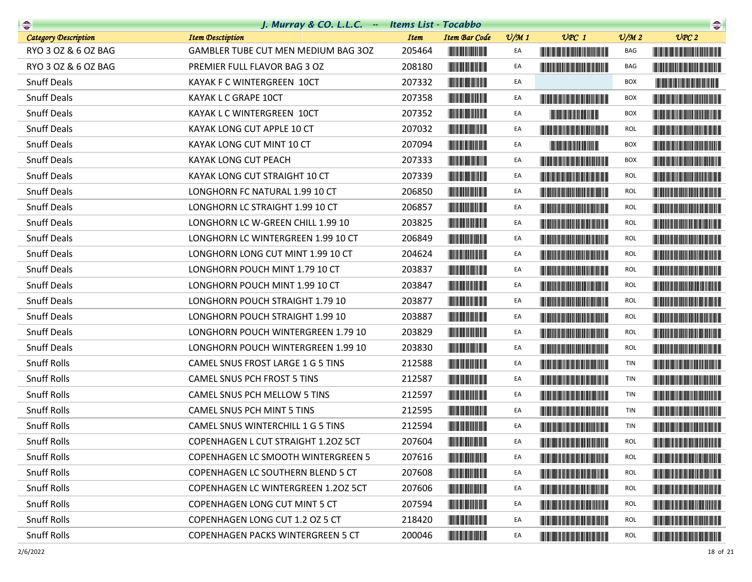| $\rightarrow$               | J. Murray & CO. L.L.C. Items List - Tocabbo |             |                                         |                 |                                                                                                                                                                                                                                      |                 | $\begin{picture}(20,10) \put(0,0){\line(1,0){10}} \put(10,0){\line(1,0){10}} \put(10,0){\line(1,0){10}} \put(10,0){\line(1,0){10}} \put(10,0){\line(1,0){10}} \put(10,0){\line(1,0){10}} \put(10,0){\line(1,0){10}} \put(10,0){\line(1,0){10}} \put(10,0){\line(1,0){10}} \put(10,0){\line(1,0){10}} \put(10,0){\line(1,0){10}} \put(10,0){\line(1$ |
|-----------------------------|---------------------------------------------|-------------|-----------------------------------------|-----------------|--------------------------------------------------------------------------------------------------------------------------------------------------------------------------------------------------------------------------------------|-----------------|-----------------------------------------------------------------------------------------------------------------------------------------------------------------------------------------------------------------------------------------------------------------------------------------------------------------------------------------------------|
| <b>Category Description</b> | <b>Item Desctiption</b>                     | <b>Item</b> | <b>Item Bar Code</b>                    | $\frac{v}{M}$ 1 | $UPC$ 1                                                                                                                                                                                                                              | $\frac{v}{M}$ 2 | UPC2                                                                                                                                                                                                                                                                                                                                                |
| RYO 3 OZ & 6 OZ BAG         | GAMBLER TUBE CUT MEN MEDIUM BAG 30Z         | 205464      |                                         | EA              |                                                                                                                                                                                                                                      | BAG             |                                                                                                                                                                                                                                                                                                                                                     |
| RYO 3 OZ & 6 OZ BAG         | PREMIER FULL FLAVOR BAG 3 OZ                | 208180      |                                         | EA              | <b>The Community of the Community</b>                                                                                                                                                                                                | BAG             | <u> Handi Handi Handi Handi Handi Ha</u>                                                                                                                                                                                                                                                                                                            |
| <b>Snuff Deals</b>          | KAYAK F C WINTERGREEN 10CT                  | 207332      |                                         | EA              |                                                                                                                                                                                                                                      | <b>BOX</b>      |                                                                                                                                                                                                                                                                                                                                                     |
| <b>Snuff Deals</b>          | KAYAK L C GRAPE 10CT                        | 207358      | <b>The Committee of the Committee</b>   | EA              |                                                                                                                                                                                                                                      | <b>BOX</b>      |                                                                                                                                                                                                                                                                                                                                                     |
| <b>Snuff Deals</b>          | KAYAK L C WINTERGREEN 10CT                  | 207352      |                                         | EA              | <b>The Community of the Community</b>                                                                                                                                                                                                | <b>BOX</b>      |                                                                                                                                                                                                                                                                                                                                                     |
| <b>Snuff Deals</b>          | KAYAK LONG CUT APPLE 10 CT                  | 207032      |                                         | EA              | <b>The Community of the Community</b>                                                                                                                                                                                                | <b>ROL</b>      |                                                                                                                                                                                                                                                                                                                                                     |
| <b>Snuff Deals</b>          | KAYAK LONG CUT MINT 10 CT                   | 207094      |                                         | EA              | <b>Contract Contract Contract Contract</b>                                                                                                                                                                                           | <b>BOX</b>      |                                                                                                                                                                                                                                                                                                                                                     |
| <b>Snuff Deals</b>          | KAYAK LONG CUT PEACH                        | 207333      |                                         | EA              | <u> Liberal Maria Maria Maria Maria Maria Maria Maria Maria Maria Maria Maria Maria Maria Maria Maria Maria Maria </u>                                                                                                               | <b>BOX</b>      |                                                                                                                                                                                                                                                                                                                                                     |
| <b>Snuff Deals</b>          | KAYAK LONG CUT STRAIGHT 10 CT               | 207339      | <b>The Committee of the Committee</b>   | EA              | <b>The Community of the Community</b>                                                                                                                                                                                                | <b>ROL</b>      |                                                                                                                                                                                                                                                                                                                                                     |
| <b>Snuff Deals</b>          | LONGHORN FC NATURAL 1.99 10 CT              | 206850      |                                         | EA              | <u> The Community of the Community of the Community of the Community of the Community of the Community of the Community of the Community of the Community of the Community of the Community of the Community of the Community of</u> | <b>ROL</b>      | <u> Harry Harry Harry Harry Harry Harry Harry Harry Harry Harry Harry Harry Harry Harry Harry Harry Harry Harry Harry Harry Harry Harry Harry Harry Harry Harry Harry Harry Harry Harry Harry Harry Harry Harry Harry Harry Harr</u>                                                                                                                |
| <b>Snuff Deals</b>          | LONGHORN LC STRAIGHT 1.99 10 CT             | 206857      |                                         | EA              | <u> The Community of the Community of the Community of the Community of the Community of the Community of the Community of the Community of the Community of the Community of the Community of the Community of the Community of</u> | <b>ROL</b>      |                                                                                                                                                                                                                                                                                                                                                     |
| <b>Snuff Deals</b>          | LONGHORN LC W-GREEN CHILL 1.99 10           | 203825      |                                         | EA              | <u> Harry Harry Harry Harry Harry Harry Harry Harry Harry Harry Harry Harry Harry Harry Harry Harry Harry Harry Harry Harry Harry Harry Harry Harry Harry Harry Harry Harry Harry Harry Harry Harry Harry Harry Harry Harry Harr</u> | <b>ROL</b>      | <u> The Community of the Community of the Community of the Community of the Community of the Community of the Community of the Community of the Community of the Community of the Community of the Community of the Community of</u>                                                                                                                |
| <b>Snuff Deals</b>          | LONGHORN LC WINTERGREEN 1.99 10 CT          | 206849      |                                         | EA              |                                                                                                                                                                                                                                      | <b>ROL</b>      |                                                                                                                                                                                                                                                                                                                                                     |
| <b>Snuff Deals</b>          | LONGHORN LONG CUT MINT 1.99 10 CT           | 204624      |                                         | EA              | <u> Harry Harry Harry Harry Harry Harry Harry Harry Harry Harry Harry Harry Harry Harry Harry Harry Harry Harry Harry Harry Harry Harry Harry Harry Harry Harry Harry Harry Harry Harry Harry Harry Harry Harry Harry Harry Harr</u> | <b>ROL</b>      |                                                                                                                                                                                                                                                                                                                                                     |
| <b>Snuff Deals</b>          | LONGHORN POUCH MINT 1.79 10 CT              | 203837      |                                         | EA              |                                                                                                                                                                                                                                      | <b>ROL</b>      |                                                                                                                                                                                                                                                                                                                                                     |
| <b>Snuff Deals</b>          | LONGHORN POUCH MINT 1.99 10 CT              | 203847      |                                         | EA              | <b>The Committee of the Committee of the Committee</b>                                                                                                                                                                               | <b>ROL</b>      |                                                                                                                                                                                                                                                                                                                                                     |
| <b>Snuff Deals</b>          | LONGHORN POUCH STRAIGHT 1.79 10             | 203877      |                                         | EA              |                                                                                                                                                                                                                                      | <b>ROL</b>      |                                                                                                                                                                                                                                                                                                                                                     |
| <b>Snuff Deals</b>          | LONGHORN POUCH STRAIGHT 1.99 10             | 203887      |                                         | EA              | <b>The Committee of the Committee of the Committee</b>                                                                                                                                                                               | <b>ROL</b>      | <b>The Committee of the Committee of the Committee of the Committee of the Committee</b>                                                                                                                                                                                                                                                            |
| <b>Snuff Deals</b>          | LONGHORN POUCH WINTERGREEN 1.79 10          | 203829      |                                         | EA              |                                                                                                                                                                                                                                      | <b>ROL</b>      |                                                                                                                                                                                                                                                                                                                                                     |
| <b>Snuff Deals</b>          | LONGHORN POUCH WINTERGREEN 1.99 10          | 203830      |                                         | EA              | <b>The Community of the Community</b>                                                                                                                                                                                                | <b>ROL</b>      | <u> Harry Harry Harry Harry Harry Harry Harry Harry Harry Harry Harry Harry Harry Harry Harry Harry Harry Harry Harry Harry Harry Harry Harry Harry Harry Harry Harry Harry Harry Harry Harry Harry Harry Harry Harry Harry Harr</u>                                                                                                                |
| <b>Snuff Rolls</b>          | CAMEL SNUS FROST LARGE 1 G 5 TINS           | 212588      |                                         | EA              |                                                                                                                                                                                                                                      | TIN             |                                                                                                                                                                                                                                                                                                                                                     |
| <b>Snuff Rolls</b>          | CAMEL SNUS PCH FROST 5 TINS                 | 212587      | <b>CONTRACTOR</b>                       | EA              | <u> The Community of the Community of the Community of the Community of the Community of the Community of the Community of the Community of the Community of the Community of the Community of the Community of the Community of</u> | TIN             |                                                                                                                                                                                                                                                                                                                                                     |
| <b>Snuff Rolls</b>          | CAMEL SNUS PCH MELLOW 5 TINS                | 212597      |                                         | EA              | <u> Harris Barbara (Barbara) </u>                                                                                                                                                                                                    | TIN             | <b>The Common Section</b>                                                                                                                                                                                                                                                                                                                           |
| <b>Snuff Rolls</b>          | CAMEL SNUS PCH MINT 5 TINS                  | 212595      |                                         | EA              | <u> Indian American State and The Books and The Books and The Books and The Books and The Books and The Books and The Books and The Books and The Books and The Books and The Books and The Books and The Books and The Books an</u> | TIN             |                                                                                                                                                                                                                                                                                                                                                     |
| <b>Snuff Rolls</b>          | CAMEL SNUS WINTERCHILL 1 G 5 TINS           | 212594      |                                         | EA              |                                                                                                                                                                                                                                      | TIN             |                                                                                                                                                                                                                                                                                                                                                     |
| Snuff Rolls                 | COPENHAGEN L CUT STRAIGHT 1.20Z 5CT         | 207604      |                                         | EA              |                                                                                                                                                                                                                                      | ROL             |                                                                                                                                                                                                                                                                                                                                                     |
| <b>Snuff Rolls</b>          | <b>COPENHAGEN LC SMOOTH WINTERGREEN 5</b>   | 207616      |                                         | EA              |                                                                                                                                                                                                                                      | <b>ROL</b>      |                                                                                                                                                                                                                                                                                                                                                     |
| <b>Snuff Rolls</b>          | <b>COPENHAGEN LC SOUTHERN BLEND 5 CT</b>    | 207608      |                                         | EA              |                                                                                                                                                                                                                                      | <b>ROL</b>      |                                                                                                                                                                                                                                                                                                                                                     |
| <b>Snuff Rolls</b>          | COPENHAGEN LC WINTERGREEN 1.20Z 5CT         | 207606      |                                         | EA              | <u> Liberal Maria Maria Maria Maria Maria Maria Maria Maria Maria Maria Maria Maria Maria Maria Maria Maria Maria </u>                                                                                                               | <b>ROL</b>      | <u> Lithagan ann an 1970 ann an 1970 ann an 1971 ann an 1971 ann an 1971 ann an 1971 ann an 1971 ann an 1971 ann an 1971 ann an 1971 ann an 1971 ann an 1971 ann an 1971 ann an 1971 ann an 1971 ann an 1971 ann an 1971 ann an </u>                                                                                                                |
| <b>Snuff Rolls</b>          | <b>COPENHAGEN LONG CUT MINT 5 CT</b>        | 207594      |                                         | EA              | <b>The Community of the Community</b>                                                                                                                                                                                                | ROL             |                                                                                                                                                                                                                                                                                                                                                     |
| <b>Snuff Rolls</b>          | COPENHAGEN LONG CUT 1.2 OZ 5 CT             | 218420      | <u> Lithagan ann an 1970. Tha bhean</u> | EA              |                                                                                                                                                                                                                                      | <b>ROL</b>      |                                                                                                                                                                                                                                                                                                                                                     |
| <b>Snuff Rolls</b>          | <b>COPENHAGEN PACKS WINTERGREEN 5 CT</b>    | 200046      |                                         | EA              |                                                                                                                                                                                                                                      | ROL             | <b>CONTRACTOR</b>                                                                                                                                                                                                                                                                                                                                   |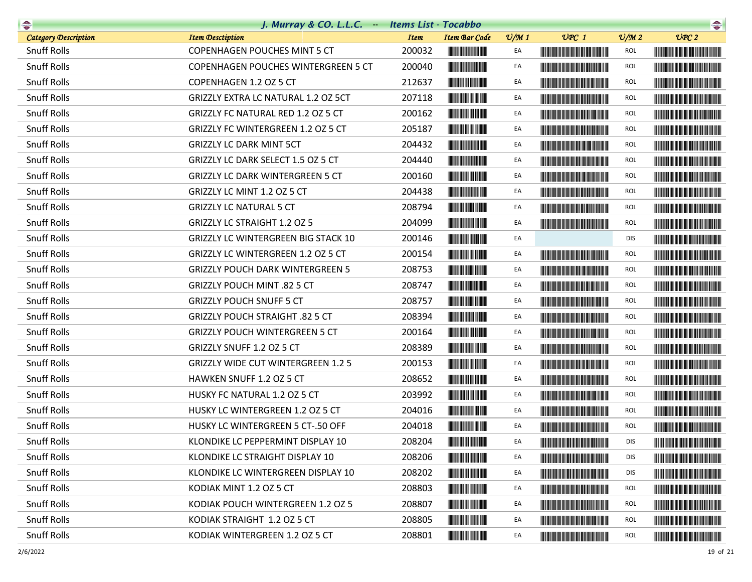|                             | J. Murray & CO. L.L.C. Items List - Tocabbo |             |                                       |                 |                                                                                                                                                                                                                                      |                 | $\begin{picture}(20,10) \put(0,0){\line(1,0){10}} \put(10,0){\line(1,0){10}} \put(10,0){\line(1,0){10}} \put(10,0){\line(1,0){10}} \put(10,0){\line(1,0){10}} \put(10,0){\line(1,0){10}} \put(10,0){\line(1,0){10}} \put(10,0){\line(1,0){10}} \put(10,0){\line(1,0){10}} \put(10,0){\line(1,0){10}} \put(10,0){\line(1,0){10}} \put(10,0){\line(1$ |
|-----------------------------|---------------------------------------------|-------------|---------------------------------------|-----------------|--------------------------------------------------------------------------------------------------------------------------------------------------------------------------------------------------------------------------------------|-----------------|-----------------------------------------------------------------------------------------------------------------------------------------------------------------------------------------------------------------------------------------------------------------------------------------------------------------------------------------------------|
| <b>Category Description</b> | <b>Item Desctiption</b>                     | <b>Item</b> | <b>Item Bar Code</b>                  | $\frac{v}{M}$ 1 | $UPC$ 1                                                                                                                                                                                                                              | $\frac{V}{M}$ 2 | UPC2                                                                                                                                                                                                                                                                                                                                                |
| <b>Snuff Rolls</b>          | <b>COPENHAGEN POUCHES MINT 5 CT</b>         | 200032      |                                       | EA              | <u> Timba ka masa sa mga katalog ng mga katalog ng mga katalog ng mga katalog ng mga katalog ng mga katalog ng mga katalog ng mga katalog ng mga katalog ng mga katalog ng mga katalog ng mga katalog ng mga katalog ng mga kata</u> | ROL             |                                                                                                                                                                                                                                                                                                                                                     |
| <b>Snuff Rolls</b>          | COPENHAGEN POUCHES WINTERGREEN 5 CT         | 200040      | <u> Liberal Maria San Ba</u>          | EA              |                                                                                                                                                                                                                                      | <b>ROL</b>      | <b>The Community of the Community</b>                                                                                                                                                                                                                                                                                                               |
| <b>Snuff Rolls</b>          | COPENHAGEN 1.2 OZ 5 CT                      | 212637      |                                       | EA              | <u> Harry Harry Harry Harry Harry Harry Harry Harry Harry Harry Harry Harry Harry Harry Harry Harry Harry Harry Harry Harry Harry Harry Harry Harry Harry Harry Harry Harry Harry Harry Harry Harry Harry Harry Harry Harry Harr</u> | <b>ROL</b>      |                                                                                                                                                                                                                                                                                                                                                     |
| <b>Snuff Rolls</b>          | GRIZZLY EXTRA LC NATURAL 1.2 OZ 5CT         | 207118      | <b>The Community of the Community</b> | EA              |                                                                                                                                                                                                                                      | ROL             |                                                                                                                                                                                                                                                                                                                                                     |
| <b>Snuff Rolls</b>          | GRIZZLY FC NATURAL RED 1.2 OZ 5 CT          | 200162      |                                       | EA              |                                                                                                                                                                                                                                      | <b>ROL</b>      |                                                                                                                                                                                                                                                                                                                                                     |
| <b>Snuff Rolls</b>          | GRIZZLY FC WINTERGREEN 1.2 OZ 5 CT          | 205187      | <b>CONTRACTOR</b>                     | EA              | <u> The Community of the Community of the Community of the Community of the Community of the Community of the Community of the Community of the Community of the Community of the Community of the Community of the Community of</u> | <b>ROL</b>      |                                                                                                                                                                                                                                                                                                                                                     |
| <b>Snuff Rolls</b>          | <b>GRIZZLY LC DARK MINT 5CT</b>             | 204432      |                                       | EA              |                                                                                                                                                                                                                                      | <b>ROL</b>      | <u> Harry Harry Harry Harry Harry Harry Harry Harry Harry Harry Harry Harry Harry Harry Harry Harry Harry Harry Harry Harry Harry Harry Harry Harry Harry Harry Harry Harry Harry Harry Harry Harry Harry Harry Harry Harry Harr</u>                                                                                                                |
| <b>Snuff Rolls</b>          | GRIZZLY LC DARK SELECT 1.5 OZ 5 CT          | 204440      |                                       | EA              |                                                                                                                                                                                                                                      | <b>ROL</b>      |                                                                                                                                                                                                                                                                                                                                                     |
| <b>Snuff Rolls</b>          | <b>GRIZZLY LC DARK WINTERGREEN 5 CT</b>     | 200160      |                                       | EA              | <b>The Common Section</b>                                                                                                                                                                                                            | <b>ROL</b>      |                                                                                                                                                                                                                                                                                                                                                     |
| <b>Snuff Rolls</b>          | GRIZZLY LC MINT 1.2 OZ 5 CT                 | 204438      |                                       | EA              | <u> Timba ka masa sa kasang mga kalendari ng mga kasang mga kalendari ng mga kasang mga kasang mga kasang mga kasang mga kasang mga kasang mga kasang mga kasang mga kasang mga kasang mga kasang mga kasang mga kasang mga kasa</u> | <b>ROL</b>      | <u> Harry Harry Harry Harry Harry Harry Harry Harry Harry Harry Harry Harry Harry Harry Harry Harry Harry Harry Harry Harry Harry Harry Harry Harry Harry Harry Harry Harry Harry Harry Harry Harry Harry Harry Harry Harry Harr</u>                                                                                                                |
| <b>Snuff Rolls</b>          | <b>GRIZZLY LC NATURAL 5 CT</b>              | 208794      |                                       | EA              | <b>The Community of the Community</b>                                                                                                                                                                                                | <b>ROL</b>      | <u> Harry Harry Harry Harry Harry Harry Harry Harry Harry Harry Harry Harry Harry Harry Harry Harry Harry Harry Harry Harry Harry Harry Harry Harry Harry Harry Harry Harry Harry Harry Harry Harry Harry Harry Harry Harry Harr</u>                                                                                                                |
| <b>Snuff Rolls</b>          | <b>GRIZZLY LC STRAIGHT 1.2 OZ 5</b>         | 204099      |                                       | EA              | <b>The Community of the Community</b>                                                                                                                                                                                                | ROL             |                                                                                                                                                                                                                                                                                                                                                     |
| <b>Snuff Rolls</b>          | <b>GRIZZLY LC WINTERGREEN BIG STACK 10</b>  | 200146      |                                       | EA              |                                                                                                                                                                                                                                      | <b>DIS</b>      |                                                                                                                                                                                                                                                                                                                                                     |
| <b>Snuff Rolls</b>          | GRIZZLY LC WINTERGREEN 1.2 OZ 5 CT          | 200154      |                                       | EA              | <u> Harry Harry Harry Harry Harry Harry Harry Harry Harry Harry Harry Harry Harry Harry Harry Harry Harry Harry Harry Harry Harry Harry Harry Harry Harry Harry Harry Harry Harry Harry Harry Harry Harry Harry Harry Harry Harr</u> | <b>ROL</b>      | <u> Liberal Maria de la contrada de la con</u>                                                                                                                                                                                                                                                                                                      |
| <b>Snuff Rolls</b>          | <b>GRIZZLY POUCH DARK WINTERGREEN 5</b>     | 208753      | <u> Hill Hill</u>                     | EA              | <u> Harry Harry Harry Harry Harry Harry Harry Harry Harry Harry Harry Harry Harry Harry Harry Harry Harry Harry Harry Harry Harry Harry Harry Harry Harry Harry Harry Harry Harry Harry Harry Harry Harry Harry Harry Harry Harr</u> | <b>ROL</b>      |                                                                                                                                                                                                                                                                                                                                                     |
| <b>Snuff Rolls</b>          | GRIZZLY POUCH MINT .82 5 CT                 | 208747      |                                       | EA              | <u> Harrison (Barbara) eta inp</u>                                                                                                                                                                                                   | <b>ROL</b>      | <u> Harry Harry Harry Harry Harry Harry Harry Harry Harry Harry Harry Harry Harry Harry Harry Harry Harry Harry Harry Harry Harry Harry Harry Harry Harry Harry Harry Harry Harry Harry Harry Harry Harry Harry Harry Harry Harr</u>                                                                                                                |
| <b>Snuff Rolls</b>          | <b>GRIZZLY POUCH SNUFF 5 CT</b>             | 208757      |                                       | EA              | <b>The Community of the Community</b>                                                                                                                                                                                                | <b>ROL</b>      | <u> Harry Harry Harry Harry Harry Harry Harry Harry Harry Harry Harry Harry Harry Harry Harry Harry Harry Harry Harry Harry Harry Harry Harry Harry Harry Harry Harry Harry Harry Harry Harry Harry Harry Harry Harry Harry Harr</u>                                                                                                                |
| <b>Snuff Rolls</b>          | GRIZZLY POUCH STRAIGHT .82 5 CT             | 208394      |                                       | EA              | <u> The Community of the Community of the Community of the Community of the Community of the Community of the Community of the Community of the Community of the Community of the Community of the Community of the Community of</u> | <b>ROL</b>      | <u> Liberal Maria Maria Maria Maria Maria Maria Maria Maria Maria Maria Maria Maria Maria Maria Maria Maria Maria </u>                                                                                                                                                                                                                              |
| <b>Snuff Rolls</b>          | <b>GRIZZLY POUCH WINTERGREEN 5 CT</b>       | 200164      |                                       | EA              | <u> Liberal Maria Maria San Barat III a Shekara ta 1989 da kasas na san A</u>                                                                                                                                                        | <b>ROL</b>      | <u> III de la contrada de la contrada de la con</u>                                                                                                                                                                                                                                                                                                 |
| <b>Snuff Rolls</b>          | GRIZZLY SNUFF 1.2 OZ 5 CT                   | 208389      |                                       | EA              | <u> Tanzania (h. 1888).</u>                                                                                                                                                                                                          | <b>ROL</b>      | <b>The Committee of the Committee of the Committee</b>                                                                                                                                                                                                                                                                                              |
| <b>Snuff Rolls</b>          | <b>GRIZZLY WIDE CUT WINTERGREEN 1.2 5</b>   | 200153      |                                       | EA              | <b>The Community of the Community</b>                                                                                                                                                                                                | <b>ROL</b>      | <u> Harry Harry Harry Harry Harry Harry Harry Harry Harry Harry Harry Harry Harry Harry Harry Harry Harry Harry Harry Harry Harry Harry Harry Harry Harry Harry Harry Harry Harry Harry Harry Harry Harry Harry Harry Harry Harr</u>                                                                                                                |
| <b>Snuff Rolls</b>          | HAWKEN SNUFF 1.2 OZ 5 CT                    | 208652      |                                       | EA              |                                                                                                                                                                                                                                      | <b>ROL</b>      | <u> Liberal Maria Maria Maria Maria Maria Maria Maria Maria Maria Maria Maria Maria Maria Maria Maria Maria Maria </u>                                                                                                                                                                                                                              |
| <b>Snuff Rolls</b>          | HUSKY FC NATURAL 1.2 OZ 5 CT                | 203992      |                                       | EA              | <u> Harris Barris III de la Barris Barris III de la Ba</u>                                                                                                                                                                           | <b>ROL</b>      | <u> Harris Harris Harris Harris Harris Harris Harris Harris Harris Harris Harris Harris Harris Harris Harris Harris Harris Harris Harris Harris Harris Harris Harris Harris Harris Harris Harris Harris Harris Harris Harris Har</u>                                                                                                                |
| <b>Snuff Rolls</b>          | HUSKY LC WINTERGREEN 1.2 OZ 5 CT            | 204016      |                                       | EA              |                                                                                                                                                                                                                                      | <b>ROL</b>      |                                                                                                                                                                                                                                                                                                                                                     |
| <b>Snuff Rolls</b>          | HUSKY LC WINTERGREEN 5 CT-.50 OFF           | 204018      |                                       | EA              |                                                                                                                                                                                                                                      | <b>ROL</b>      |                                                                                                                                                                                                                                                                                                                                                     |
| Snuff Rolls                 | KLONDIKE LC PEPPERMINT DISPLAY 10           | 208204      | <u> III din bilan k</u>               | EA              |                                                                                                                                                                                                                                      | DIS             |                                                                                                                                                                                                                                                                                                                                                     |
| <b>Snuff Rolls</b>          | KLONDIKE LC STRAIGHT DISPLAY 10             | 208206      |                                       | EA              |                                                                                                                                                                                                                                      | <b>DIS</b>      |                                                                                                                                                                                                                                                                                                                                                     |
| <b>Snuff Rolls</b>          | KLONDIKE LC WINTERGREEN DISPLAY 10          | 208202      |                                       | EA              |                                                                                                                                                                                                                                      | <b>DIS</b>      |                                                                                                                                                                                                                                                                                                                                                     |
| <b>Snuff Rolls</b>          | KODIAK MINT 1.2 OZ 5 CT                     | 208803      |                                       | EA              | <u> Harry Harry Harry Harry Harry Harry Harry Harry Harry Harry Harry Harry Harry Harry Harry Harry Harry Harry Harry Harry Harry Harry Harry Harry Harry Harry Harry Harry Harry Harry Harry Harry Harry Harry Harry Harry Harr</u> | <b>ROL</b>      | <b>The Committee of the Committee of the Committee</b>                                                                                                                                                                                                                                                                                              |
| <b>Snuff Rolls</b>          | KODIAK POUCH WINTERGREEN 1.2 OZ 5           | 208807      | <b>The Community of the Community</b> | EA              | <b>The Committee of the Committee of the Committee</b>                                                                                                                                                                               | ROL             | <u> Liberal Maria Maria Maria Maria Maria Maria Maria Maria Maria Maria Maria Maria Maria Maria Maria Maria Maria </u>                                                                                                                                                                                                                              |
| <b>Snuff Rolls</b>          | KODIAK STRAIGHT 1.2 OZ 5 CT                 | 208805      | <b>CONTRACTOR</b>                     | EA              |                                                                                                                                                                                                                                      | <b>ROL</b>      |                                                                                                                                                                                                                                                                                                                                                     |
| <b>Snuff Rolls</b>          | KODIAK WINTERGREEN 1.2 OZ 5 CT              | 208801      |                                       | EA              |                                                                                                                                                                                                                                      | ROL             | <b>CONTRACTOR</b>                                                                                                                                                                                                                                                                                                                                   |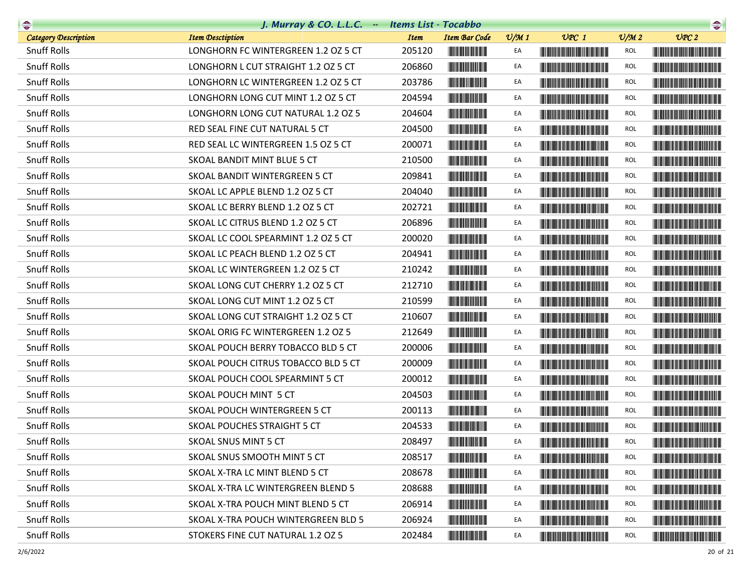| $\rightarrow$               | J. Murray & CO. L.L.C. - Items List - Tocabbo |             |                                                        |                 |                                                                                                                                                                                                                                      |                 | $\begin{picture}(20,20) \put(0,0){\line(1,0){10}} \put(15,0){\line(1,0){10}} \put(15,0){\line(1,0){10}} \put(15,0){\line(1,0){10}} \put(15,0){\line(1,0){10}} \put(15,0){\line(1,0){10}} \put(15,0){\line(1,0){10}} \put(15,0){\line(1,0){10}} \put(15,0){\line(1,0){10}} \put(15,0){\line(1,0){10}} \put(15,0){\line(1,0){10}} \put(15,0){\line(1$ |
|-----------------------------|-----------------------------------------------|-------------|--------------------------------------------------------|-----------------|--------------------------------------------------------------------------------------------------------------------------------------------------------------------------------------------------------------------------------------|-----------------|-----------------------------------------------------------------------------------------------------------------------------------------------------------------------------------------------------------------------------------------------------------------------------------------------------------------------------------------------------|
| <b>Category Description</b> | <b>Item Desctiption</b>                       | <b>Item</b> | <b>Item Bar Code</b>                                   | $\frac{v}{M}$ 1 | $UPC$ 1                                                                                                                                                                                                                              | $\frac{V}{M}$ 2 | UPC2                                                                                                                                                                                                                                                                                                                                                |
| <b>Snuff Rolls</b>          | LONGHORN FC WINTERGREEN 1.2 OZ 5 CT           | 205120      |                                                        | EA              |                                                                                                                                                                                                                                      | ROL             | <u> III di kacamatan ing Kabupatèn III di kacamatan Ing Kabupatèn Ing Kabupatèn Ing Kabupatèn Ing Kabupatèn Ing Ka</u>                                                                                                                                                                                                                              |
| <b>Snuff Rolls</b>          | LONGHORN L CUT STRAIGHT 1.2 OZ 5 CT           | 206860      |                                                        | EA              | <b>The Community of the Community</b>                                                                                                                                                                                                | <b>ROL</b>      |                                                                                                                                                                                                                                                                                                                                                     |
| <b>Snuff Rolls</b>          | LONGHORN LC WINTERGREEN 1.2 OZ 5 CT           | 203786      |                                                        | EA              |                                                                                                                                                                                                                                      | <b>ROL</b>      | <b>CONTRACTOR</b>                                                                                                                                                                                                                                                                                                                                   |
| <b>Snuff Rolls</b>          | LONGHORN LONG CUT MINT 1.2 OZ 5 CT            | 204594      |                                                        | EA              |                                                                                                                                                                                                                                      | ROL             |                                                                                                                                                                                                                                                                                                                                                     |
| <b>Snuff Rolls</b>          | LONGHORN LONG CUT NATURAL 1.2 OZ 5            | 204604      |                                                        | EA              |                                                                                                                                                                                                                                      | <b>ROL</b>      |                                                                                                                                                                                                                                                                                                                                                     |
| <b>Snuff Rolls</b>          | RED SEAL FINE CUT NATURAL 5 CT                | 204500      |                                                        | EA              | <b>The Community of the Community</b>                                                                                                                                                                                                | <b>ROL</b>      | <b>The Common Service Common Service</b>                                                                                                                                                                                                                                                                                                            |
| <b>Snuff Rolls</b>          | RED SEAL LC WINTERGREEN 1.5 OZ 5 CT           | 200071      |                                                        | EA              |                                                                                                                                                                                                                                      | <b>ROL</b>      | <u> Harry Harry Harry Harry Harry Harry Harry Harry Harry Harry Harry Harry Harry Harry Harry Harry Harry Harry Harry Harry Harry Harry Harry Harry Harry Harry Harry Harry Harry Harry Harry Harry Harry Harry Harry Harry Harr</u>                                                                                                                |
| <b>Snuff Rolls</b>          | <b>SKOAL BANDIT MINT BLUE 5 CT</b>            | 210500      |                                                        | EA              | <b>The Community of the Community</b>                                                                                                                                                                                                | <b>ROL</b>      |                                                                                                                                                                                                                                                                                                                                                     |
| <b>Snuff Rolls</b>          | SKOAL BANDIT WINTERGREEN 5 CT                 | 209841      |                                                        | EA              |                                                                                                                                                                                                                                      | <b>ROL</b>      | <u> Harat Barat Barat Barat Barat Barat Barat Barat Barat Barat Barat Barat Barat Barat Barat Barat Barat Barat Barat Barat Barat Barat Barat Barat Barat Barat Barat Barat Barat Barat Barat Barat Barat Barat Barat Barat Bara</u>                                                                                                                |
| <b>Snuff Rolls</b>          | SKOAL LC APPLE BLEND 1.2 OZ 5 CT              | 204040      | <b>The Common Service</b>                              | EA              | <u> Timba ka matsayin ka matsayin ka matsayin ka matsayin ka matsayin ka matsayin ka matsayin ka matsayin ka matsayin ka matsayin ka matsayin ka matsayin ka matsayin ka matsayin ka matsayin ka matsayin ka matsayin ka matsayi</u> | <b>ROL</b>      | <b>The Common Service Common</b>                                                                                                                                                                                                                                                                                                                    |
| <b>Snuff Rolls</b>          | SKOAL LC BERRY BLEND 1.2 OZ 5 CT              | 202721      |                                                        | EA              |                                                                                                                                                                                                                                      | <b>ROL</b>      |                                                                                                                                                                                                                                                                                                                                                     |
| <b>Snuff Rolls</b>          | SKOAL LC CITRUS BLEND 1.2 OZ 5 CT             | 206896      |                                                        | EA              | <u> III di kacamatan Indonesia Kabupatén Indonesia Indonesia Kabupatén Indonesia Kabupatén Indonesia Kabupatén Indonesia Kabupatén Indonesia Kabupatén Indonesia Kabupatén Indonesia Kabupatén Indonesia Kabupatén Indonesia Kab</u> | <b>ROL</b>      |                                                                                                                                                                                                                                                                                                                                                     |
| <b>Snuff Rolls</b>          | SKOAL LC COOL SPEARMINT 1.2 OZ 5 CT           | 200020      |                                                        | EA              | <u> Harris Harris Harris Harris Harris Harris Harris Harris Harris Harris Harris Harris Harris Harris Harris Harris Harris Harris Harris Harris Harris Harris Harris Harris Harris Harris Harris Harris Harris Harris Harris Har</u> | <b>ROL</b>      |                                                                                                                                                                                                                                                                                                                                                     |
| <b>Snuff Rolls</b>          | SKOAL LC PEACH BLEND 1.2 OZ 5 CT              | 204941      |                                                        | EA              | <b>Contract Contract Contract Contract Contract Contract Contract Contract Contract Contract Contract Contract Co</b>                                                                                                                | <b>ROL</b>      | <u> Harry Harry Harry Harry Harry Harry Harry Harry Harry Harry Harry Harry Harry Harry Harry Harry Harry Harry Harry Harry Harry Harry Harry Harry Harry Harry Harry Harry Harry Harry Harry Harry Harry Harry Harry Harry Harr</u>                                                                                                                |
| <b>Snuff Rolls</b>          | SKOAL LC WINTERGREEN 1.2 OZ 5 CT              | 210242      |                                                        | EA              |                                                                                                                                                                                                                                      | <b>ROL</b>      | <u> Handi ka masa sa mga katalog ng mga katalog ng mga katalog ng mga katalog ng mga katalog ng mga katalog ng mga katalog ng mga katalog ng mga katalog ng mga katalog ng mga katalog ng mga katalog ng mga katalog ng mga kata</u>                                                                                                                |
| <b>Snuff Rolls</b>          | SKOAL LONG CUT CHERRY 1.2 OZ 5 CT             | 212710      |                                                        | EA              | <b>The Community of the Community</b>                                                                                                                                                                                                | <b>ROL</b>      | <u> Harry Harry Harry Harry Harry Harry Harry Harry Harry Harry Harry Harry Harry Harry Harry Harry Harry Harry Harry Harry Harry Harry Harry Harry Harry Harry Harry Harry Harry Harry Harry Harry Harry Harry Harry Harry Harr</u>                                                                                                                |
| <b>Snuff Rolls</b>          | SKOAL LONG CUT MINT 1.2 OZ 5 CT               | 210599      |                                                        | EA              | <u> Liberal Maria Maria Maria Maria Maria Maria Maria Maria Maria Maria Maria Maria Maria Maria Maria Maria Maria </u>                                                                                                               | <b>ROL</b>      | <u> Harry Harry Harry Harry Harry Harry Harry Harry Harry Harry Harry Harry Harry Harry Harry Harry Harry Harry Harry Harry Harry Harry Harry Harry Harry Harry Harry Harry Harry Harry Harry Harry Harry Harry Harry Harry Harr</u>                                                                                                                |
| <b>Snuff Rolls</b>          | SKOAL LONG CUT STRAIGHT 1.2 OZ 5 CT           | 210607      |                                                        | EA              | <b>The Community of the Community</b>                                                                                                                                                                                                | <b>ROL</b>      | <u> Harry Harry Harry Harry Harry Harry Harry Harry Harry Harry Harry Harry Harry Harry Harry Harry Harry Harry Harry Harry Harry Harry Harry Harry Harry Harry Harry Harry Harry Harry Harry Harry Harry Harry Harry Harry Harr</u>                                                                                                                |
| <b>Snuff Rolls</b>          | SKOAL ORIG FC WINTERGREEN 1.2 OZ 5            | 212649      |                                                        | EA              |                                                                                                                                                                                                                                      | <b>ROL</b>      | <u> Harrison kan a</u>                                                                                                                                                                                                                                                                                                                              |
| <b>Snuff Rolls</b>          | SKOAL POUCH BERRY TOBACCO BLD 5 CT            | 200006      |                                                        | EA              | <u> Timba ka matsayin ka matsayin ka matsayin ka matsayin ka matsayin ka matsayin ka matsayin ka matsayin ka matsayin ka matsayin ka matsayin ka matsayin ka matsayin ka matsayin ka matsayin ka matsayin ka matsayin ka matsayi</u> | <b>ROL</b>      | <b>The Common Service Common</b>                                                                                                                                                                                                                                                                                                                    |
| <b>Snuff Rolls</b>          | SKOAL POUCH CITRUS TOBACCO BLD 5 CT           | 200009      |                                                        | EA              |                                                                                                                                                                                                                                      | <b>ROL</b>      |                                                                                                                                                                                                                                                                                                                                                     |
| <b>Snuff Rolls</b>          | SKOAL POUCH COOL SPEARMINT 5 CT               | 200012      |                                                        | EA              | <b>The Community of the Community</b>                                                                                                                                                                                                | <b>ROL</b>      | <b>The Common Service Common</b>                                                                                                                                                                                                                                                                                                                    |
| <b>Snuff Rolls</b>          | <b>SKOAL POUCH MINT 5 CT</b>                  | 204503      |                                                        | EA              | <u> III di kacamatan ing Kabupatèn III di kacamatan Ing Kabupatèn III di kacamatan Ing Kabupatèn III di kacamatan </u>                                                                                                               | <b>ROL</b>      | <u> Literatur in de la provincia de la provincia de la provincia de la provincia de la provincia de la provincia </u>                                                                                                                                                                                                                               |
| <b>Snuff Rolls</b>          | SKOAL POUCH WINTERGREEN 5 CT                  | 200113      |                                                        | EA              | <u> III de la provincia del m</u>                                                                                                                                                                                                    | <b>ROL</b>      | <u> Harry Harry Harry Harry Harry Harry Harry Harry Harry Harry Harry Harry Harry Harry Harry Harry Harry Harry Harry Harry Harry Harry Harry Harry Harry Harry Harry Harry Harry Harry Harry Harry Harry Harry Harry Harry Harr</u>                                                                                                                |
| <b>Snuff Rolls</b>          | <b>SKOAL POUCHES STRAIGHT 5 CT</b>            | 204533      |                                                        | EA              |                                                                                                                                                                                                                                      | <b>ROL</b>      |                                                                                                                                                                                                                                                                                                                                                     |
| Snuff Rolls                 | SKOAL SNUS MINT 5 CT                          | 208497      |                                                        | EA              | <b>The Committee of the Committee of the Committee of the Committee of the Committee</b>                                                                                                                                             | ROL             |                                                                                                                                                                                                                                                                                                                                                     |
| <b>Snuff Rolls</b>          | SKOAL SNUS SMOOTH MINT 5 CT                   | 208517      |                                                        | EA              | <b>The Community of the Community</b>                                                                                                                                                                                                | ROL             | <u> Harry Harry Harry Harry Harry Harry Harry Harry Harry Harry Harry Harry Harry Harry Harry Harry Harry Harry Harry Harry Harry Harry Harry Harry Harry Harry Harry Harry Harry Harry Harry Harry Harry Harry Harry Harry Harr</u>                                                                                                                |
| <b>Snuff Rolls</b>          | SKOAL X-TRA LC MINT BLEND 5 CT                | 208678      | <b>The Community of Science</b>                        | EA              |                                                                                                                                                                                                                                      | <b>ROL</b>      | <u> Liberal Maria Maria Maria Maria Maria Maria Maria Maria Maria Maria Maria Maria Maria Maria Maria Maria Maria </u>                                                                                                                                                                                                                              |
| <b>Snuff Rolls</b>          | SKOAL X-TRA LC WINTERGREEN BLEND 5            | 208688      |                                                        | EA              | <b>The Committee of the Committee of the Committee</b>                                                                                                                                                                               | <b>ROL</b>      | <b>The Common Section</b>                                                                                                                                                                                                                                                                                                                           |
| <b>Snuff Rolls</b>          | SKOAL X-TRA POUCH MINT BLEND 5 CT             | 206914      | <b>The Committee of the Committee of the Committee</b> | EA              | <u> Tanzania (h. 1888).</u>                                                                                                                                                                                                          | ROL             |                                                                                                                                                                                                                                                                                                                                                     |
| <b>Snuff Rolls</b>          | SKOAL X-TRA POUCH WINTERGREEN BLD 5           | 206924      | <b>The Committee of the Committee of the Committee</b> | EA              |                                                                                                                                                                                                                                      | ROL             | <b>The Committee of the Committee of the Committee</b>                                                                                                                                                                                                                                                                                              |
| <b>Snuff Rolls</b>          | STOKERS FINE CUT NATURAL 1.2 OZ 5             | 202484      |                                                        | EA              |                                                                                                                                                                                                                                      | ROL             |                                                                                                                                                                                                                                                                                                                                                     |